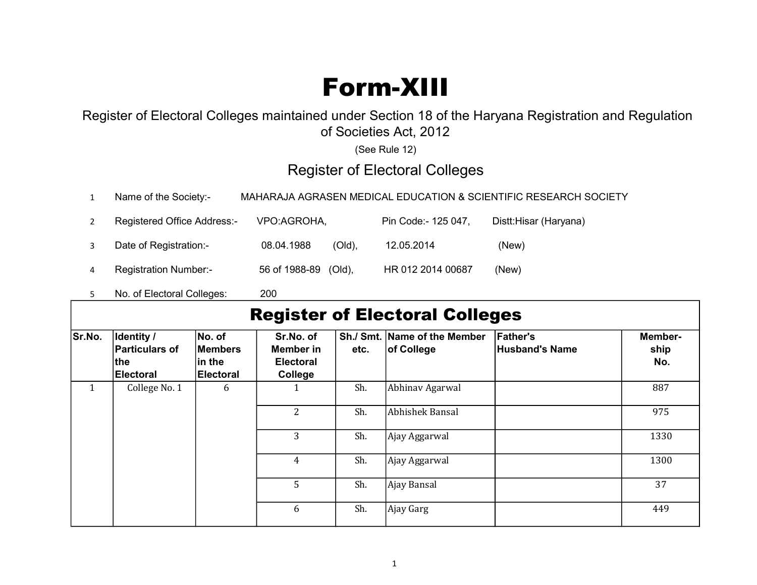## Form-XIII

## Register of Electoral Colleges maintained under Section 18 of the Haryana Registration and Regulation of Societies Act, 2012

(See Rule 12)

## Register of Electoral Colleges

|  | Name of the Society:- | MAHARAJA AGRASEN MEDICAL EDUCATION & SCIENTIFIC RESEARCH SOCIETY |
|--|-----------------------|------------------------------------------------------------------|
|--|-----------------------|------------------------------------------------------------------|

|                | <b>Registered Office Address:-</b> | VPO:AGROHA,             | Pin Code:- 125 047, | Distt:Hisar (Haryana) |
|----------------|------------------------------------|-------------------------|---------------------|-----------------------|
|                | Date of Registration:-             | 08.04.1988<br>$(Old)$ , | 12.05.2014          | (New)                 |
| $\overline{a}$ | <b>Registration Number:-</b>       | 56 of 1988-89 (Old),    | HR 012 2014 00687   | (New)                 |

5 No. of Electoral Colleges: 200

## Register of Electoral Colleges

| Sr.No.       | Identity /<br><b>Particulars of</b><br>∣the<br><b>Electoral</b> | No. of<br><b>Members</b><br>∣in the<br>Electoral | Sr.No. of<br>Member in<br><b>Electoral</b><br>College | etc. | Sh./ Smt. Name of the Member<br>of College | <b>Father's</b><br><b>Husband's Name</b> | Member-<br>ship<br>No. |
|--------------|-----------------------------------------------------------------|--------------------------------------------------|-------------------------------------------------------|------|--------------------------------------------|------------------------------------------|------------------------|
| $\mathbf{1}$ | College No. 1                                                   | 6                                                |                                                       | Sh.  | Abhinav Agarwal                            |                                          | 887                    |
|              |                                                                 |                                                  | $\overline{2}$                                        | Sh.  | Abhishek Bansal                            |                                          | 975                    |
|              |                                                                 |                                                  | 3                                                     | Sh.  | Ajay Aggarwal                              |                                          | 1330                   |
|              |                                                                 |                                                  | $\overline{4}$                                        | Sh.  | Ajay Aggarwal                              |                                          | 1300                   |
|              |                                                                 |                                                  | 5                                                     | Sh.  | Ajay Bansal                                |                                          | 37                     |
|              |                                                                 |                                                  | 6                                                     | Sh.  | Ajay Garg                                  |                                          | 449                    |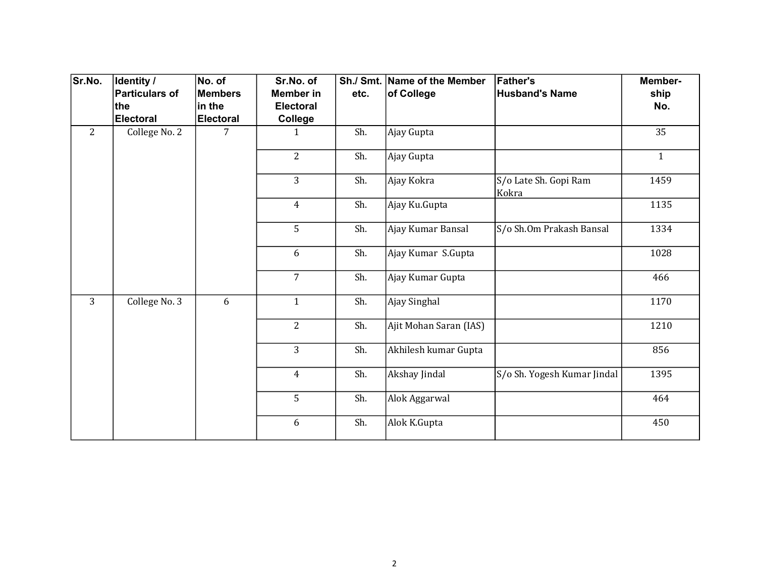| Sr.No.         | Identity /            | No. of           | Sr.No. of        |      | Sh./ Smt. Name of the Member | <b>Father's</b>                | Member-      |
|----------------|-----------------------|------------------|------------------|------|------------------------------|--------------------------------|--------------|
|                | <b>Particulars of</b> | <b>Members</b>   | Member in        | etc. | of College                   | <b>Husband's Name</b>          | ship         |
|                | the                   | in the           | <b>Electoral</b> |      |                              |                                | No.          |
|                | <b>Electoral</b>      | <b>Electoral</b> | College          |      |                              |                                |              |
| $\overline{2}$ | College No. 2         | 7                | 1                | Sh.  | Ajay Gupta                   |                                | 35           |
|                |                       |                  | $\overline{2}$   | Sh.  | Ajay Gupta                   |                                | $\mathbf{1}$ |
|                |                       |                  | 3                | Sh.  | Ajay Kokra                   | S/o Late Sh. Gopi Ram<br>Kokra | 1459         |
|                |                       |                  | $\overline{4}$   | Sh.  | Ajay Ku.Gupta                |                                | 1135         |
|                |                       |                  | 5                | Sh.  | Ajay Kumar Bansal            | S/o Sh.Om Prakash Bansal       | 1334         |
|                |                       |                  | 6                | Sh.  | Ajay Kumar S.Gupta           |                                | 1028         |
|                |                       |                  | $\overline{7}$   | Sh.  | Ajay Kumar Gupta             |                                | 466          |
| $\overline{3}$ | College No. 3         | 6                | $\mathbf{1}$     | Sh.  | Ajay Singhal                 |                                | 1170         |
|                |                       |                  | $\overline{2}$   | Sh.  | Ajit Mohan Saran (IAS)       |                                | 1210         |
|                |                       |                  | $\overline{3}$   | Sh.  | Akhilesh kumar Gupta         |                                | 856          |
|                |                       |                  | $\overline{4}$   | Sh.  | Akshay Jindal                | S/o Sh. Yogesh Kumar Jindal    | 1395         |
|                |                       |                  | 5                | Sh.  | Alok Aggarwal                |                                | 464          |
|                |                       |                  | 6                | Sh.  | Alok K.Gupta                 |                                | 450          |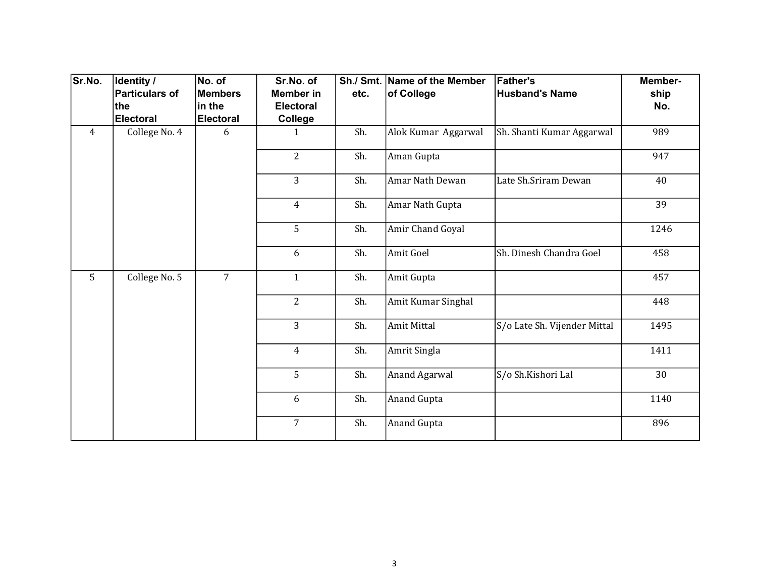| Sr.No.         | Identity /            | No. of           | Sr.No. of        |      | Sh./ Smt. Name of the Member | <b>Father's</b>              | Member- |
|----------------|-----------------------|------------------|------------------|------|------------------------------|------------------------------|---------|
|                | <b>Particulars of</b> | <b>Members</b>   | <b>Member</b> in | etc. | of College                   | <b>Husband's Name</b>        | ship    |
|                | the                   | in the           | <b>Electoral</b> |      |                              |                              | No.     |
|                | <b>Electoral</b>      | <b>Electoral</b> | College          |      |                              |                              |         |
| $\overline{4}$ | College No. 4         | 6                | 1                | Sh.  | Alok Kumar Aggarwal          | Sh. Shanti Kumar Aggarwal    | 989     |
|                |                       |                  | $\overline{2}$   | Sh.  | Aman Gupta                   |                              | 947     |
|                |                       |                  | $\overline{3}$   | Sh.  | Amar Nath Dewan              | Late Sh.Sriram Dewan         | 40      |
|                |                       |                  | $\overline{4}$   | Sh.  | Amar Nath Gupta              |                              | 39      |
|                |                       |                  | 5                | Sh.  | Amir Chand Goyal             |                              | 1246    |
|                |                       |                  | 6                | Sh.  | Amit Goel                    | Sh. Dinesh Chandra Goel      | 458     |
| 5              | College No. 5         | $\overline{7}$   | $\mathbf{1}$     | Sh.  | Amit Gupta                   |                              | 457     |
|                |                       |                  | $\overline{2}$   | Sh.  | Amit Kumar Singhal           |                              | 448     |
|                |                       |                  | $\overline{3}$   | Sh.  | Amit Mittal                  | S/o Late Sh. Vijender Mittal | 1495    |
|                |                       |                  | $\overline{4}$   | Sh.  | Amrit Singla                 |                              | 1411    |
|                |                       |                  | 5                | Sh.  | Anand Agarwal                | S/o Sh.Kishori Lal           | 30      |
|                |                       |                  | 6                | Sh.  | Anand Gupta                  |                              | 1140    |
|                |                       |                  | $\overline{7}$   | Sh.  | Anand Gupta                  |                              | 896     |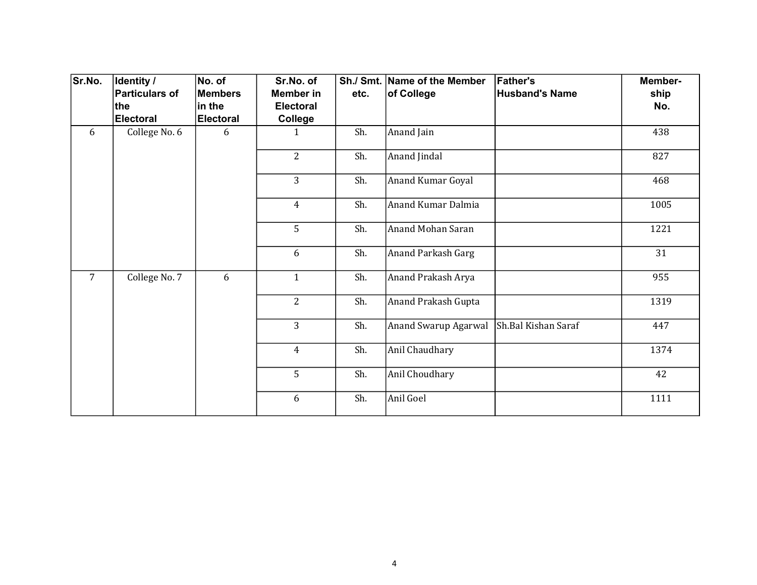| Sr.No.         | Identity /                   | No. of                   | Sr.No. of                            |      | Sh./ Smt. Name of the Member | <b>Father's</b>       | Member-     |
|----------------|------------------------------|--------------------------|--------------------------------------|------|------------------------------|-----------------------|-------------|
|                | <b>Particulars of</b><br>the | <b>Members</b><br>in the | <b>Member in</b><br><b>Electoral</b> | etc. | of College                   | <b>Husband's Name</b> | ship<br>No. |
|                | <b>Electoral</b>             | <b>Electoral</b>         | College                              |      |                              |                       |             |
| 6              | College No. 6                | 6                        | $\mathbf{1}$                         | Sh.  | Anand Jain                   |                       | 438         |
|                |                              |                          | $\overline{2}$                       | Sh.  | Anand Jindal                 |                       | 827         |
|                |                              |                          | 3                                    | Sh.  | Anand Kumar Goyal            |                       | 468         |
|                |                              |                          | $\overline{4}$                       | Sh.  | Anand Kumar Dalmia           |                       | 1005        |
|                |                              |                          | 5                                    | Sh.  | Anand Mohan Saran            |                       | 1221        |
|                |                              |                          | 6                                    | Sh.  | Anand Parkash Garg           |                       | 31          |
| $\overline{7}$ | College No. 7                | 6                        | $\mathbf{1}$                         | Sh.  | Anand Prakash Arya           |                       | 955         |
|                |                              |                          | $\overline{2}$                       | Sh.  | Anand Prakash Gupta          |                       | 1319        |
|                |                              |                          | $\overline{3}$                       | Sh.  | Anand Swarup Agarwal         | Sh.Bal Kishan Saraf   | 447         |
|                |                              |                          | $\overline{4}$                       | Sh.  | Anil Chaudhary               |                       | 1374        |
|                |                              |                          | 5                                    | Sh.  | Anil Choudhary               |                       | 42          |
|                |                              |                          | 6                                    | Sh.  | Anil Goel                    |                       | 1111        |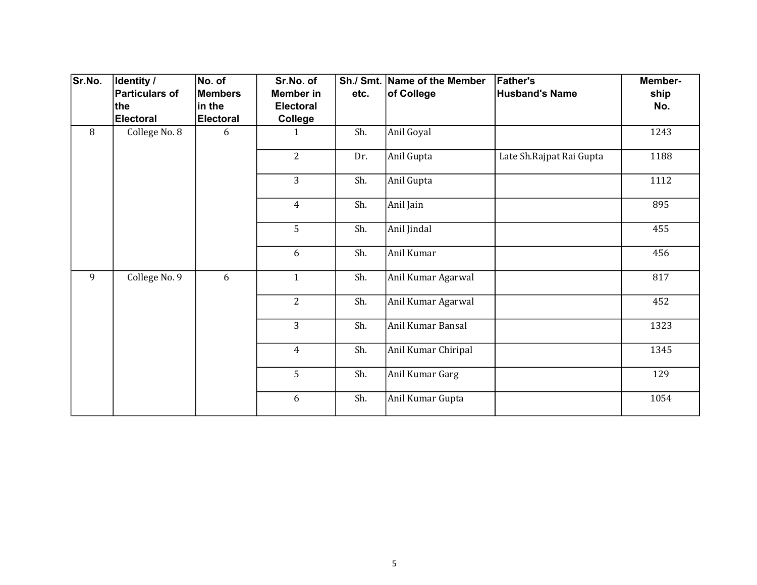| Sr.No. | Identity /<br><b>Particulars of</b> | No. of<br><b>Members</b> | Sr.No. of<br><b>Member</b> in | etc. | Sh./ Smt. Name of the Member<br>of College | <b>Father's</b><br><b>Husband's Name</b> | Member-<br>ship |
|--------|-------------------------------------|--------------------------|-------------------------------|------|--------------------------------------------|------------------------------------------|-----------------|
|        | the                                 | in the                   | <b>Electoral</b>              |      |                                            |                                          | No.             |
|        | Electoral                           | <b>Electoral</b>         | College                       |      |                                            |                                          |                 |
| 8      | College No. 8                       | 6                        | $\mathbf{1}$                  | Sh.  | Anil Goyal                                 |                                          | 1243            |
|        |                                     |                          | $\overline{2}$                | Dr.  | Anil Gupta                                 | Late Sh. Rajpat Rai Gupta                | 1188            |
|        |                                     |                          | $\overline{3}$                | Sh.  | Anil Gupta                                 |                                          | 1112            |
|        |                                     |                          | $\overline{4}$                | Sh.  | Anil Jain                                  |                                          | 895             |
|        |                                     |                          | 5                             | Sh.  | Anil Jindal                                |                                          | 455             |
|        |                                     |                          | 6                             | Sh.  | Anil Kumar                                 |                                          | 456             |
| 9      | College No. 9                       | 6                        | $\mathbf{1}$                  | Sh.  | Anil Kumar Agarwal                         |                                          | 817             |
|        |                                     |                          | $\overline{2}$                | Sh.  | Anil Kumar Agarwal                         |                                          | 452             |
|        |                                     |                          | $\overline{3}$                | Sh.  | Anil Kumar Bansal                          |                                          | 1323            |
|        |                                     |                          | $\overline{4}$                | Sh.  | Anil Kumar Chiripal                        |                                          | 1345            |
|        |                                     |                          | 5                             | Sh.  | Anil Kumar Garg                            |                                          | 129             |
|        |                                     |                          | 6                             | Sh.  | Anil Kumar Gupta                           |                                          | 1054            |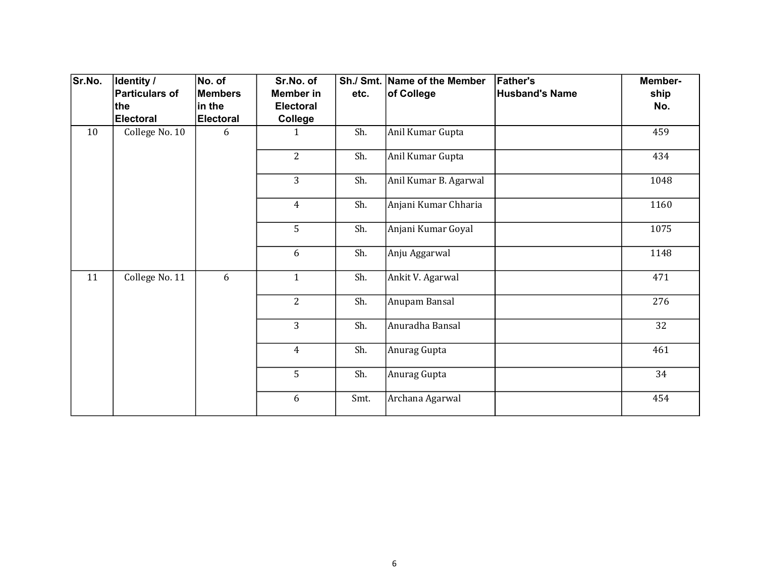| Sr.No. | Identity /<br><b>Particulars of</b> | No. of<br>Members | Sr.No. of<br><b>Member in</b> | etc. | Sh./ Smt. Name of the Member<br>of College | <b>Father's</b><br><b>Husband's Name</b> | Member-<br>ship |
|--------|-------------------------------------|-------------------|-------------------------------|------|--------------------------------------------|------------------------------------------|-----------------|
|        | the                                 | in the            | <b>Electoral</b>              |      |                                            |                                          | No.             |
|        | <b>Electoral</b>                    | <b>Electoral</b>  | College                       |      |                                            |                                          |                 |
| 10     | College No. 10                      | 6                 | $\mathbf{1}$                  | Sh.  | Anil Kumar Gupta                           |                                          | 459             |
|        |                                     |                   | $\overline{2}$                | Sh.  | Anil Kumar Gupta                           |                                          | 434             |
|        |                                     |                   | 3                             | Sh.  | Anil Kumar B. Agarwal                      |                                          | 1048            |
|        |                                     |                   | $\overline{4}$                | Sh.  | Anjani Kumar Chharia                       |                                          | 1160            |
|        |                                     |                   | 5                             | Sh.  | Anjani Kumar Goyal                         |                                          | 1075            |
|        |                                     |                   | 6                             | Sh.  | Anju Aggarwal                              |                                          | 1148            |
| 11     | College No. 11                      | 6                 | $\mathbf{1}$                  | Sh.  | Ankit V. Agarwal                           |                                          | 471             |
|        |                                     |                   | $\overline{2}$                | Sh.  | Anupam Bansal                              |                                          | 276             |
|        |                                     |                   | $\overline{3}$                | Sh.  | Anuradha Bansal                            |                                          | 32              |
|        |                                     |                   | $\overline{4}$                | Sh.  | Anurag Gupta                               |                                          | 461             |
|        |                                     |                   | 5                             | Sh.  | Anurag Gupta                               |                                          | 34              |
|        |                                     |                   | 6                             | Smt. | Archana Agarwal                            |                                          | 454             |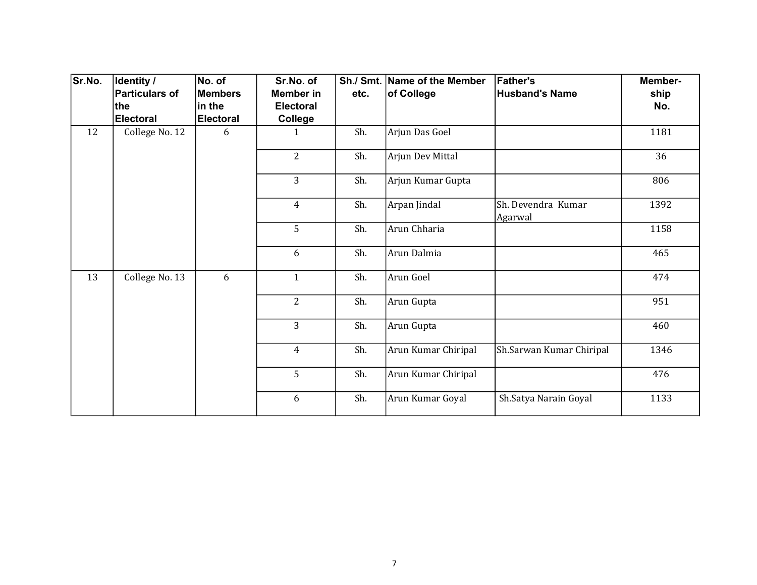| Sr.No. | Identity /<br><b>Particulars of</b> | No. of<br><b>Members</b> | Sr.No. of<br>Member in | etc. | Sh./ Smt. Name of the Member<br>of College | <b>Father's</b><br><b>Husband's Name</b> | Member-<br>ship |
|--------|-------------------------------------|--------------------------|------------------------|------|--------------------------------------------|------------------------------------------|-----------------|
|        | the                                 | in the                   | <b>Electoral</b>       |      |                                            |                                          | No.             |
|        | <b>Electoral</b>                    | <b>Electoral</b>         | College                |      |                                            |                                          |                 |
| 12     | College No. 12                      | 6                        | $\mathbf{1}$           | Sh.  | Arjun Das Goel                             |                                          | 1181            |
|        |                                     |                          | $\overline{2}$         | Sh.  | Arjun Dev Mittal                           |                                          | 36              |
|        |                                     |                          | $\overline{3}$         | Sh.  | Arjun Kumar Gupta                          |                                          | 806             |
|        |                                     |                          | $\overline{4}$         | Sh.  | Arpan Jindal                               | Sh. Devendra Kumar<br>Agarwal            | 1392            |
|        |                                     |                          | 5                      | Sh.  | Arun Chharia                               |                                          | 1158            |
|        |                                     |                          | 6                      | Sh.  | Arun Dalmia                                |                                          | 465             |
| 13     | College No. 13                      | 6                        | $\mathbf{1}$           | Sh.  | Arun Goel                                  |                                          | 474             |
|        |                                     |                          | 2                      | Sh.  | Arun Gupta                                 |                                          | 951             |
|        |                                     |                          | $\overline{3}$         | Sh.  | Arun Gupta                                 |                                          | 460             |
|        |                                     |                          | $\overline{4}$         | Sh.  | Arun Kumar Chiripal                        | Sh.Sarwan Kumar Chiripal                 | 1346            |
|        |                                     |                          | 5                      | Sh.  | Arun Kumar Chiripal                        |                                          | 476             |
|        |                                     |                          | 6                      | Sh.  | Arun Kumar Goyal                           | Sh.Satya Narain Goyal                    | 1133            |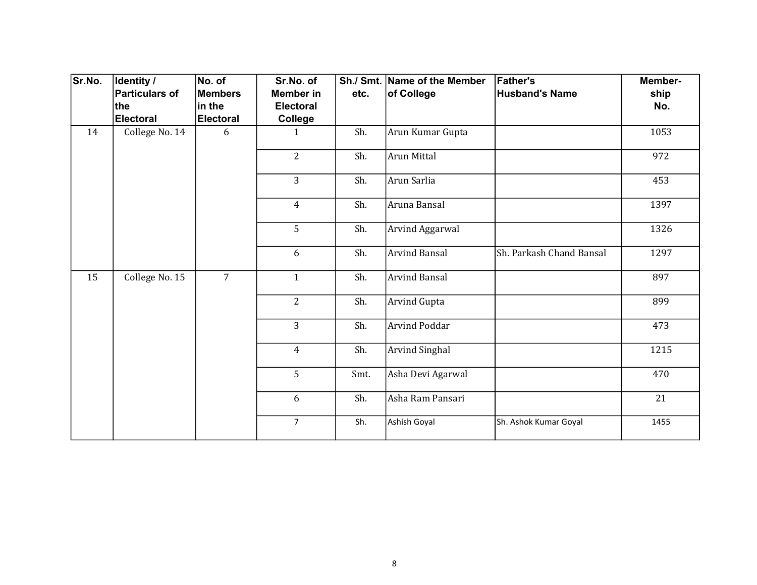| Sr.No. | Identity /            | No. of           | Sr.No. of        |      | Sh./ Smt. Name of the Member | <b>Father's</b>          | Member- |
|--------|-----------------------|------------------|------------------|------|------------------------------|--------------------------|---------|
|        | <b>Particulars of</b> | <b>Members</b>   | Member in        | etc. | of College                   | <b>Husband's Name</b>    | ship    |
|        | the                   | $\sf lin$ the    | <b>Electoral</b> |      |                              |                          | No.     |
|        | <b>Electoral</b>      | <b>Electoral</b> | <b>College</b>   |      |                              |                          |         |
| 14     | College No. 14        | 6                | $\mathbf{1}$     | Sh.  | Arun Kumar Gupta             |                          | 1053    |
|        |                       |                  | $\overline{2}$   | Sh.  | Arun Mittal                  |                          | 972     |
|        |                       |                  | 3                | Sh.  | Arun Sarlia                  |                          | 453     |
|        |                       |                  | $\overline{4}$   | Sh.  | Aruna Bansal                 |                          | 1397    |
|        |                       |                  | 5                | Sh.  | Arvind Aggarwal              |                          | 1326    |
|        |                       |                  | 6                | Sh.  | <b>Arvind Bansal</b>         | Sh. Parkash Chand Bansal | 1297    |
| 15     | College No. 15        | $\overline{7}$   | $\mathbf{1}$     | Sh.  | Arvind Bansal                |                          | 897     |
|        |                       |                  | $\overline{2}$   | Sh.  | <b>Arvind Gupta</b>          |                          | 899     |
|        |                       |                  | 3                | Sh.  | Arvind Poddar                |                          | 473     |
|        |                       |                  | $\overline{4}$   | Sh.  | <b>Arvind Singhal</b>        |                          | 1215    |
|        |                       |                  | 5                | Smt. | Asha Devi Agarwal            |                          | 470     |
|        |                       |                  | 6                | Sh.  | Asha Ram Pansari             |                          | 21      |
|        |                       |                  | $\overline{7}$   | Sh.  | Ashish Goyal                 | Sh. Ashok Kumar Goyal    | 1455    |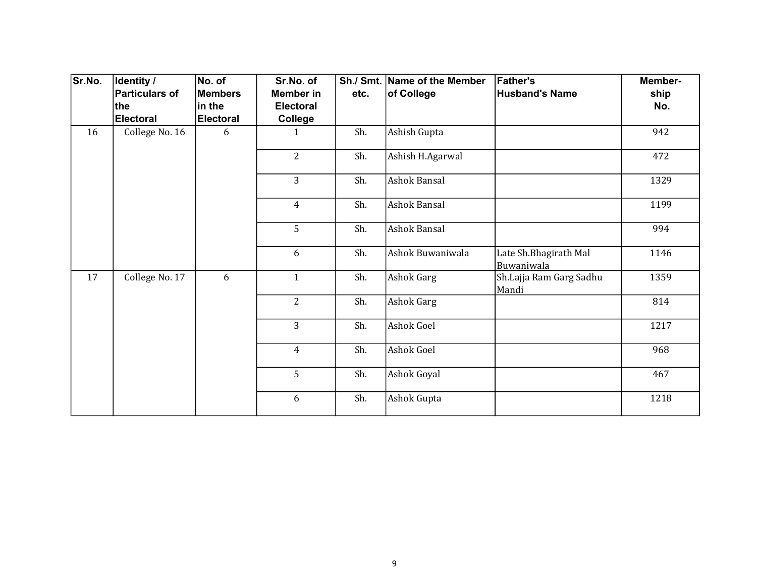| Sr.No. | Identity /<br><b>Particulars of</b> | No. of<br><b>Members</b> | Sr.No. of<br><b>Member</b> in | etc. | Sh./ Smt. Name of the Member<br>of College | <b>Father's</b><br><b>Husband's Name</b> | Member-<br>ship |
|--------|-------------------------------------|--------------------------|-------------------------------|------|--------------------------------------------|------------------------------------------|-----------------|
|        | the                                 | in the                   | <b>Electoral</b>              |      |                                            |                                          | No.             |
|        | Electoral                           | <b>Electoral</b>         | College                       |      |                                            |                                          |                 |
| 16     | College No. 16                      | 6                        | $\mathbf{1}$                  | Sh.  | Ashish Gupta                               |                                          | 942             |
|        |                                     |                          | $\overline{2}$                | Sh.  | Ashish H.Agarwal                           |                                          | 472             |
|        |                                     |                          | $\overline{3}$                | Sh.  | Ashok Bansal                               |                                          | 1329            |
|        |                                     |                          | $\overline{4}$                | Sh.  | Ashok Bansal                               |                                          | 1199            |
|        |                                     |                          | 5                             | Sh.  | <b>Ashok Bansal</b>                        |                                          | 994             |
|        |                                     |                          | 6                             | Sh.  | Ashok Buwaniwala                           | Late Sh. Bhagirath Mal<br>Buwaniwala     | 1146            |
| 17     | College No. 17                      | 6                        | $\mathbf{1}$                  | Sh.  | Ashok Garg                                 | Sh.Lajja Ram Garg Sadhu<br>Mandi         | 1359            |
|        |                                     |                          | $\overline{2}$                | Sh.  | <b>Ashok Garg</b>                          |                                          | 814             |
|        |                                     |                          | $\overline{3}$                | Sh.  | Ashok Goel                                 |                                          | 1217            |
|        |                                     |                          | $\overline{4}$                | Sh.  | Ashok Goel                                 |                                          | 968             |
|        |                                     |                          | 5                             | Sh.  | Ashok Goyal                                |                                          | 467             |
|        |                                     |                          | 6                             | Sh.  | Ashok Gupta                                |                                          | 1218            |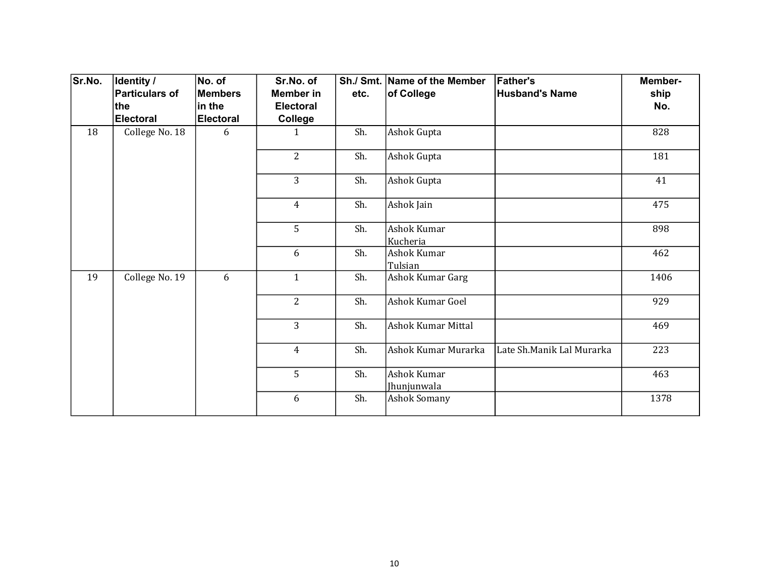| Sr.No. | Identity /<br><b>Particulars of</b> | No. of<br><b>Members</b> | Sr.No. of<br><b>Member in</b> | etc. | Sh./ Smt. Name of the Member<br>of College | <b>Father's</b><br><b>Husband's Name</b> | Member-<br>ship |
|--------|-------------------------------------|--------------------------|-------------------------------|------|--------------------------------------------|------------------------------------------|-----------------|
|        | the                                 | in the                   | <b>Electoral</b>              |      |                                            |                                          | No.             |
|        | <b>Electoral</b>                    | <b>Electoral</b>         | College                       |      |                                            |                                          |                 |
| 18     | College No. 18                      | 6                        | $\mathbf{1}$                  | Sh.  | Ashok Gupta                                |                                          | 828             |
|        |                                     |                          | $\overline{2}$                | Sh.  | Ashok Gupta                                |                                          | 181             |
|        |                                     |                          | $\overline{3}$                | Sh.  | Ashok Gupta                                |                                          | 41              |
|        |                                     |                          | $\overline{4}$                | Sh.  | Ashok Jain                                 |                                          | 475             |
|        |                                     |                          | 5                             | Sh.  | Ashok Kumar<br>Kucheria                    |                                          | 898             |
|        |                                     |                          | 6                             | Sh.  | Ashok Kumar<br>Tulsian                     |                                          | 462             |
| 19     | College No. 19                      | 6                        | $\mathbf{1}$                  | Sh.  | Ashok Kumar Garg                           |                                          | 1406            |
|        |                                     |                          | $\overline{2}$                | Sh.  | Ashok Kumar Goel                           |                                          | 929             |
|        |                                     |                          | $\overline{3}$                | Sh.  | <b>Ashok Kumar Mittal</b>                  |                                          | 469             |
|        |                                     |                          | $\overline{4}$                | Sh.  | Ashok Kumar Murarka                        | Late Sh.Manik Lal Murarka                | 223             |
|        |                                     |                          | 5                             | Sh.  | Ashok Kumar<br>Jhunjunwala                 |                                          | 463             |
|        |                                     |                          | 6                             | Sh.  | <b>Ashok Somany</b>                        |                                          | 1378            |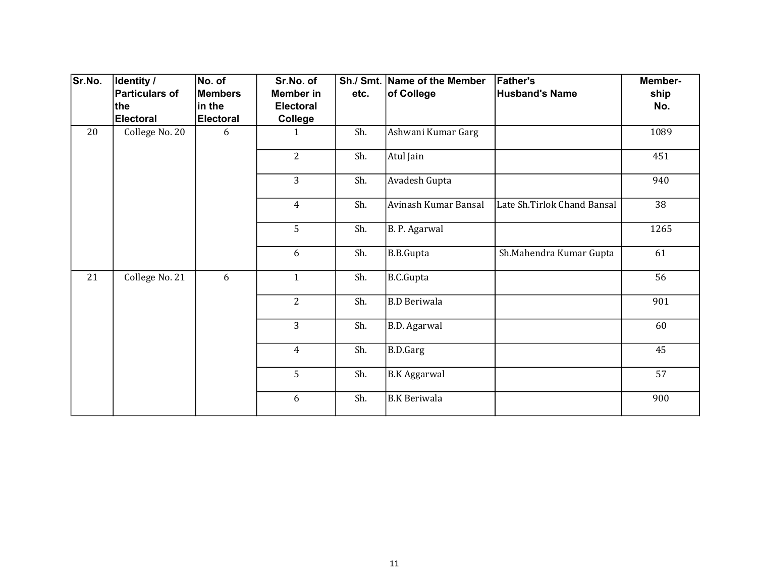| Sr.No. | Identity /<br><b>Particulars of</b> | No. of<br><b>Members</b> | Sr.No. of<br><b>Member</b> in | etc. | Sh./ Smt. Name of the Member<br>of College | <b>Father's</b><br><b>Husband's Name</b> | Member-<br>ship |
|--------|-------------------------------------|--------------------------|-------------------------------|------|--------------------------------------------|------------------------------------------|-----------------|
|        | the                                 | in the                   | <b>Electoral</b>              |      |                                            |                                          | No.             |
|        | Electoral                           | <b>Electoral</b>         | College                       |      |                                            |                                          |                 |
| 20     | College No. 20                      | 6                        | $\mathbf{1}$                  | Sh.  | Ashwani Kumar Garg                         |                                          | 1089            |
|        |                                     |                          | $\overline{2}$                | Sh.  | Atul Jain                                  |                                          | 451             |
|        |                                     |                          | $\overline{3}$                | Sh.  | Avadesh Gupta                              |                                          | 940             |
|        |                                     |                          | $\overline{4}$                | Sh.  | Avinash Kumar Bansal                       | Late Sh.Tirlok Chand Bansal              | 38              |
|        |                                     |                          | 5                             | Sh.  | B. P. Agarwal                              |                                          | 1265            |
|        |                                     |                          | 6                             | Sh.  | <b>B.B.Gupta</b>                           | Sh.Mahendra Kumar Gupta                  | 61              |
| 21     | College No. 21                      | 6                        | $\mathbf{1}$                  | Sh.  | B.C.Gupta                                  |                                          | 56              |
|        |                                     |                          | $\overline{2}$                | Sh.  | <b>B.D Beriwala</b>                        |                                          | 901             |
|        |                                     |                          | $\overline{3}$                | Sh.  | <b>B.D.</b> Agarwal                        |                                          | 60              |
|        |                                     |                          | $\overline{4}$                | Sh.  | B.D.Garg                                   |                                          | 45              |
|        |                                     |                          | 5                             | Sh.  | B.K Aggarwal                               |                                          | 57              |
|        |                                     |                          | 6                             | Sh.  | <b>B.K Beriwala</b>                        |                                          | 900             |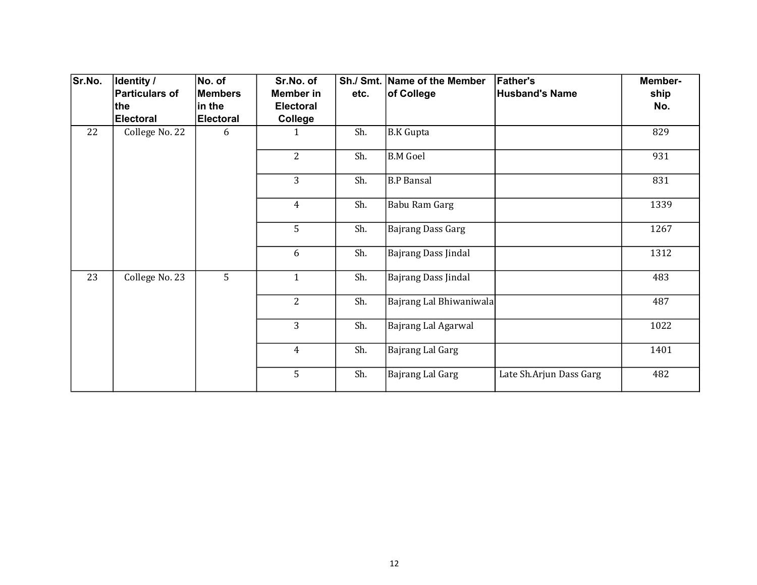| Sr.No. | Identity /            | No. of           | Sr.No. of        |      | Sh./ Smt. Name of the Member | <b>Father's</b>         | Member- |
|--------|-----------------------|------------------|------------------|------|------------------------------|-------------------------|---------|
|        | <b>Particulars of</b> | Members          | <b>Member</b> in | etc. | of College                   | <b>Husband's Name</b>   | ship    |
|        | the                   | in the           | <b>Electoral</b> |      |                              |                         | No.     |
|        | <b>Electoral</b>      | <b>Electoral</b> | College          |      |                              |                         |         |
| 22     | College No. 22        | 6                | 1                | Sh.  | B.K Gupta                    |                         | 829     |
|        |                       |                  | $\overline{2}$   | Sh.  | B.M Goel                     |                         | 931     |
|        |                       |                  | 3                | Sh.  | B.P Bansal                   |                         | 831     |
|        |                       |                  | $\overline{4}$   | Sh.  | Babu Ram Garg                |                         | 1339    |
|        |                       |                  | 5                | Sh.  | <b>Bajrang Dass Garg</b>     |                         | 1267    |
|        |                       |                  | 6                | Sh.  | Bajrang Dass Jindal          |                         | 1312    |
| 23     | College No. 23        | 5                | $\mathbf{1}$     | Sh.  | Bajrang Dass Jindal          |                         | 483     |
|        |                       |                  | 2                | Sh.  | Bajrang Lal Bhiwaniwala      |                         | 487     |
|        |                       |                  | $\overline{3}$   | Sh.  | Bajrang Lal Agarwal          |                         | 1022    |
|        |                       |                  | $\overline{4}$   | Sh.  | Bajrang Lal Garg             |                         | 1401    |
|        |                       |                  | 5                | Sh.  | Bajrang Lal Garg             | Late Sh.Arjun Dass Garg | 482     |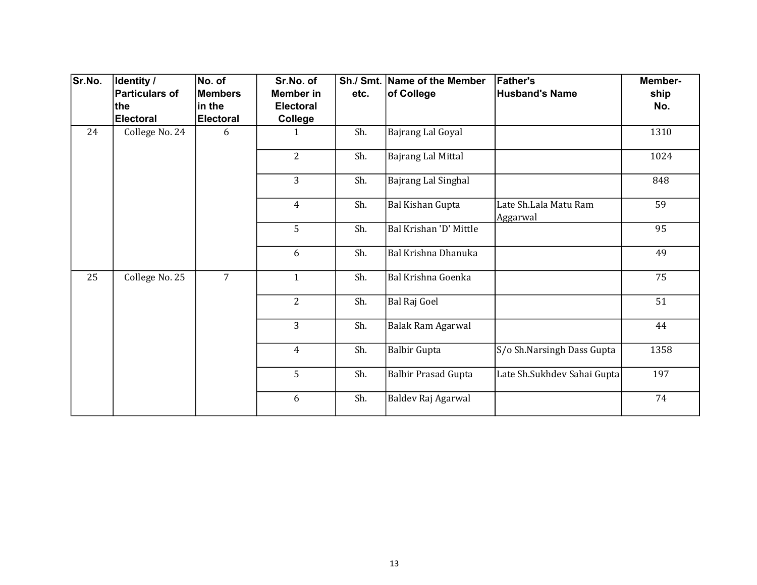| Sr.No. | Identity /<br><b>Particulars of</b> | No. of<br><b>Members</b> | Sr.No. of<br>Member in | etc. | Sh./ Smt.   Name of the Member<br>of College | <b>Father's</b><br><b>Husband's Name</b> | Member-<br>ship |
|--------|-------------------------------------|--------------------------|------------------------|------|----------------------------------------------|------------------------------------------|-----------------|
|        | the                                 | in the                   | <b>Electoral</b>       |      |                                              |                                          | No.             |
|        | <b>Electoral</b>                    | <b>Electoral</b>         | College                |      |                                              |                                          |                 |
| 24     | College No. 24                      | 6                        | $\mathbf{1}$           | Sh.  | Bajrang Lal Goyal                            |                                          | 1310            |
|        |                                     |                          | $\overline{2}$         | Sh.  | <b>Bajrang Lal Mittal</b>                    |                                          | 1024            |
|        |                                     |                          | $\overline{3}$         | Sh.  | Bajrang Lal Singhal                          |                                          | 848             |
|        |                                     |                          | $\overline{4}$         | Sh.  | <b>Bal Kishan Gupta</b>                      | Late Sh.Lala Matu Ram<br>Aggarwal        | 59              |
|        |                                     |                          | 5                      | Sh.  | Bal Krishan 'D' Mittle                       |                                          | 95              |
|        |                                     |                          | 6                      | Sh.  | Bal Krishna Dhanuka                          |                                          | 49              |
| 25     | College No. 25                      | $\overline{7}$           | $\mathbf{1}$           | Sh.  | Bal Krishna Goenka                           |                                          | 75              |
|        |                                     |                          | 2                      | Sh.  | Bal Raj Goel                                 |                                          | 51              |
|        |                                     |                          | $\overline{3}$         | Sh.  | Balak Ram Agarwal                            |                                          | 44              |
|        |                                     |                          | $\overline{4}$         | Sh.  | <b>Balbir Gupta</b>                          | S/o Sh.Narsingh Dass Gupta               | 1358            |
|        |                                     |                          | 5                      | Sh.  | <b>Balbir Prasad Gupta</b>                   | Late Sh.Sukhdev Sahai Gupta              | 197             |
|        |                                     |                          | 6                      | Sh.  | Baldev Raj Agarwal                           |                                          | 74              |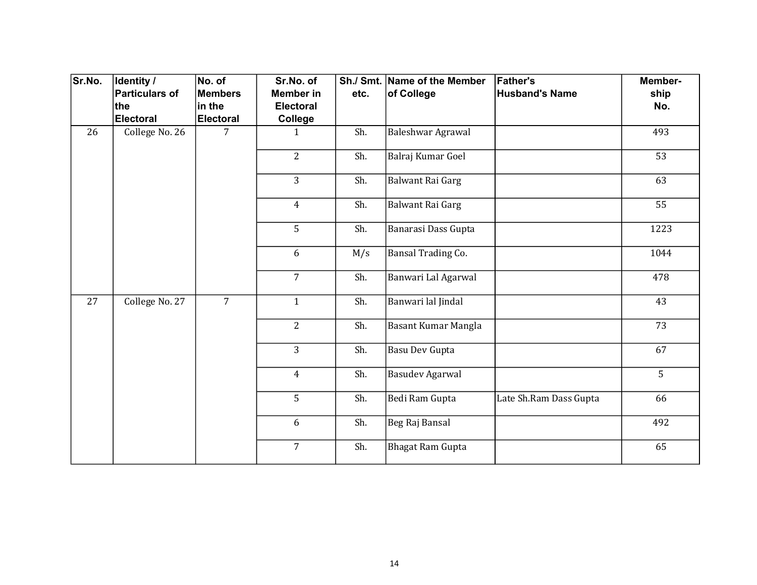| Sr.No. | <b>Identity /</b> | No. of           | Sr.No. of        |      | Sh./ Smt. Name of the Member | <b>Father's</b>        | Member- |
|--------|-------------------|------------------|------------------|------|------------------------------|------------------------|---------|
|        | Particulars of    | <b>Members</b>   | <b>Member in</b> | etc. | of College                   | <b>Husband's Name</b>  | ship    |
|        | ∣the              | in the           | <b>Electoral</b> |      |                              |                        | No.     |
|        | Electoral         | <b>Electoral</b> | College          |      |                              |                        |         |
| 26     | College No. 26    | 7                | 1                | Sh.  | Baleshwar Agrawal            |                        | 493     |
|        |                   |                  | $\overline{2}$   | Sh.  | Balraj Kumar Goel            |                        | 53      |
|        |                   |                  | 3                | Sh.  | Balwant Rai Garg             |                        | 63      |
|        |                   |                  | $\overline{4}$   | Sh.  | Balwant Rai Garg             |                        | 55      |
|        |                   |                  | 5                | Sh.  | Banarasi Dass Gupta          |                        | 1223    |
|        |                   |                  | 6                | M/s  | Bansal Trading Co.           |                        | 1044    |
|        |                   |                  | $\overline{7}$   | Sh.  | Banwari Lal Agarwal          |                        | 478     |
| 27     | College No. 27    | $\overline{7}$   | $\mathbf{1}$     | Sh.  | Banwari lal Jindal           |                        | 43      |
|        |                   |                  | $\overline{2}$   | Sh.  | Basant Kumar Mangla          |                        | 73      |
|        |                   |                  | $\overline{3}$   | Sh.  | <b>Basu Dev Gupta</b>        |                        | 67      |
|        |                   |                  | $\overline{4}$   | Sh.  | <b>Basudev Agarwal</b>       |                        | 5       |
|        |                   |                  | 5                | Sh.  | Bedi Ram Gupta               | Late Sh.Ram Dass Gupta | 66      |
|        |                   |                  | 6                | Sh.  | Beg Raj Bansal               |                        | 492     |
|        |                   |                  | $\overline{7}$   | Sh.  | <b>Bhagat Ram Gupta</b>      |                        | 65      |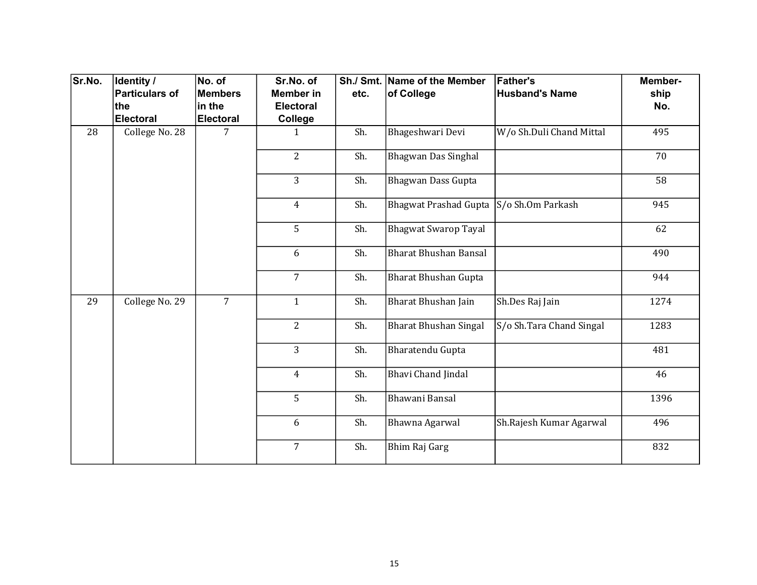| Sr.No. | Identity /     | No. of           | Sr.No. of        |      | Sh./ Smt. Name of the Member | <b>Father's</b>          | Member- |
|--------|----------------|------------------|------------------|------|------------------------------|--------------------------|---------|
|        | Particulars of | <b>Members</b>   | <b>Member in</b> | etc. | of College                   | <b>Husband's Name</b>    | ship    |
|        | the            | in the           | <b>Electoral</b> |      |                              |                          | No.     |
|        | Electoral      | <b>Electoral</b> | <b>College</b>   |      |                              |                          |         |
| 28     | College No. 28 | 7                | $\mathbf{1}$     | Sh.  | Bhageshwari Devi             | W/o Sh.Duli Chand Mittal | 495     |
|        |                |                  | $\overline{2}$   | Sh.  | Bhagwan Das Singhal          |                          | 70      |
|        |                |                  | 3                | Sh.  | Bhagwan Dass Gupta           |                          | 58      |
|        |                |                  | $\overline{4}$   | Sh.  | <b>Bhagwat Prashad Gupta</b> | S/o Sh.Om Parkash        | 945     |
|        |                |                  | 5                | Sh.  | <b>Bhagwat Swarop Tayal</b>  |                          | 62      |
|        |                |                  | 6                | Sh.  | <b>Bharat Bhushan Bansal</b> |                          | 490     |
|        |                |                  | $\overline{7}$   | Sh.  | <b>Bharat Bhushan Gupta</b>  |                          | 944     |
| 29     | College No. 29 | $\overline{7}$   | $\mathbf{1}$     | Sh.  | Bharat Bhushan Jain          | Sh.Des Raj Jain          | 1274    |
|        |                |                  | $\overline{2}$   | Sh.  | <b>Bharat Bhushan Singal</b> | S/o Sh.Tara Chand Singal | 1283    |
|        |                |                  | $\overline{3}$   | Sh.  | Bharatendu Gupta             |                          | 481     |
|        |                |                  | $\overline{4}$   | Sh.  | <b>Bhavi Chand Jindal</b>    |                          | 46      |
|        |                |                  | 5                | Sh.  | Bhawani Bansal               |                          | 1396    |
|        |                |                  | 6                | Sh.  | Bhawna Agarwal               | Sh.Rajesh Kumar Agarwal  | 496     |
|        |                |                  | $\overline{7}$   | Sh.  | Bhim Raj Garg                |                          | 832     |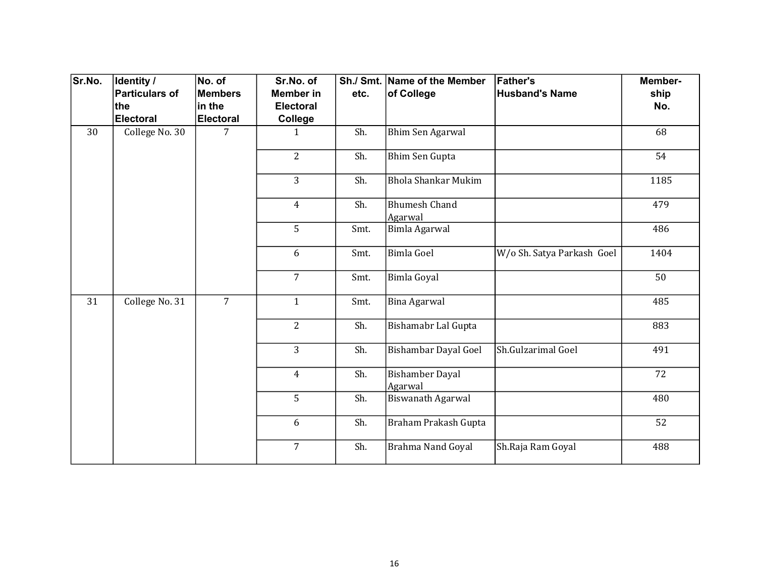| Sr.No. | Identity /<br><b>Particulars of</b> | No. of<br><b>Members</b> | Sr.No. of<br><b>Member in</b> | etc.           | Sh./ Smt. Name of the Member<br>of College | <b>Father's</b><br><b>Husband's Name</b> | Member-<br>ship |     |
|--------|-------------------------------------|--------------------------|-------------------------------|----------------|--------------------------------------------|------------------------------------------|-----------------|-----|
|        | the                                 | in the                   | <b>Electoral</b>              |                |                                            |                                          | No.             |     |
|        | <b>Electoral</b>                    | <b>Electoral</b>         | College                       |                |                                            |                                          |                 |     |
| 30     | College No. 30                      | 7                        | $\mathbf{1}$                  | Sh.            | Bhim Sen Agarwal                           |                                          | 68              |     |
|        |                                     |                          | $\overline{2}$                | Sh.            | <b>Bhim Sen Gupta</b>                      |                                          | 54              |     |
|        |                                     |                          | 3                             | Sh.            | <b>Bhola Shankar Mukim</b>                 |                                          | 1185            |     |
|        |                                     |                          | $\overline{4}$                | Sh.            | <b>Bhumesh Chand</b><br>Agarwal            |                                          | 479             |     |
|        |                                     |                          | 5                             | Smt.           | Bimla Agarwal                              |                                          | 486             |     |
|        |                                     |                          | 6                             | Smt.           | <b>Bimla Goel</b>                          | W/o Sh. Satya Parkash Goel               | 1404            |     |
|        |                                     |                          | $\overline{7}$                | Smt.           | <b>Bimla Goyal</b>                         |                                          | 50              |     |
| 31     | College No. 31                      | $\overline{7}$           | $\mathbf{1}$                  | Smt.           | <b>Bina Agarwal</b>                        |                                          | 485             |     |
|        |                                     |                          |                               | $\overline{2}$ | Sh.                                        | Bishamabr Lal Gupta                      |                 | 883 |
|        |                                     |                          | 3                             | Sh.            | Bishambar Dayal Goel                       | Sh.Gulzarimal Goel                       | 491             |     |
|        |                                     |                          | $\overline{4}$                | Sh.            | <b>Bishamber Dayal</b><br>Agarwal          |                                          | 72              |     |
|        |                                     |                          | 5                             | Sh.            | Biswanath Agarwal                          |                                          | 480             |     |
|        |                                     |                          | 6                             | Sh.            | Braham Prakash Gupta                       |                                          | 52              |     |
|        |                                     |                          | $\overline{7}$                | Sh.            | Brahma Nand Goyal                          | Sh.Raja Ram Goyal                        | 488             |     |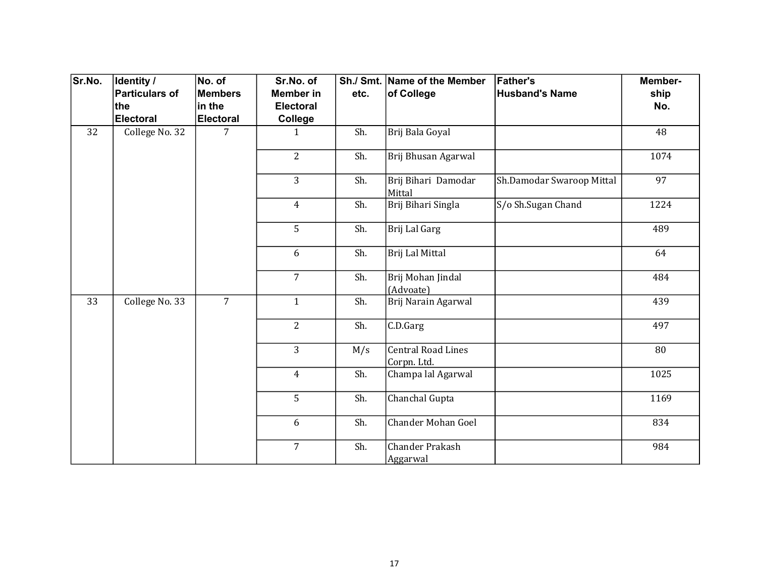| Sr.No. | <b>Identity /</b> | No. of           | Sr.No. of        |      | Sh./ Smt. Name of the Member             | <b>Father's</b>           | Member- |
|--------|-------------------|------------------|------------------|------|------------------------------------------|---------------------------|---------|
|        | Particulars of    | <b>Members</b>   | <b>Member in</b> | etc. | of College                               | <b>Husband's Name</b>     | ship    |
|        | ∣the              | in the           | Electoral        |      |                                          |                           | No.     |
|        | Electoral         | <b>Electoral</b> | College          |      |                                          |                           |         |
| 32     | College No. 32    | 7                | $\mathbf{1}$     | Sh.  | Brij Bala Goyal                          |                           | 48      |
|        |                   |                  | $\overline{2}$   | Sh.  | Brij Bhusan Agarwal                      |                           | 1074    |
|        |                   |                  | 3                | Sh.  | Brij Bihari Damodar<br>Mittal            | Sh.Damodar Swaroop Mittal | 97      |
|        |                   |                  | $\overline{4}$   | Sh.  | Brij Bihari Singla                       | S/o Sh.Sugan Chand        | 1224    |
|        |                   |                  | 5                | Sh.  | Brij Lal Garg                            |                           | 489     |
|        |                   |                  | 6                | Sh.  | Brij Lal Mittal                          |                           | 64      |
|        |                   |                  | $\overline{7}$   | Sh.  | Brij Mohan Jindal<br>(Advoate)           |                           | 484     |
| 33     | College No. 33    | $\overline{7}$   | $\mathbf{1}$     | Sh.  | Brij Narain Agarwal                      |                           | 439     |
|        |                   |                  | $\overline{2}$   | Sh.  | C.D.Garg                                 |                           | 497     |
|        |                   |                  | $\overline{3}$   | M/s  | <b>Central Road Lines</b><br>Corpn. Ltd. |                           | 80      |
|        |                   |                  | $\overline{4}$   | Sh.  | Champa lal Agarwal                       |                           | 1025    |
|        |                   |                  | 5                | Sh.  | Chanchal Gupta                           |                           | 1169    |
|        |                   |                  | 6                | Sh.  | <b>Chander Mohan Goel</b>                |                           | 834     |
|        |                   |                  | $\overline{7}$   | Sh.  | Chander Prakash<br>Aggarwal              |                           | 984     |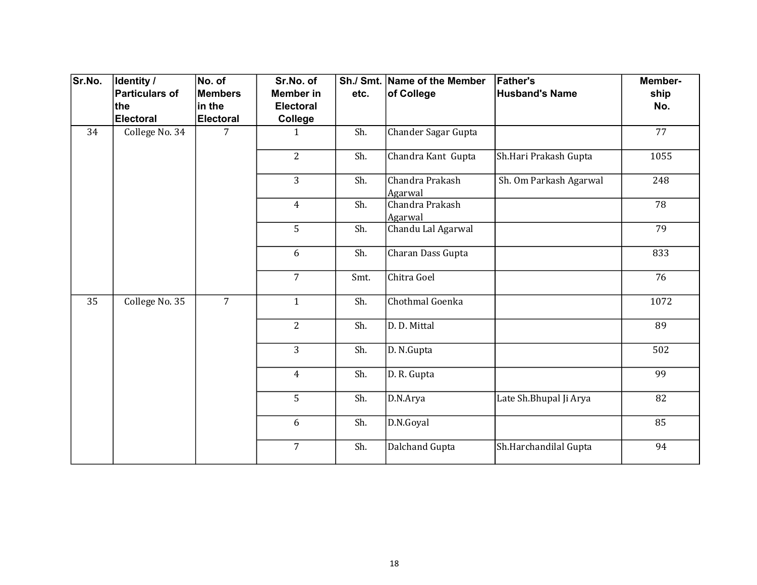| Sr.No. | Identity /     | No. of           | Sr.No. of        |      | Sh./ Smt. Name of the Member | <b>Father's</b>         | Member- |
|--------|----------------|------------------|------------------|------|------------------------------|-------------------------|---------|
|        | Particulars of | <b>Members</b>   | <b>Member in</b> | etc. | of College                   | <b>Husband's Name</b>   | ship    |
|        | ∣the           | in the           | <b>Electoral</b> |      |                              |                         | No.     |
|        | Electoral      | <b>Electoral</b> | College          |      |                              |                         |         |
| 34     | College No. 34 | 7                | $\mathbf{1}$     | Sh.  | Chander Sagar Gupta          |                         | 77      |
|        |                |                  | $\overline{2}$   | Sh.  | Chandra Kant Gupta           | Sh.Hari Prakash Gupta   | 1055    |
|        |                |                  | 3                | Sh.  | Chandra Prakash<br>Agarwal   | Sh. Om Parkash Agarwal  | 248     |
|        |                |                  | $\overline{4}$   | Sh.  | Chandra Prakash<br>Agarwal   |                         | 78      |
|        |                |                  | 5                | Sh.  | Chandu Lal Agarwal           |                         | 79      |
|        |                |                  | 6                | Sh.  | Charan Dass Gupta            |                         | 833     |
|        |                |                  | $\overline{7}$   | Smt. | Chitra Goel                  |                         | 76      |
| 35     | College No. 35 | $\overline{7}$   | $\mathbf{1}$     | Sh.  | Chothmal Goenka              |                         | 1072    |
|        |                |                  | $\overline{2}$   | Sh.  | D. D. Mittal                 |                         | 89      |
|        |                |                  | 3                | Sh.  | D. N.Gupta                   |                         | 502     |
|        |                |                  | $\overline{4}$   | Sh.  | D. R. Gupta                  |                         | 99      |
|        |                |                  | 5                | Sh.  | D.N.Arya                     | Late Sh. Bhupal Ji Arya | 82      |
|        |                |                  | 6                | Sh.  | D.N.Goyal                    |                         | 85      |
|        |                |                  | $\overline{7}$   | Sh.  | Dalchand Gupta               | Sh.Harchandilal Gupta   | 94      |
|        |                |                  |                  |      |                              |                         |         |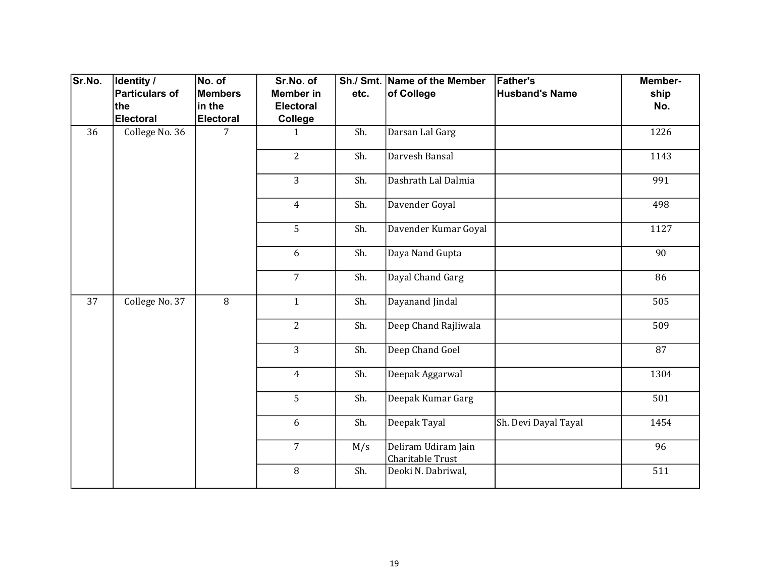| Sr.No. | Identity /            | No. of         | Sr.No. of        |                | Sh./ Smt. Name of the Member            | <b>Father's</b>       | Member- |     |
|--------|-----------------------|----------------|------------------|----------------|-----------------------------------------|-----------------------|---------|-----|
|        | <b>Particulars of</b> | <b>Members</b> | <b>Member in</b> | etc.           | of College                              | <b>Husband's Name</b> | ship    |     |
|        | the                   | in the         | Electoral        |                |                                         |                       | No.     |     |
|        | Electoral             | Electoral      | College          |                |                                         |                       |         |     |
| 36     | College No. 36        | $\overline{7}$ | $\mathbf{1}$     | Sh.            | Darsan Lal Garg                         |                       | 1226    |     |
|        |                       |                | $\overline{2}$   | Sh.            | Darvesh Bansal                          |                       | 1143    |     |
|        |                       |                | $\overline{3}$   | Sh.            | Dashrath Lal Dalmia                     |                       | 991     |     |
|        |                       |                | $\overline{4}$   | Sh.            | Davender Goyal                          |                       | 498     |     |
|        |                       |                | 5                | Sh.            | Davender Kumar Goyal                    |                       | 1127    |     |
|        |                       |                | 6                | Sh.            | Daya Nand Gupta                         |                       | 90      |     |
|        |                       |                | $\overline{7}$   | Sh.            | Dayal Chand Garg                        |                       | 86      |     |
| 37     | College No. 37        | $\overline{8}$ | $\mathbf{1}$     | Sh.            | Dayanand Jindal                         |                       | 505     |     |
|        |                       |                |                  | $\overline{2}$ | Sh.                                     | Deep Chand Rajliwala  |         | 509 |
|        |                       |                | $\overline{3}$   | Sh.            | Deep Chand Goel                         |                       | 87      |     |
|        |                       |                | $\overline{4}$   | Sh.            | Deepak Aggarwal                         |                       | 1304    |     |
|        |                       |                | 5                | Sh.            | Deepak Kumar Garg                       |                       | 501     |     |
|        |                       |                | 6                | Sh.            | Deepak Tayal                            | Sh. Devi Dayal Tayal  | 1454    |     |
|        |                       |                | $\overline{7}$   | M/s            | Deliram Udiram Jain<br>Charitable Trust |                       | 96      |     |
|        |                       |                | 8                | Sh.            | Deoki N. Dabriwal,                      |                       | 511     |     |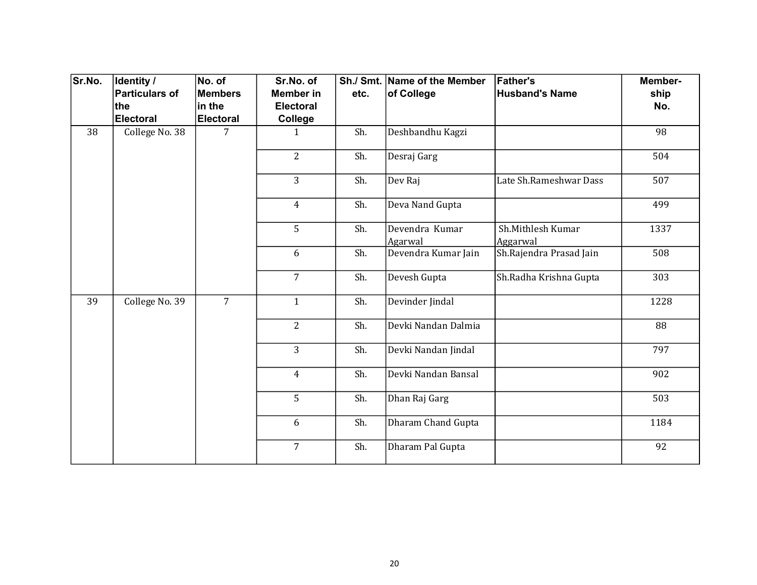| Sr.No. | Identity /     | No. of           | Sr.No. of        |      | Sh./ Smt. Name of the Member | <b>Father's</b>               | Member- |
|--------|----------------|------------------|------------------|------|------------------------------|-------------------------------|---------|
|        | Particulars of | <b>Members</b>   | <b>Member in</b> | etc. | of College                   | <b>Husband's Name</b>         | ship    |
|        | ∣the           | in the           | <b>Electoral</b> |      |                              |                               | No.     |
|        | Electoral      | <b>Electoral</b> | College          |      |                              |                               |         |
| 38     | College No. 38 | 7                | $\mathbf{1}$     | Sh.  | Deshbandhu Kagzi             |                               | 98      |
|        |                |                  | $\overline{2}$   | Sh.  | Desraj Garg                  |                               | 504     |
|        |                |                  | 3                | Sh.  | Dev Raj                      | Late Sh.Rameshwar Dass        | 507     |
|        |                |                  | $\overline{4}$   | Sh.  | Deva Nand Gupta              |                               | 499     |
|        |                |                  | 5                | Sh.  | Devendra Kumar<br>Agarwal    | Sh.Mithlesh Kumar<br>Aggarwal | 1337    |
|        |                |                  | 6                | Sh.  | Devendra Kumar Jain          | Sh.Rajendra Prasad Jain       | 508     |
|        |                |                  | $\overline{7}$   | Sh.  | Devesh Gupta                 | Sh.Radha Krishna Gupta        | 303     |
| 39     | College No. 39 | $\overline{7}$   | $\mathbf{1}$     | Sh.  | Devinder Jindal              |                               | 1228    |
|        |                |                  | $\overline{2}$   | Sh.  | Devki Nandan Dalmia          |                               | 88      |
|        |                |                  | $\overline{3}$   | Sh.  | Devki Nandan Jindal          |                               | 797     |
|        |                |                  | $\overline{4}$   | Sh.  | Devki Nandan Bansal          |                               | 902     |
|        |                |                  | 5                | Sh.  | Dhan Raj Garg                |                               | 503     |
|        |                |                  | 6                | Sh.  | Dharam Chand Gupta           |                               | 1184    |
|        |                |                  | $\overline{7}$   | Sh.  | Dharam Pal Gupta             |                               | 92      |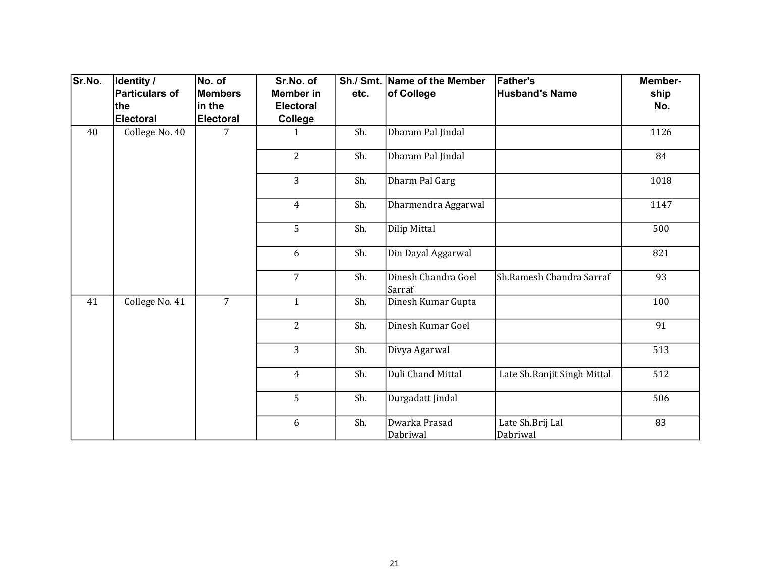| Sr.No. | Identity /            | No. of           | Sr.No. of        |      | Sh./ Smt. Name of the Member  | <b>Father's</b>              | Member- |
|--------|-----------------------|------------------|------------------|------|-------------------------------|------------------------------|---------|
|        | <b>Particulars of</b> | <b>Members</b>   | Member in        | etc. | of College                    | <b>Husband's Name</b>        | ship    |
|        | the                   | in the           | <b>Electoral</b> |      |                               |                              | No.     |
|        | <b>Electoral</b>      | <b>Electoral</b> | College          |      |                               |                              |         |
| 40     | College No. 40        | 7                | $\mathbf{1}$     | Sh.  | Dharam Pal Jindal             |                              | 1126    |
|        |                       |                  | $\overline{2}$   | Sh.  | Dharam Pal Jindal             |                              | 84      |
|        |                       |                  | 3                | Sh.  | Dharm Pal Garg                |                              | 1018    |
|        |                       |                  | $\overline{4}$   | Sh.  | Dharmendra Aggarwal           |                              | 1147    |
|        |                       |                  | 5                | Sh.  | Dilip Mittal                  |                              | 500     |
|        |                       |                  | 6                | Sh.  | Din Dayal Aggarwal            |                              | 821     |
|        |                       |                  | $\overline{7}$   | Sh.  | Dinesh Chandra Goel<br>Sarraf | Sh.Ramesh Chandra Sarraf     | 93      |
| 41     | College No. 41        | $\overline{7}$   | $\mathbf{1}$     | Sh.  | Dinesh Kumar Gupta            |                              | 100     |
|        |                       |                  | $\overline{2}$   | Sh.  | Dinesh Kumar Goel             |                              | 91      |
|        |                       |                  | 3                | Sh.  | Divya Agarwal                 |                              | 513     |
|        |                       |                  | $\overline{4}$   | Sh.  | Duli Chand Mittal             | Late Sh.Ranjit Singh Mittal  | 512     |
|        |                       |                  | 5                | Sh.  | Durgadatt Jindal              |                              | 506     |
|        |                       |                  | 6                | Sh.  | Dwarka Prasad<br>Dabriwal     | Late Sh.Brij Lal<br>Dabriwal | 83      |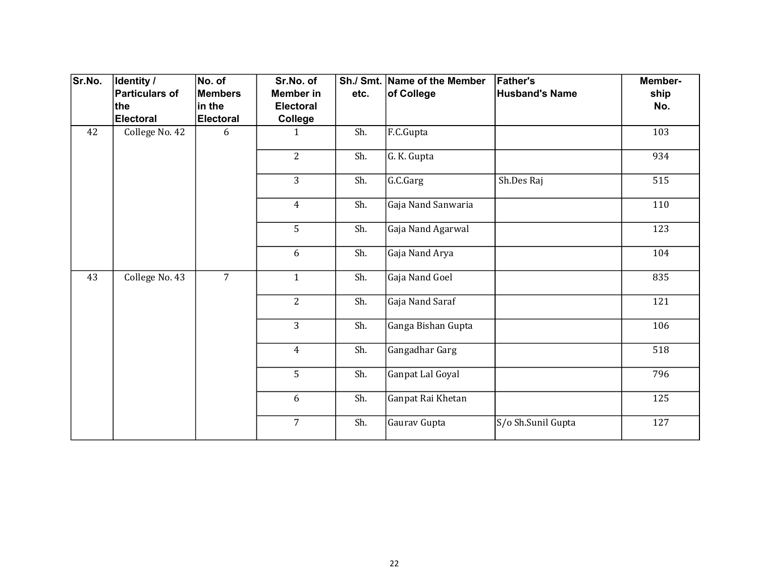| Sr.No. | Identity /              | No. of                     | Sr.No. of                   |      | Sh./ Smt. Name of the Member | <b>Father's</b>       | Member- |
|--------|-------------------------|----------------------------|-----------------------------|------|------------------------------|-----------------------|---------|
|        | <b>Particulars of</b>   | <b>Members</b>             | Member in                   | etc. | of College                   | <b>Husband's Name</b> | ship    |
|        | the<br><b>Electoral</b> | in the<br><b>Electoral</b> | <b>Electoral</b><br>College |      |                              |                       | No.     |
| 42     | College No. 42          | 6                          | 1                           | Sh.  | F.C.Gupta                    |                       | 103     |
|        |                         |                            |                             |      |                              |                       |         |
|        |                         |                            | $\overline{2}$              | Sh.  | G. K. Gupta                  |                       | 934     |
|        |                         |                            | 3                           | Sh.  | G.C.Garg                     | Sh.Des Raj            | 515     |
|        |                         |                            | $\overline{4}$              | Sh.  | Gaja Nand Sanwaria           |                       | 110     |
|        |                         |                            | 5                           | Sh.  | Gaja Nand Agarwal            |                       | 123     |
|        |                         |                            | 6                           | Sh.  | Gaja Nand Arya               |                       | 104     |
| 43     | College No. 43          | $\overline{7}$             | $\mathbf{1}$                | Sh.  | Gaja Nand Goel               |                       | 835     |
|        |                         |                            | $\overline{2}$              | Sh.  | Gaja Nand Saraf              |                       | 121     |
|        |                         |                            | 3                           | Sh.  | Ganga Bishan Gupta           |                       | 106     |
|        |                         |                            | $\overline{4}$              | Sh.  | Gangadhar Garg               |                       | 518     |
|        |                         |                            | 5                           | Sh.  | Ganpat Lal Goyal             |                       | 796     |
|        |                         |                            | 6                           | Sh.  | Ganpat Rai Khetan            |                       | 125     |
|        |                         |                            | $\overline{7}$              | Sh.  | Gaurav Gupta                 | S/o Sh.Sunil Gupta    | 127     |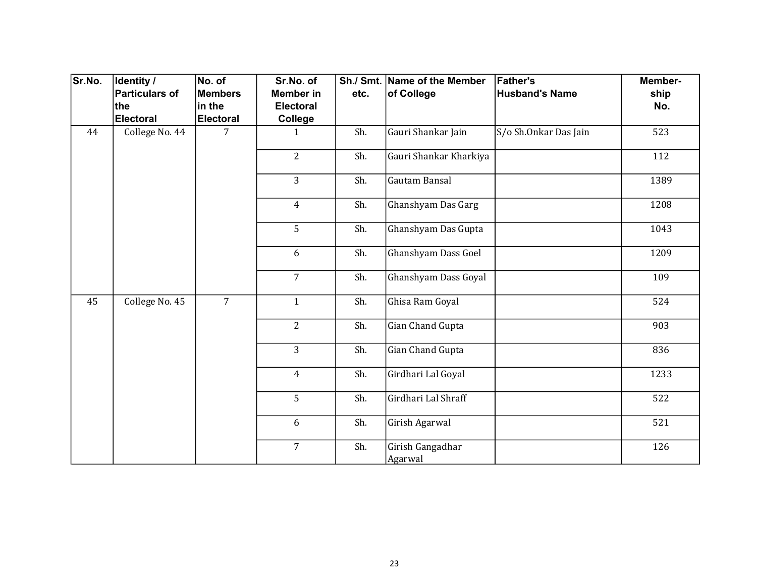| Sr.No. | Identity /     | No. of           | Sr.No. of        |      | Sh./ Smt. Name of the Member | <b>Father's</b>       | Member- |
|--------|----------------|------------------|------------------|------|------------------------------|-----------------------|---------|
|        | Particulars of | <b>Members</b>   | <b>Member in</b> | etc. | of College                   | <b>Husband's Name</b> | ship    |
|        | ∣the           | in the           | <b>Electoral</b> |      |                              |                       | No.     |
|        | Electoral      | <b>Electoral</b> | College          |      |                              |                       |         |
| 44     | College No. 44 | 7                | $\mathbf{1}$     | Sh.  | Gauri Shankar Jain           | S/o Sh.Onkar Das Jain | 523     |
|        |                |                  | $\overline{2}$   | Sh.  | Gauri Shankar Kharkiya       |                       | 112     |
|        |                |                  | 3                | Sh.  | Gautam Bansal                |                       | 1389    |
|        |                |                  | $\overline{4}$   | Sh.  | Ghanshyam Das Garg           |                       | 1208    |
|        |                |                  | 5                | Sh.  | Ghanshyam Das Gupta          |                       | 1043    |
|        |                |                  | 6                | Sh.  | Ghanshyam Dass Goel          |                       | 1209    |
|        |                |                  | $\overline{7}$   | Sh.  | Ghanshyam Dass Goyal         |                       | 109     |
| 45     | College No. 45 | $\overline{7}$   | $\mathbf{1}$     | Sh.  | Ghisa Ram Goyal              |                       | 524     |
|        |                |                  | $\overline{2}$   | Sh.  | Gian Chand Gupta             |                       | 903     |
|        |                |                  | 3                | Sh.  | Gian Chand Gupta             |                       | 836     |
|        |                |                  | $\overline{4}$   | Sh.  | Girdhari Lal Goyal           |                       | 1233    |
|        |                |                  | 5                | Sh.  | Girdhari Lal Shraff          |                       | 522     |
|        |                |                  | 6                | Sh.  | Girish Agarwal               |                       | 521     |
|        |                |                  | $\overline{7}$   | Sh.  | Girish Gangadhar<br>Agarwal  |                       | 126     |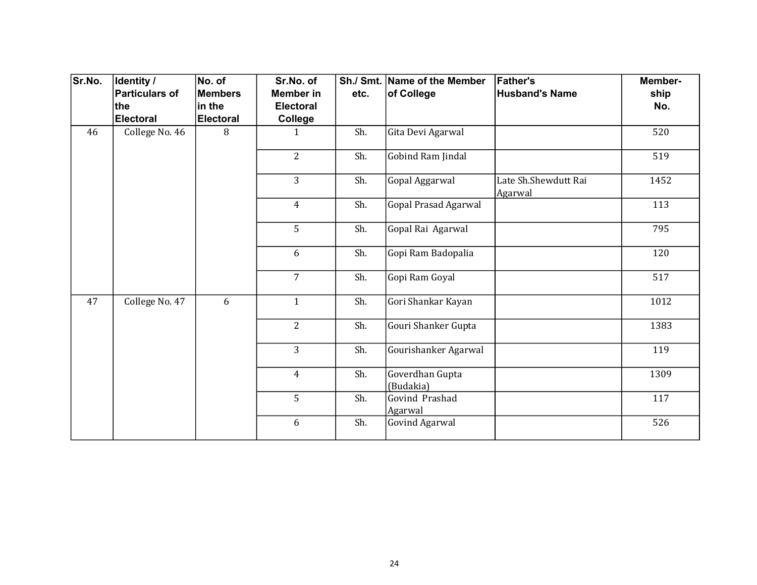| Sr.No. | Identity /            | No. of           | Sr.No. of        |      | Sh./ Smt. Name of the Member | <b>Father's</b>                 | Member- |
|--------|-----------------------|------------------|------------------|------|------------------------------|---------------------------------|---------|
|        | <b>Particulars of</b> | <b>Members</b>   | Member in        | etc. | of College                   | <b>Husband's Name</b>           | ship    |
|        | the                   | in the           | <b>Electoral</b> |      |                              |                                 | No.     |
|        | <b>Electoral</b>      | <b>Electoral</b> | College          |      |                              |                                 |         |
| 46     | College No. 46        | 8                | 1                | Sh.  | Gita Devi Agarwal            |                                 | 520     |
|        |                       |                  | $\overline{2}$   | Sh.  | Gobind Ram Jindal            |                                 | 519     |
|        |                       |                  | 3                | Sh.  | Gopal Aggarwal               | Late Sh.Shewdutt Rai<br>Agarwal | 1452    |
|        |                       |                  | $\overline{4}$   | Sh.  | <b>Gopal Prasad Agarwal</b>  |                                 | 113     |
|        |                       |                  | 5                | Sh.  | Gopal Rai Agarwal            |                                 | 795     |
|        |                       |                  | 6                | Sh.  | Gopi Ram Badopalia           |                                 | 120     |
|        |                       |                  | $\overline{7}$   | Sh.  | Gopi Ram Goyal               |                                 | 517     |
| 47     | College No. 47        | 6                | $\mathbf{1}$     | Sh.  | Gori Shankar Kayan           |                                 | 1012    |
|        |                       |                  | $\overline{2}$   | Sh.  | Gouri Shanker Gupta          |                                 | 1383    |
|        |                       |                  | $\overline{3}$   | Sh.  | Gourishanker Agarwal         |                                 | 119     |
|        |                       |                  | $\overline{4}$   | Sh.  | Goverdhan Gupta<br>(Budakia) |                                 | 1309    |
|        |                       |                  | 5                | Sh.  | Govind Prashad<br>Agarwal    |                                 | 117     |
|        |                       |                  | 6                | Sh.  | <b>Govind Agarwal</b>        |                                 | 526     |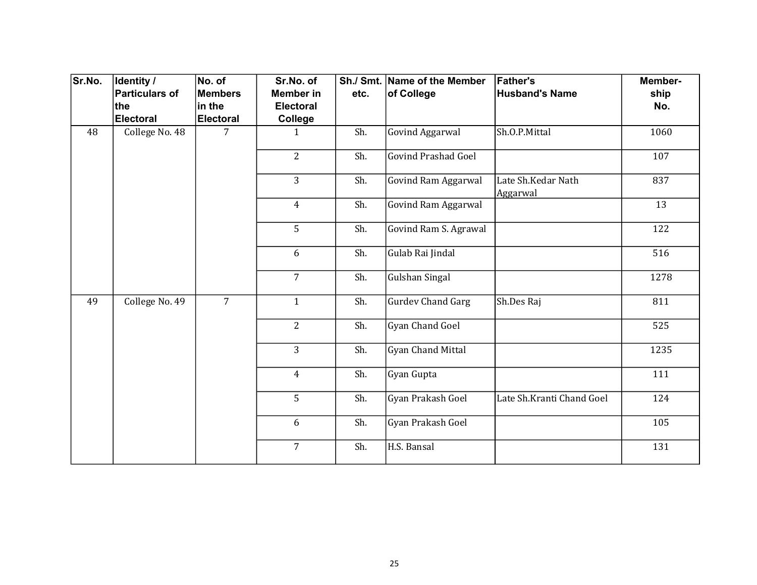| Sr.No. | Identity /     | No. of           | Sr.No. of        |      | Sh./ Smt. Name of the Member | <b>Father's</b>                | Member- |
|--------|----------------|------------------|------------------|------|------------------------------|--------------------------------|---------|
|        | Particulars of | <b>Members</b>   | <b>Member in</b> | etc. | of College                   | <b>Husband's Name</b>          | ship    |
|        | ∣the           | in the           | <b>Electoral</b> |      |                              |                                | No.     |
|        | Electoral      | <b>Electoral</b> | College          |      |                              |                                |         |
| 48     | College No. 48 | 7                | $\mathbf{1}$     | Sh.  | <b>Govind Aggarwal</b>       | Sh.O.P.Mittal                  | 1060    |
|        |                |                  | $\overline{2}$   | Sh.  | <b>Govind Prashad Goel</b>   |                                | 107     |
|        |                |                  | 3                | Sh.  | Govind Ram Aggarwal          | Late Sh.Kedar Nath<br>Aggarwal | 837     |
|        |                |                  | $\overline{4}$   | Sh.  | Govind Ram Aggarwal          |                                | 13      |
|        |                |                  | 5                | Sh.  | Govind Ram S. Agrawal        |                                | 122     |
|        |                |                  | 6                | Sh.  | Gulab Rai Jindal             |                                | 516     |
|        |                |                  | $\overline{7}$   | Sh.  | <b>Gulshan Singal</b>        |                                | 1278    |
| 49     | College No. 49 | $\overline{7}$   | $\mathbf{1}$     | Sh.  | <b>Gurdev Chand Garg</b>     | Sh.Des Raj                     | 811     |
|        |                |                  | $\overline{2}$   | Sh.  | Gyan Chand Goel              |                                | 525     |
|        |                |                  | $\overline{3}$   | Sh.  | Gyan Chand Mittal            |                                | 1235    |
|        |                |                  | $\overline{4}$   | Sh.  | Gyan Gupta                   |                                | 111     |
|        |                |                  | 5                | Sh.  | Gyan Prakash Goel            | Late Sh.Kranti Chand Goel      | 124     |
|        |                |                  | 6                | Sh.  | Gyan Prakash Goel            |                                | 105     |
|        |                |                  | $\overline{7}$   | Sh.  | H.S. Bansal                  |                                | 131     |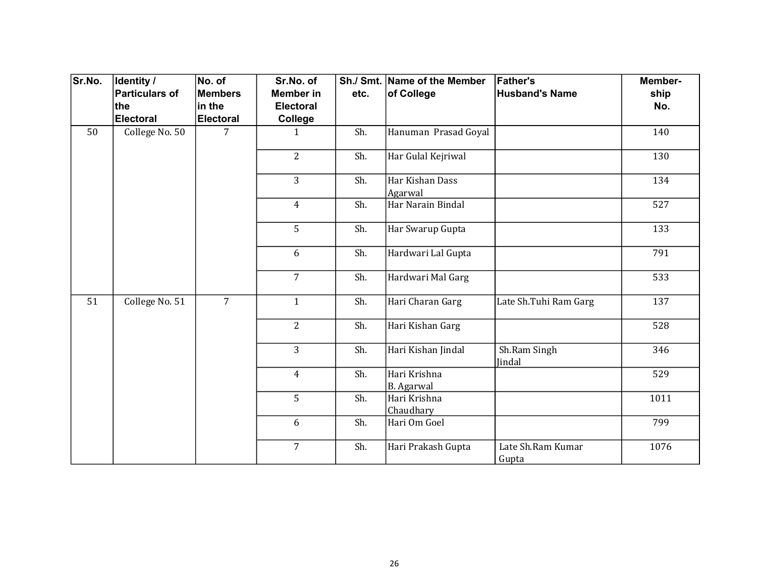| Sr.No. | Identity /     | No. of           | Sr.No. of        |      | Sh./ Smt. Name of the Member      | <b>Father's</b>            | Member- |
|--------|----------------|------------------|------------------|------|-----------------------------------|----------------------------|---------|
|        | Particulars of | <b>Members</b>   | <b>Member in</b> | etc. | of College                        | <b>Husband's Name</b>      | ship    |
|        | ∣the           | in the           | <b>Electoral</b> |      |                                   |                            | No.     |
|        | Electoral      | <b>Electoral</b> | College          |      |                                   |                            |         |
| 50     | College No. 50 | 7                | $\mathbf{1}$     | Sh.  | Hanuman Prasad Goyal              |                            | 140     |
|        |                |                  | $\overline{2}$   | Sh.  | Har Gulal Kejriwal                |                            | 130     |
|        |                |                  | 3                | Sh.  | Har Kishan Dass<br>Agarwal        |                            | 134     |
|        |                |                  | $\overline{4}$   | Sh.  | Har Narain Bindal                 |                            | 527     |
|        |                |                  | 5                | Sh.  | Har Swarup Gupta                  |                            | 133     |
|        |                |                  | 6                | Sh.  | Hardwari Lal Gupta                |                            | 791     |
|        |                |                  | $\overline{7}$   | Sh.  | Hardwari Mal Garg                 |                            | 533     |
| 51     | College No. 51 | $\overline{7}$   | $\mathbf{1}$     | Sh.  | Hari Charan Garg                  | Late Sh.Tuhi Ram Garg      | 137     |
|        |                |                  | $\overline{2}$   | Sh.  | Hari Kishan Garg                  |                            | 528     |
|        |                |                  | $\overline{3}$   | Sh.  | Hari Kishan Jindal                | Sh.Ram Singh<br>Jindal     | 346     |
|        |                |                  | $\overline{4}$   | Sh.  | Hari Krishna<br><b>B.</b> Agarwal |                            | 529     |
|        |                |                  | 5                | Sh.  | Hari Krishna<br>Chaudhary         |                            | 1011    |
|        |                |                  | 6                | Sh.  | Hari Om Goel                      |                            | 799     |
|        |                |                  | $\overline{7}$   | Sh.  | Hari Prakash Gupta                | Late Sh.Ram Kumar<br>Gupta | 1076    |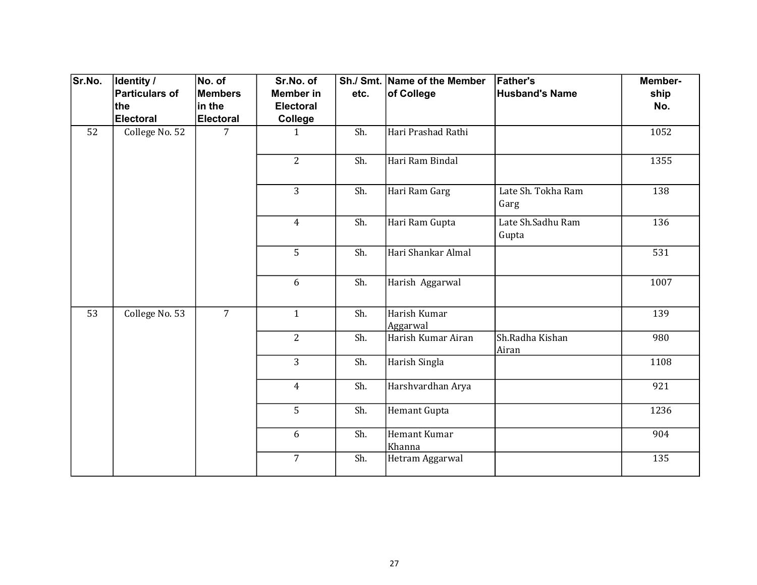| Sr.No. | Identity /            | No. of           | Sr.No. of        |      | Sh./ Smt. Name of the Member | <b>Father's</b>            | Member- |
|--------|-----------------------|------------------|------------------|------|------------------------------|----------------------------|---------|
|        | <b>Particulars of</b> | Members          | <b>Member in</b> | etc. | of College                   | <b>Husband's Name</b>      | ship    |
|        | the                   | in the           | <b>Electoral</b> |      |                              |                            | No.     |
|        | <b>Electoral</b>      | <b>Electoral</b> | College          |      |                              |                            |         |
| 52     | College No. 52        | $\overline{7}$   | $\mathbf{1}$     | Sh.  | Hari Prashad Rathi           |                            | 1052    |
|        |                       |                  | $\overline{2}$   | Sh.  | Hari Ram Bindal              |                            | 1355    |
|        |                       |                  | $\overline{3}$   | Sh.  | Hari Ram Garg                | Late Sh. Tokha Ram<br>Garg | 138     |
|        |                       |                  | $\overline{4}$   | Sh.  | Hari Ram Gupta               | Late Sh.Sadhu Ram<br>Gupta | 136     |
|        |                       |                  | 5                | Sh.  | Hari Shankar Almal           |                            | 531     |
|        |                       |                  | 6                | Sh.  | Harish Aggarwal              |                            | 1007    |
| 53     | College No. 53        | $\overline{7}$   | $\mathbf{1}$     | Sh.  | Harish Kumar<br>Aggarwal     |                            | 139     |
|        |                       |                  | $\overline{2}$   | Sh.  | Harish Kumar Airan           | Sh.Radha Kishan<br>Airan   | 980     |
|        |                       |                  | $\overline{3}$   | Sh.  | Harish Singla                |                            | 1108    |
|        |                       |                  | $\overline{4}$   | Sh.  | Harshvardhan Arya            |                            | 921     |
|        |                       |                  | 5                | Sh.  | Hemant Gupta                 |                            | 1236    |
|        |                       |                  | 6                | Sh.  | Hemant Kumar<br>Khanna       |                            | 904     |
|        |                       |                  | $\overline{7}$   | Sh.  | Hetram Aggarwal              |                            | 135     |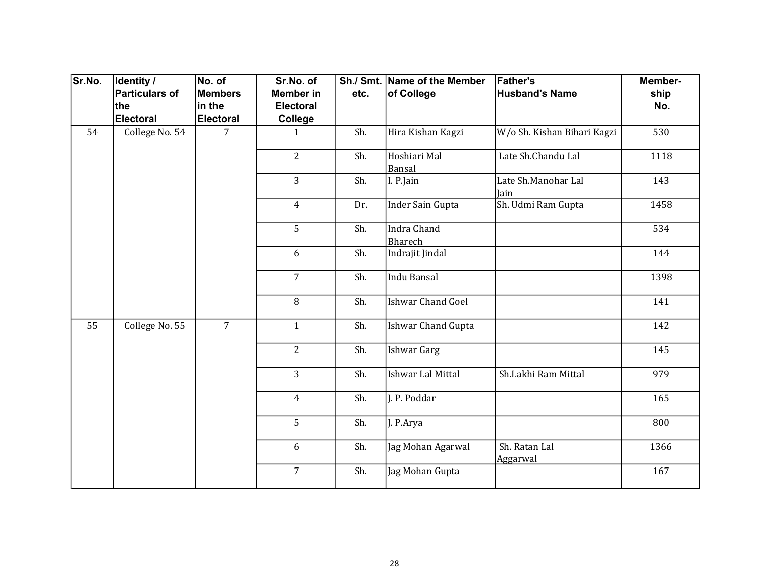| Sr.No.          | <b>Identity /</b> | No. of           | Sr.No. of        |      | Sh./ Smt. Name of the Member  | <b>Father's</b>             | Member- |
|-----------------|-------------------|------------------|------------------|------|-------------------------------|-----------------------------|---------|
|                 | Particulars of    | Members          | <b>Member in</b> | etc. | of College                    | <b>Husband's Name</b>       | ship    |
|                 | the               | in the           | <b>Electoral</b> |      |                               |                             | No.     |
|                 | Electoral         | <b>Electoral</b> | College          |      |                               |                             |         |
| 54              | College No. 54    | $\overline{7}$   | $\mathbf{1}$     | Sh.  | Hira Kishan Kagzi             | W/o Sh. Kishan Bihari Kagzi | 530     |
|                 |                   |                  | $\overline{2}$   | Sh.  | Hoshiari Mal<br>Bansal        | Late Sh.Chandu Lal          | 1118    |
|                 |                   |                  | $\overline{3}$   | Sh.  | I. P.Jain                     | Late Sh.Manohar Lal<br>Jain | 143     |
|                 |                   |                  | $\overline{4}$   | Dr.  | <b>Inder Sain Gupta</b>       | Sh. Udmi Ram Gupta          | 1458    |
|                 |                   |                  | 5                | Sh.  | <b>Indra Chand</b><br>Bharech |                             | 534     |
|                 |                   |                  | 6                | Sh.  | Indrajit Jindal               |                             | 144     |
|                 |                   |                  | $\overline{7}$   | Sh.  | <b>Indu Bansal</b>            |                             | 1398    |
|                 |                   |                  | 8                | Sh.  | <b>Ishwar Chand Goel</b>      |                             | 141     |
| $\overline{55}$ | College No. 55    | $\overline{7}$   | $\mathbf{1}$     | Sh.  | Ishwar Chand Gupta            |                             | 142     |
|                 |                   |                  | $\overline{2}$   | Sh.  | <b>Ishwar Garg</b>            |                             | 145     |
|                 |                   |                  | $\overline{3}$   | Sh.  | Ishwar Lal Mittal             | Sh.Lakhi Ram Mittal         | 979     |
|                 |                   |                  | $\overline{4}$   | Sh.  | J. P. Poddar                  |                             | 165     |
|                 |                   |                  | 5                | Sh.  | J. P.Arya                     |                             | 800     |
|                 |                   |                  | 6                | Sh.  | Jag Mohan Agarwal             | Sh. Ratan Lal<br>Aggarwal   | 1366    |
|                 |                   |                  | $\overline{7}$   | Sh.  | Jag Mohan Gupta               |                             | 167     |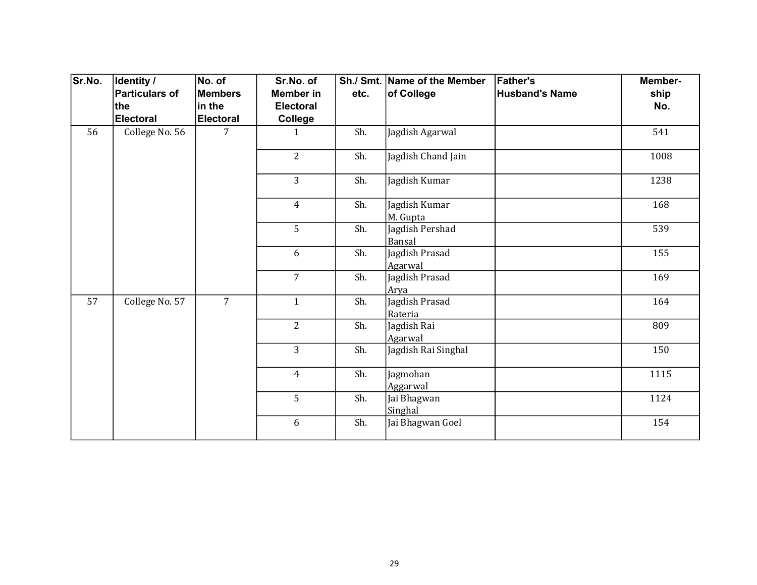| Sr.No. | Identity /            | No. of           | Sr.No. of        |      | Sh./ Smt. Name of the Member | <b>Father's</b>       | Member- |
|--------|-----------------------|------------------|------------------|------|------------------------------|-----------------------|---------|
|        | <b>Particulars of</b> | <b>Members</b>   | Member in        | etc. | of College                   | <b>Husband's Name</b> | ship    |
|        | the                   | in the           | <b>Electoral</b> |      |                              |                       | No.     |
|        | <b>Electoral</b>      | <b>Electoral</b> | College          |      |                              |                       |         |
| 56     | College No. 56        | 7                | 1                | Sh.  | Jagdish Agarwal              |                       | 541     |
|        |                       |                  | $\overline{2}$   | Sh.  | Jagdish Chand Jain           |                       | 1008    |
|        |                       |                  | $\overline{3}$   | Sh.  | Jagdish Kumar                |                       | 1238    |
|        |                       |                  | $\overline{4}$   | Sh.  | Jagdish Kumar<br>M. Gupta    |                       | 168     |
|        |                       |                  | 5                | Sh.  | Jagdish Pershad<br>Bansal    |                       | 539     |
|        |                       |                  | 6                | Sh.  | Jagdish Prasad<br>Agarwal    |                       | 155     |
|        |                       |                  | $\overline{7}$   | Sh.  | Jagdish Prasad<br>Arya       |                       | 169     |
| 57     | College No. 57        | $\overline{7}$   | $\mathbf{1}$     | Sh.  | Jagdish Prasad<br>Rateria    |                       | 164     |
|        |                       |                  | $\overline{2}$   | Sh.  | Jagdish Rai<br>Agarwal       |                       | 809     |
|        |                       |                  | $\overline{3}$   | Sh.  | Jagdish Rai Singhal          |                       | 150     |
|        |                       |                  | $\overline{4}$   | Sh.  | Jagmohan<br>Aggarwal         |                       | 1115    |
|        |                       |                  | 5                | Sh.  | Jai Bhagwan<br>Singhal       |                       | 1124    |
|        |                       |                  | 6                | Sh.  | Jai Bhagwan Goel             |                       | 154     |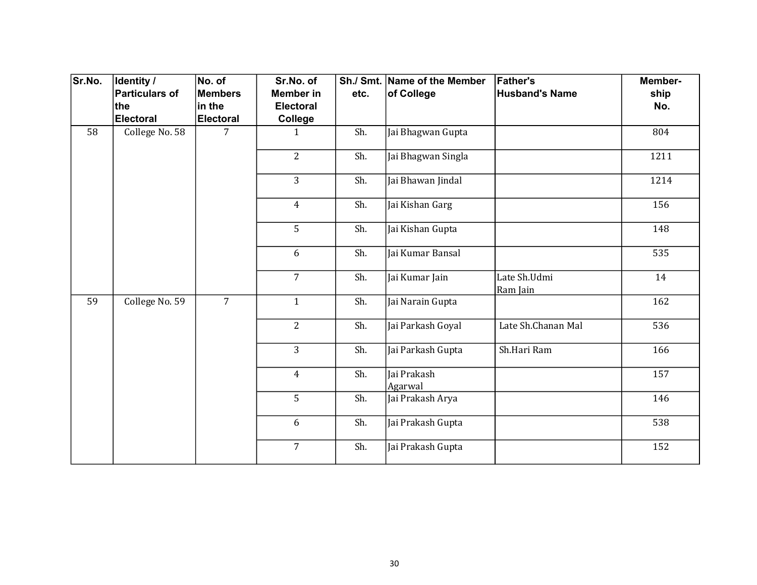| Sr.No. | Identity /            | No. of           | Sr.No. of        |      | Sh./ Smt. Name of the Member | <b>Father's</b>          | Member- |
|--------|-----------------------|------------------|------------------|------|------------------------------|--------------------------|---------|
|        | <b>Particulars of</b> | Members          | <b>Member in</b> | etc. | of College                   | <b>Husband's Name</b>    | ship    |
|        | the                   | in the           | <b>Electoral</b> |      |                              |                          | No.     |
|        | Electoral             | <b>Electoral</b> | <b>College</b>   |      |                              |                          |         |
| 58     | College No. 58        | 7                | $\mathbf{1}$     | Sh.  | Jai Bhagwan Gupta            |                          | 804     |
|        |                       |                  | $\overline{2}$   | Sh.  | Jai Bhagwan Singla           |                          | 1211    |
|        |                       |                  | 3                | Sh.  | Jai Bhawan Jindal            |                          | 1214    |
|        |                       |                  | $\overline{4}$   | Sh.  | Jai Kishan Garg              |                          | 156     |
|        |                       |                  | 5                | Sh.  | Jai Kishan Gupta             |                          | 148     |
|        |                       |                  | 6                | Sh.  | Jai Kumar Bansal             |                          | 535     |
|        |                       |                  | $\overline{7}$   | Sh.  | Jai Kumar Jain               | Late Sh.Udmi<br>Ram Jain | 14      |
| 59     | College No. 59        | $\overline{7}$   | $\mathbf{1}$     | Sh.  | Jai Narain Gupta             |                          | 162     |
|        |                       |                  | $\overline{2}$   | Sh.  | Jai Parkash Goyal            | Late Sh.Chanan Mal       | 536     |
|        |                       |                  | 3                | Sh.  | Jai Parkash Gupta            | Sh.Hari Ram              | 166     |
|        |                       |                  | $\overline{4}$   | Sh.  | Jai Prakash<br>Agarwal       |                          | 157     |
|        |                       |                  | 5                | Sh.  | Jai Prakash Arya             |                          | 146     |
|        |                       |                  | 6                | Sh.  | Jai Prakash Gupta            |                          | 538     |
|        |                       |                  | $\overline{7}$   | Sh.  | Jai Prakash Gupta            |                          | 152     |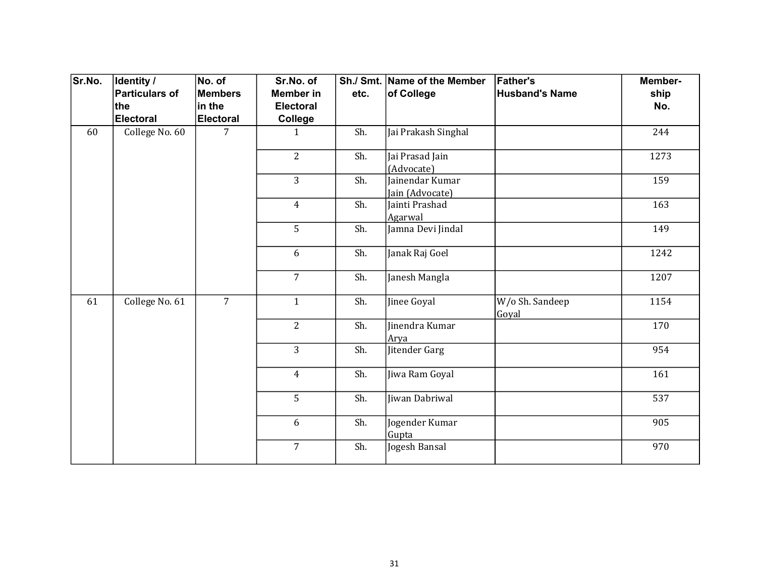| Sr.No. | Identity /            | No. of           | Sr.No. of        |      | Sh./ Smt. Name of the Member       | <b>Father's</b>          | Member- |
|--------|-----------------------|------------------|------------------|------|------------------------------------|--------------------------|---------|
|        | <b>Particulars of</b> | Members          | <b>Member in</b> | etc. | of College                         | <b>Husband's Name</b>    | ship    |
|        | the                   | in the           | <b>Electoral</b> |      |                                    |                          | No.     |
|        | Electoral             | <b>Electoral</b> | College          |      |                                    |                          |         |
| 60     | College No. 60        | 7                | $\mathbf{1}$     | Sh.  | Jai Prakash Singhal                |                          | 244     |
|        |                       |                  | $\overline{2}$   | Sh.  | Jai Prasad Jain<br>(Advocate)      |                          | 1273    |
|        |                       |                  | 3                | Sh.  | Jainendar Kumar<br>Jain (Advocate) |                          | 159     |
|        |                       |                  | $\overline{4}$   | Sh.  | Jainti Prashad<br>Agarwal          |                          | 163     |
|        |                       |                  | 5                | Sh.  | Jamna Devi Jindal                  |                          | 149     |
|        |                       |                  | 6                | Sh.  | Janak Raj Goel                     |                          | 1242    |
|        |                       |                  | $\overline{7}$   | Sh.  | Janesh Mangla                      |                          | 1207    |
| 61     | College No. 61        | $\overline{7}$   | $\mathbf{1}$     | Sh.  | Jinee Goyal                        | W/o Sh. Sandeep<br>Goyal | 1154    |
|        |                       |                  | $\overline{2}$   | Sh.  | Jinendra Kumar<br>Arya             |                          | 170     |
|        |                       |                  | $\overline{3}$   | Sh.  | Jitender Garg                      |                          | 954     |
|        |                       |                  | $\overline{4}$   | Sh.  | Jiwa Ram Goyal                     |                          | 161     |
|        |                       |                  | 5                | Sh.  | Jiwan Dabriwal                     |                          | 537     |
|        |                       |                  | 6                | Sh.  | Jogender Kumar<br>Gupta            |                          | 905     |
|        |                       |                  | $\overline{7}$   | Sh.  | Jogesh Bansal                      |                          | 970     |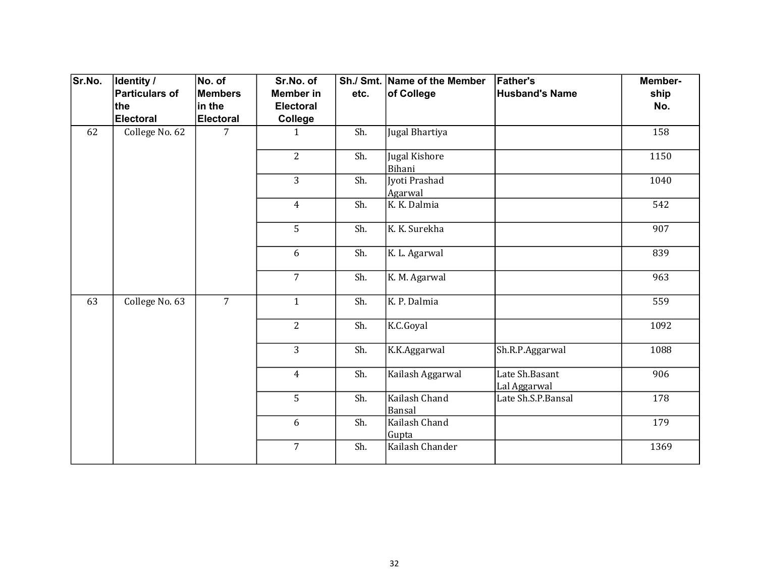| Sr.No. | Identity /            | No. of           | Sr.No. of        |      | Sh./ Smt. Name of the Member | <b>Father's</b>                | Member-          |
|--------|-----------------------|------------------|------------------|------|------------------------------|--------------------------------|------------------|
|        | <b>Particulars of</b> | Members          | <b>Member in</b> | etc. | of College                   | <b>Husband's Name</b>          | ship             |
|        | the                   | in the           | <b>Electoral</b> |      |                              |                                | No.              |
|        | <b>Electoral</b>      | <b>Electoral</b> | College          |      |                              |                                |                  |
| 62     | College No. 62        | $\overline{7}$   | $\mathbf{1}$     | Sh.  | Jugal Bhartiya               |                                | 158              |
|        |                       |                  | $\overline{2}$   | Sh.  | Jugal Kishore<br>Bihani      |                                | 1150             |
|        |                       |                  | 3                | Sh.  | Jyoti Prashad<br>Agarwal     |                                | 1040             |
|        |                       |                  | $\overline{4}$   | Sh.  | K. K. Dalmia                 |                                | 542              |
|        |                       |                  | 5                | Sh.  | K. K. Surekha                |                                | $\overline{907}$ |
|        |                       |                  | 6                | Sh.  | K. L. Agarwal                |                                | 839              |
|        |                       |                  | $\overline{7}$   | Sh.  | K. M. Agarwal                |                                | 963              |
| 63     | College No. 63        | $\overline{7}$   | $\mathbf{1}$     | Sh.  | K. P. Dalmia                 |                                | 559              |
|        |                       |                  | $\overline{2}$   | Sh.  | K.C.Goyal                    |                                | 1092             |
|        |                       |                  | 3                | Sh.  | K.K.Aggarwal                 | Sh.R.P.Aggarwal                | 1088             |
|        |                       |                  | $\overline{4}$   | Sh.  | Kailash Aggarwal             | Late Sh.Basant<br>Lal Aggarwal | 906              |
|        |                       |                  | 5                | Sh.  | Kailash Chand<br>Bansal      | Late Sh.S.P.Bansal             | 178              |
|        |                       |                  | 6                | Sh.  | Kailash Chand<br>Gupta       |                                | 179              |
|        |                       |                  | $\overline{7}$   | Sh.  | Kailash Chander              |                                | 1369             |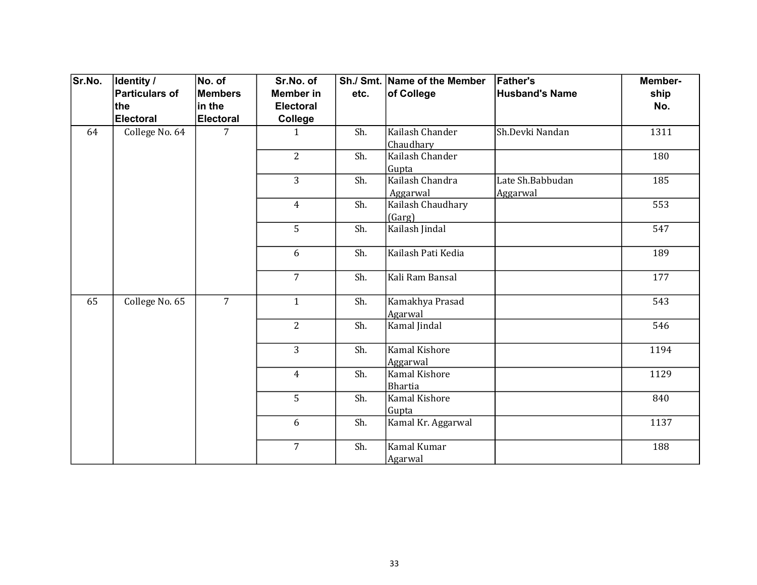| Sr.No. | <b>Identity /</b> | No. of           | Sr.No. of        |      | Sh./ Smt. Name of the Member    | <b>Father's</b>              | Member- |
|--------|-------------------|------------------|------------------|------|---------------------------------|------------------------------|---------|
|        | Particulars of    | <b>Members</b>   | <b>Member</b> in | etc. | of College                      | <b>Husband's Name</b>        | ship    |
|        | the               | in the           | <b>Electoral</b> |      |                                 |                              | No.     |
|        | Electoral         | <b>Electoral</b> | College          |      |                                 |                              |         |
| 64     | College No. 64    | 7                | $\mathbf{1}$     | Sh.  | Kailash Chander<br>Chaudhary    | Sh.Devki Nandan              | 1311    |
|        |                   |                  | $\overline{2}$   | Sh.  | Kailash Chander<br>Gupta        |                              | 180     |
|        |                   |                  | $\overline{3}$   | Sh.  | Kailash Chandra<br>Aggarwal     | Late Sh.Babbudan<br>Aggarwal | 185     |
|        |                   |                  | $\overline{4}$   | Sh.  | Kailash Chaudhary<br>(Garg)     |                              | 553     |
|        |                   |                  | 5                | Sh.  | Kailash Jindal                  |                              | 547     |
|        |                   |                  | 6                | Sh.  | Kailash Pati Kedia              |                              | 189     |
|        |                   |                  | $\overline{7}$   | Sh.  | Kali Ram Bansal                 |                              | 177     |
| 65     | College No. 65    | $\overline{7}$   | $\mathbf{1}$     | Sh.  | Kamakhya Prasad<br>Agarwal      |                              | 543     |
|        |                   |                  | $\overline{2}$   | Sh.  | Kamal Jindal                    |                              | 546     |
|        |                   |                  | $\overline{3}$   | Sh.  | Kamal Kishore<br>Aggarwal       |                              | 1194    |
|        |                   |                  | $\overline{4}$   | Sh.  | Kamal Kishore<br><b>Bhartia</b> |                              | 1129    |
|        |                   |                  | 5                | Sh.  | Kamal Kishore<br>Gupta          |                              | 840     |
|        |                   |                  | 6                | Sh.  | Kamal Kr. Aggarwal              |                              | 1137    |
|        |                   |                  | $\overline{7}$   | Sh.  | Kamal Kumar<br>Agarwal          |                              | 188     |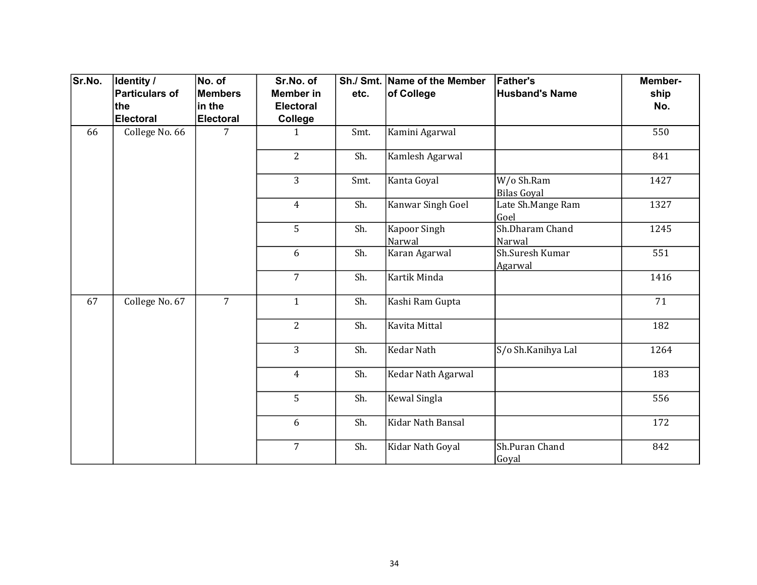| Sr.No. | Identity /     | No. of           | Sr.No. of        |      | Sh./ Smt. Name of the Member  | <b>Father's</b>                  | Member- |
|--------|----------------|------------------|------------------|------|-------------------------------|----------------------------------|---------|
|        | Particulars of | <b>Members</b>   | <b>Member in</b> | etc. | of College                    | <b>Husband's Name</b>            | ship    |
|        | ∣the           | in the           | <b>Electoral</b> |      |                               |                                  | No.     |
|        | Electoral      | <b>Electoral</b> | College          |      |                               |                                  |         |
| 66     | College No. 66 | 7                | $\mathbf{1}$     | Smt. | Kamini Agarwal                |                                  | 550     |
|        |                |                  | $\overline{2}$   | Sh.  | Kamlesh Agarwal               |                                  | 841     |
|        |                |                  | $\overline{3}$   | Smt. | Kanta Goyal                   | W/o Sh.Ram<br><b>Bilas Goyal</b> | 1427    |
|        |                |                  | $\overline{4}$   | Sh.  | Kanwar Singh Goel             | Late Sh.Mange Ram<br>Goel        | 1327    |
|        |                |                  | 5                | Sh.  | <b>Kapoor Singh</b><br>Narwal | Sh.Dharam Chand<br>Narwal        | 1245    |
|        |                |                  | 6                | Sh.  | Karan Agarwal                 | Sh.Suresh Kumar<br>Agarwal       | 551     |
|        |                |                  | $\overline{7}$   | Sh.  | Kartik Minda                  |                                  | 1416    |
| 67     | College No. 67 | $\overline{7}$   | $\mathbf{1}$     | Sh.  | Kashi Ram Gupta               |                                  | 71      |
|        |                |                  | $\overline{2}$   | Sh.  | Kavita Mittal                 |                                  | 182     |
|        |                |                  | 3                | Sh.  | <b>Kedar Nath</b>             | S/o Sh.Kanihya Lal               | 1264    |
|        |                |                  | $\overline{4}$   | Sh.  | Kedar Nath Agarwal            |                                  | 183     |
|        |                |                  | 5                | Sh.  | Kewal Singla                  |                                  | 556     |
|        |                |                  | 6                | Sh.  | Kidar Nath Bansal             |                                  | 172     |
|        |                |                  | $\overline{7}$   | Sh.  | Kidar Nath Goyal              | Sh.Puran Chand<br>Goyal          | 842     |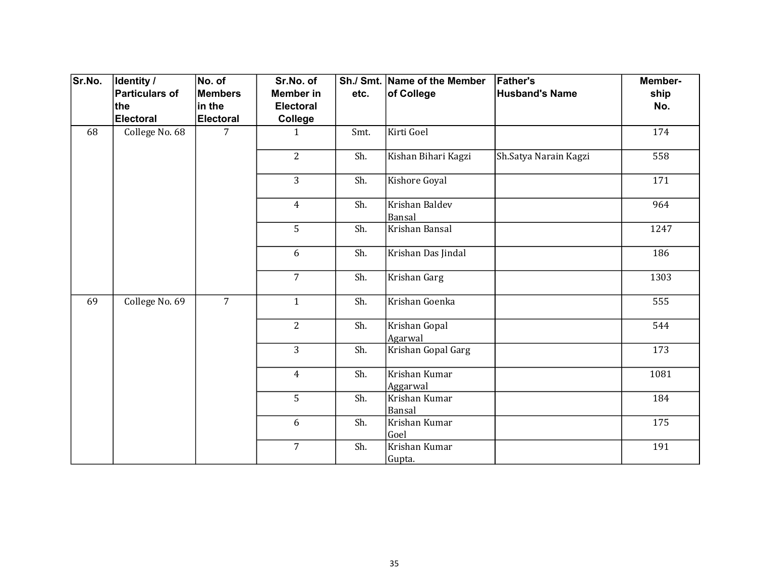| Sr.No. | <b>Identity /</b> | No. of           | Sr.No. of        |      | Sh./ Smt. Name of the Member | <b>Father's</b>       | Member- |
|--------|-------------------|------------------|------------------|------|------------------------------|-----------------------|---------|
|        | Particulars of    | <b>Members</b>   | <b>Member in</b> | etc. | of College                   | <b>Husband's Name</b> | ship    |
|        | ∣the              | in the           | <b>Electoral</b> |      |                              |                       | No.     |
|        | Electoral         | <b>Electoral</b> | College          |      |                              |                       |         |
| 68     | College No. 68    | 7                | $\mathbf{1}$     | Smt. | Kirti Goel                   |                       | 174     |
|        |                   |                  | $\overline{2}$   | Sh.  | Kishan Bihari Kagzi          | Sh.Satya Narain Kagzi | 558     |
|        |                   |                  | 3                | Sh.  | Kishore Goyal                |                       | 171     |
|        |                   |                  | $\overline{4}$   | Sh.  | Krishan Baldev<br>Bansal     |                       | 964     |
|        |                   |                  | 5                | Sh.  | Krishan Bansal               |                       | 1247    |
|        |                   |                  | 6                | Sh.  | Krishan Das Jindal           |                       | 186     |
|        |                   |                  | $\overline{7}$   | Sh.  | Krishan Garg                 |                       | 1303    |
| 69     | College No. 69    | $\overline{7}$   | $\mathbf{1}$     | Sh.  | Krishan Goenka               |                       | 555     |
|        |                   |                  | $\overline{2}$   | Sh.  | Krishan Gopal<br>Agarwal     |                       | 544     |
|        |                   |                  | $\overline{3}$   | Sh.  | Krishan Gopal Garg           |                       | 173     |
|        |                   |                  | $\overline{4}$   | Sh.  | Krishan Kumar<br>Aggarwal    |                       | 1081    |
|        |                   |                  | 5                | Sh.  | Krishan Kumar<br>Bansal      |                       | 184     |
|        |                   |                  | 6                | Sh.  | Krishan Kumar<br>Goel        |                       | 175     |
|        |                   |                  | $\overline{7}$   | Sh.  | Krishan Kumar<br>Gupta.      |                       | 191     |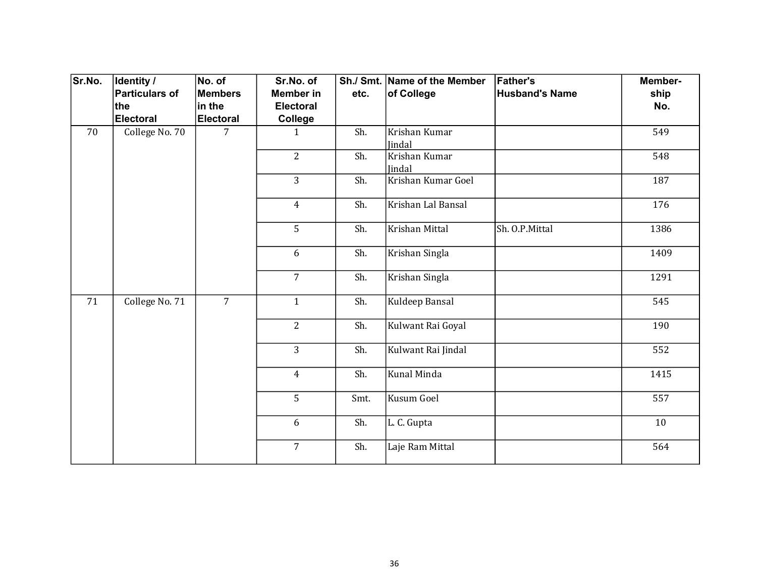| Sr.No. | <b>Identity /</b> | No. of           | Sr.No. of        |      | Sh./ Smt. Name of the Member | <b>Father's</b>       | Member- |
|--------|-------------------|------------------|------------------|------|------------------------------|-----------------------|---------|
|        | Particulars of    | <b>Members</b>   | <b>Member in</b> | etc. | of College                   | <b>Husband's Name</b> | ship    |
|        | ∣the              | in the           | <b>Electoral</b> |      |                              |                       | No.     |
|        | Electoral         | <b>Electoral</b> | College          |      |                              |                       |         |
| 70     | College No. 70    | 7                | $\mathbf{1}$     | Sh.  | Krishan Kumar<br>Jindal      |                       | 549     |
|        |                   |                  | $\overline{2}$   | Sh.  | Krishan Kumar<br>Jindal      |                       | 548     |
|        |                   |                  | 3                | Sh.  | Krishan Kumar Goel           |                       | 187     |
|        |                   |                  | $\overline{4}$   | Sh.  | Krishan Lal Bansal           |                       | 176     |
|        |                   |                  | 5                | Sh.  | Krishan Mittal               | Sh. O.P.Mittal        | 1386    |
|        |                   |                  | 6                | Sh.  | Krishan Singla               |                       | 1409    |
|        |                   |                  | $\overline{7}$   | Sh.  | Krishan Singla               |                       | 1291    |
| 71     | College No. 71    | $\overline{7}$   | $\mathbf{1}$     | Sh.  | Kuldeep Bansal               |                       | 545     |
|        |                   |                  | $\overline{2}$   | Sh.  | Kulwant Rai Goyal            |                       | 190     |
|        |                   |                  | $\overline{3}$   | Sh.  | Kulwant Rai Jindal           |                       | 552     |
|        |                   |                  | $\overline{4}$   | Sh.  | Kunal Minda                  |                       | 1415    |
|        |                   |                  | 5                | Smt. | Kusum Goel                   |                       | 557     |
|        |                   |                  | 6                | Sh.  | L. C. Gupta                  |                       | 10      |
|        |                   |                  | $\overline{7}$   | Sh.  | Laje Ram Mittal              |                       | 564     |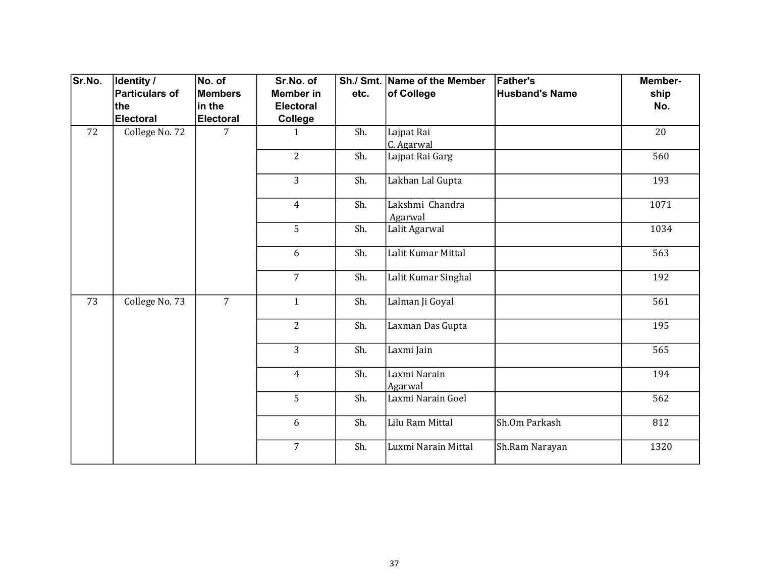| Sr.No. | <b>Identity /</b> | No. of           | Sr.No. of        |      | Sh./ Smt. Name of the Member | <b>Father's</b>       | Member- |
|--------|-------------------|------------------|------------------|------|------------------------------|-----------------------|---------|
|        | Particulars of    | <b>Members</b>   | <b>Member in</b> | etc. | of College                   | <b>Husband's Name</b> | ship    |
|        | ∣the              | in the           | <b>Electoral</b> |      |                              |                       | No.     |
|        | Electoral         | <b>Electoral</b> | College          |      |                              |                       |         |
| 72     | College No. 72    | 7                | 1                | Sh.  | Lajpat Rai<br>C. Agarwal     |                       | 20      |
|        |                   |                  | $\overline{2}$   | Sh.  | Lajpat Rai Garg              |                       | 560     |
|        |                   |                  | 3                | Sh.  | Lakhan Lal Gupta             |                       | 193     |
|        |                   |                  | $\overline{4}$   | Sh.  | Lakshmi Chandra<br>Agarwal   |                       | 1071    |
|        |                   |                  | 5                | Sh.  | Lalit Agarwal                |                       | 1034    |
|        |                   |                  | 6                | Sh.  | Lalit Kumar Mittal           |                       | 563     |
|        |                   |                  | $\overline{7}$   | Sh.  | Lalit Kumar Singhal          |                       | 192     |
| 73     | College No. 73    | $\overline{7}$   | $\mathbf{1}$     | Sh.  | Lalman Ji Goyal              |                       | 561     |
|        |                   |                  | $\overline{2}$   | Sh.  | Laxman Das Gupta             |                       | 195     |
|        |                   |                  | 3                | Sh.  | Laxmi Jain                   |                       | 565     |
|        |                   |                  | $\overline{4}$   | Sh.  | Laxmi Narain<br>Agarwal      |                       | 194     |
|        |                   |                  | 5                | Sh.  | Laxmi Narain Goel            |                       | 562     |
|        |                   |                  | 6                | Sh.  | Lilu Ram Mittal              | Sh.Om Parkash         | 812     |
|        |                   |                  | $\overline{7}$   | Sh.  | Luxmi Narain Mittal          | Sh.Ram Narayan        | 1320    |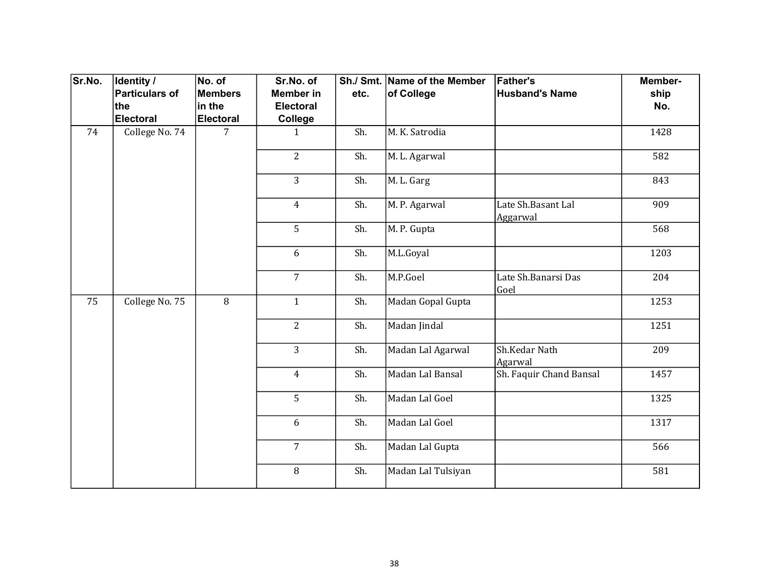| Sr.No. | Identity /            | No. of           | Sr.No. of        |      | Sh./ Smt. Name of the Member | <b>Father's</b>                | Member-          |
|--------|-----------------------|------------------|------------------|------|------------------------------|--------------------------------|------------------|
|        | <b>Particulars of</b> | Members          | <b>Member in</b> | etc. | of College                   | <b>Husband's Name</b>          | ship             |
|        | the                   | in the           | <b>Electoral</b> |      |                              |                                | No.              |
|        | <b>Electoral</b>      | <b>Electoral</b> | College          |      |                              |                                |                  |
| 74     | College No. 74        | $\overline{7}$   | $\mathbf{1}$     | Sh.  | M. K. Satrodia               |                                | 1428             |
|        |                       |                  | $\overline{2}$   | Sh.  | M. L. Agarwal                |                                | 582              |
|        |                       |                  | $\overline{3}$   | Sh.  | M. L. Garg                   |                                | 843              |
|        |                       |                  | $\overline{4}$   | Sh.  | M. P. Agarwal                | Late Sh.Basant Lal<br>Aggarwal | 909              |
|        |                       |                  | 5                | Sh.  | M. P. Gupta                  |                                | $\overline{568}$ |
|        |                       |                  | 6                | Sh.  | M.L.Goyal                    |                                | 1203             |
|        |                       |                  | $\overline{7}$   | Sh.  | M.P.Goel                     | Late Sh.Banarsi Das<br>Goel    | 204              |
| 75     | College No. 75        | 8                | $\mathbf{1}$     | Sh.  | Madan Gopal Gupta            |                                | 1253             |
|        |                       |                  | $\overline{2}$   | Sh.  | Madan Jindal                 |                                | 1251             |
|        |                       |                  | $\overline{3}$   | Sh.  | Madan Lal Agarwal            | Sh.Kedar Nath<br>Agarwal       | 209              |
|        |                       |                  | $\overline{4}$   | Sh.  | Madan Lal Bansal             | Sh. Faquir Chand Bansal        | 1457             |
|        |                       |                  | 5                | Sh.  | Madan Lal Goel               |                                | 1325             |
|        |                       |                  | 6                | Sh.  | Madan Lal Goel               |                                | 1317             |
|        |                       |                  | $\overline{7}$   | Sh.  | Madan Lal Gupta              |                                | 566              |
|        |                       |                  | 8                | Sh.  | Madan Lal Tulsiyan           |                                | 581              |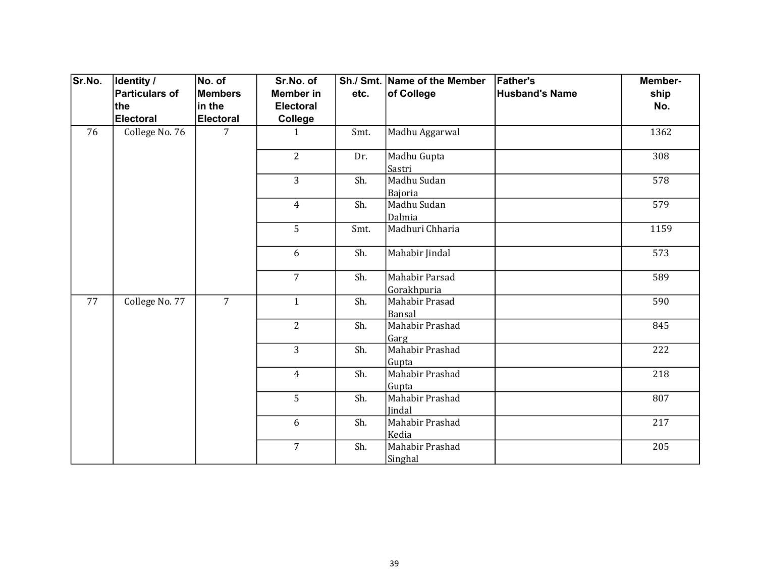| Sr.No. | <b>Identity /</b> | No. of           | Sr.No. of        |      | Sh./ Smt. Name of the Member  | <b>Father's</b>       | Member- |
|--------|-------------------|------------------|------------------|------|-------------------------------|-----------------------|---------|
|        | Particulars of    | <b>Members</b>   | <b>Member in</b> | etc. | of College                    | <b>Husband's Name</b> | ship    |
|        | ∣the              | in the           | <b>Electoral</b> |      |                               |                       | No.     |
|        | Electoral         | <b>Electoral</b> | College          |      |                               |                       |         |
| 76     | College No. 76    | 7                | $\mathbf{1}$     | Smt. | Madhu Aggarwal                |                       | 1362    |
|        |                   |                  | $\overline{2}$   | Dr.  | Madhu Gupta<br>Sastri         |                       | 308     |
|        |                   |                  | 3                | Sh.  | Madhu Sudan<br>Bajoria        |                       | 578     |
|        |                   |                  | $\overline{4}$   | Sh.  | Madhu Sudan<br>Dalmia         |                       | 579     |
|        |                   |                  | 5                | Smt. | Madhuri Chharia               |                       | 1159    |
|        |                   |                  | 6                | Sh.  | Mahabir Jindal                |                       | 573     |
|        |                   |                  | $\overline{7}$   | Sh.  | Mahabir Parsad<br>Gorakhpuria |                       | 589     |
| 77     | College No. 77    | $\overline{7}$   | $\mathbf{1}$     | Sh.  | Mahabir Prasad<br>Bansal      |                       | 590     |
|        |                   |                  | $\overline{2}$   | Sh.  | Mahabir Prashad<br>Garg       |                       | 845     |
|        |                   |                  | $\overline{3}$   | Sh.  | Mahabir Prashad<br>Gupta      |                       | 222     |
|        |                   |                  | $\overline{4}$   | Sh.  | Mahabir Prashad<br>Gupta      |                       | 218     |
|        |                   |                  | 5                | Sh.  | Mahabir Prashad<br>Jindal     |                       | 807     |
|        |                   |                  | 6                | Sh.  | Mahabir Prashad<br>Kedia      |                       | 217     |
|        |                   |                  | $\overline{7}$   | Sh.  | Mahabir Prashad<br>Singhal    |                       | 205     |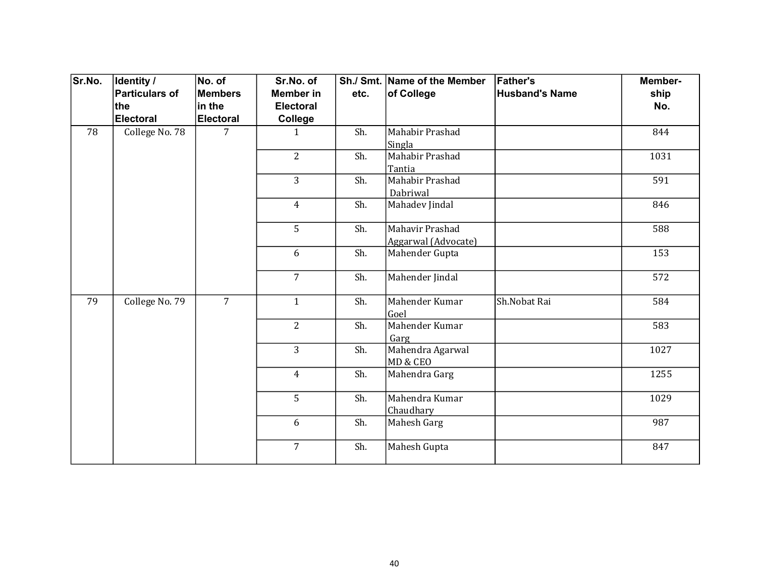| Sr.No. | <b>Identity /</b><br>Particulars of | No. of<br><b>Members</b> | Sr.No. of<br><b>Member in</b> | etc. | Sh./ Smt. Name of the Member<br>of College | <b>Father's</b><br><b>Husband's Name</b> | Member-<br>ship |
|--------|-------------------------------------|--------------------------|-------------------------------|------|--------------------------------------------|------------------------------------------|-----------------|
|        | the                                 | in the                   | <b>Electoral</b>              |      |                                            |                                          | No.             |
|        | Electoral                           | <b>Electoral</b>         | College                       |      |                                            |                                          |                 |
| 78     | College No. 78                      | 7                        | $\mathbf{1}$                  | Sh.  | Mahabir Prashad                            |                                          | 844             |
|        |                                     |                          | $\overline{2}$                |      | Singla<br>Mahabir Prashad                  |                                          |                 |
|        |                                     |                          |                               | Sh.  | Tantia                                     |                                          | 1031            |
|        |                                     |                          | 3                             | Sh.  | Mahabir Prashad                            |                                          | 591             |
|        |                                     |                          |                               |      | Dabriwal                                   |                                          |                 |
|        |                                     |                          | $\overline{4}$                | Sh.  | Mahadev Jindal                             |                                          | 846             |
|        |                                     |                          | 5                             | Sh.  | Mahavir Prashad                            |                                          | 588             |
|        |                                     |                          |                               |      | Aggarwal (Advocate)                        |                                          |                 |
|        |                                     |                          | 6                             | Sh.  | Mahender Gupta                             |                                          | 153             |
|        |                                     |                          | $\overline{7}$                | Sh.  | Mahender Jindal                            |                                          | 572             |
| 79     | College No. 79                      | $\overline{7}$           | $\mathbf{1}$                  | Sh.  | Mahender Kumar                             | Sh.Nobat Rai                             | 584             |
|        |                                     |                          | $\overline{2}$                | Sh.  | Goel<br>Mahender Kumar                     |                                          | 583             |
|        |                                     |                          |                               |      |                                            |                                          |                 |
|        |                                     |                          | 3                             | Sh.  | Garg<br>Mahendra Agarwal                   |                                          | 1027            |
|        |                                     |                          |                               |      | MD & CEO                                   |                                          |                 |
|        |                                     |                          | $\overline{4}$                | Sh.  | Mahendra Garg                              |                                          | 1255            |
|        |                                     |                          |                               |      |                                            |                                          |                 |
|        |                                     |                          | 5                             | Sh.  | Mahendra Kumar                             |                                          | 1029            |
|        |                                     |                          |                               |      | Chaudhary                                  |                                          |                 |
|        |                                     |                          | 6                             | Sh.  | Mahesh Garg                                |                                          | 987             |
|        |                                     |                          | $\overline{7}$                | Sh.  | Mahesh Gupta                               |                                          | 847             |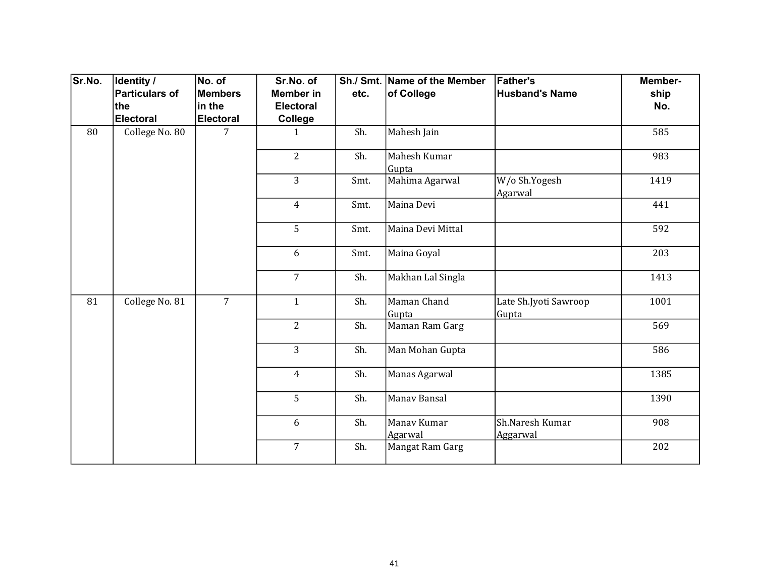| Sr.No. | Identity /     | No. of           | Sr.No. of        |      | Sh./ Smt. Name of the Member | <b>Father's</b>                | Member- |
|--------|----------------|------------------|------------------|------|------------------------------|--------------------------------|---------|
|        | Particulars of | <b>Members</b>   | <b>Member in</b> | etc. | of College                   | <b>Husband's Name</b>          | ship    |
|        | ∣the           | in the           | <b>Electoral</b> |      |                              |                                | No.     |
|        | Electoral      | <b>Electoral</b> | College          |      |                              |                                |         |
| 80     | College No. 80 | 7                | $\mathbf{1}$     | Sh.  | Mahesh Jain                  |                                | 585     |
|        |                |                  | $\overline{2}$   | Sh.  | Mahesh Kumar<br>Gupta        |                                | 983     |
|        |                |                  | 3                | Smt. | Mahima Agarwal               | W/o Sh.Yogesh<br>Agarwal       | 1419    |
|        |                |                  | $\overline{4}$   | Smt. | Maina Devi                   |                                | 441     |
|        |                |                  | 5                | Smt. | Maina Devi Mittal            |                                | 592     |
|        |                |                  | 6                | Smt. | Maina Goyal                  |                                | 203     |
|        |                |                  | $\overline{7}$   | Sh.  | Makhan Lal Singla            |                                | 1413    |
| 81     | College No. 81 | $\overline{7}$   | $\mathbf{1}$     | Sh.  | Maman Chand<br>Gupta         | Late Sh.Jyoti Sawroop<br>Gupta | 1001    |
|        |                |                  | $\overline{2}$   | Sh.  | Maman Ram Garg               |                                | 569     |
|        |                |                  | $\overline{3}$   | Sh.  | Man Mohan Gupta              |                                | 586     |
|        |                |                  | $\overline{4}$   | Sh.  | Manas Agarwal                |                                | 1385    |
|        |                |                  | 5                | Sh.  | Manav Bansal                 |                                | 1390    |
|        |                |                  | 6                | Sh.  | Manav Kumar<br>Agarwal       | Sh.Naresh Kumar<br>Aggarwal    | 908     |
|        |                |                  | $\overline{7}$   | Sh.  | Mangat Ram Garg              |                                | 202     |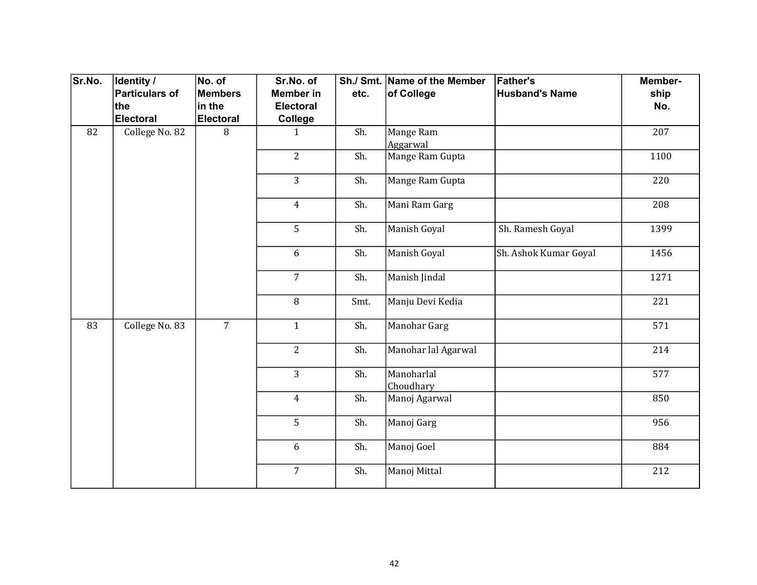| Sr.No. | <b>Identity /</b> | No. of           | Sr.No. of        |      | Sh./ Smt. Name of the Member | <b>Father's</b>       | Member- |
|--------|-------------------|------------------|------------------|------|------------------------------|-----------------------|---------|
|        | Particulars of    | <b>Members</b>   | <b>Member in</b> | etc. | of College                   | <b>Husband's Name</b> | ship    |
|        | the               | in the           | <b>Electoral</b> |      |                              |                       | No.     |
|        | Electoral         | <b>Electoral</b> | College          |      |                              |                       |         |
| 82     | College No. 82    | 8                | $\mathbf{1}$     | Sh.  | Mange Ram                    |                       | 207     |
|        |                   |                  |                  |      | Aggarwal                     |                       |         |
|        |                   |                  | $\overline{2}$   | Sh.  | Mange Ram Gupta              |                       | 1100    |
|        |                   |                  | 3                | Sh.  | Mange Ram Gupta              |                       | 220     |
|        |                   |                  | $\overline{4}$   | Sh.  | Mani Ram Garg                |                       | 208     |
|        |                   |                  | 5                | Sh.  | Manish Goyal                 | Sh. Ramesh Goyal      | 1399    |
|        |                   |                  | 6                | Sh.  | Manish Goyal                 | Sh. Ashok Kumar Goyal | 1456    |
|        |                   |                  | $\overline{7}$   | Sh.  | Manish Jindal                |                       | 1271    |
|        |                   |                  | 8                | Smt. | Manju Devi Kedia             |                       | 221     |
| 83     | College No. 83    | $\overline{7}$   | $\mathbf{1}$     | Sh.  | Manohar Garg                 |                       | 571     |
|        |                   |                  | $\overline{2}$   | Sh.  | Manohar lal Agarwal          |                       | 214     |
|        |                   |                  | 3                | Sh.  | Manoharlal<br>Choudhary      |                       | 577     |
|        |                   |                  | $\overline{4}$   | Sh.  | Manoj Agarwal                |                       | 850     |
|        |                   |                  | 5                | Sh.  | Manoj Garg                   |                       | 956     |
|        |                   |                  | 6                | Sh.  | Manoj Goel                   |                       | 884     |
|        |                   |                  | $\overline{7}$   | Sh.  | Manoj Mittal                 |                       | 212     |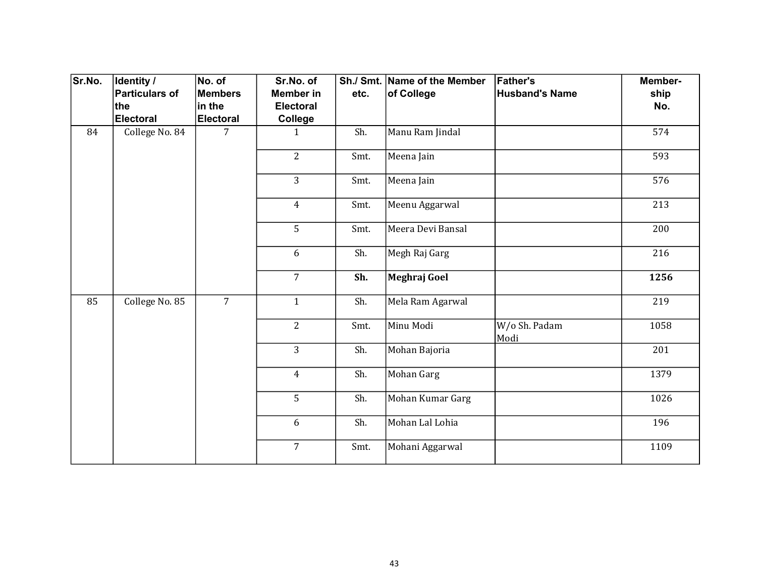| Sr.No. | Identity /            | No. of           | Sr.No. of        |      | Sh./ Smt. Name of the Member | <b>Father's</b>       | Member- |
|--------|-----------------------|------------------|------------------|------|------------------------------|-----------------------|---------|
|        | <b>Particulars of</b> | Members          | <b>Member in</b> | etc. | of College                   | <b>Husband's Name</b> | ship    |
|        | the                   | in the           | <b>Electoral</b> |      |                              |                       | No.     |
|        | <b>Electoral</b>      | <b>Electoral</b> | College          |      |                              |                       |         |
| 84     | College No. 84        | $\overline{7}$   | $\mathbf{1}$     | Sh.  | Manu Ram Jindal              |                       | 574     |
|        |                       |                  | $\overline{2}$   | Smt. | Meena Jain                   |                       | 593     |
|        |                       |                  | 3                | Smt. | Meena Jain                   |                       | 576     |
|        |                       |                  | $\overline{4}$   | Smt. | Meenu Aggarwal               |                       | 213     |
|        |                       |                  | 5                | Smt. | Meera Devi Bansal            |                       | 200     |
|        |                       |                  | 6                | Sh.  | Megh Raj Garg                |                       | 216     |
|        |                       |                  | $\overline{7}$   | Sh.  | Meghraj Goel                 |                       | 1256    |
| 85     | College No. 85        | $\overline{7}$   | $\mathbf{1}$     | Sh.  | Mela Ram Agarwal             |                       | 219     |
|        |                       |                  | $\overline{2}$   | Smt. | Minu Modi                    | W/o Sh. Padam<br>Modi | 1058    |
|        |                       |                  | $\overline{3}$   | Sh.  | Mohan Bajoria                |                       | 201     |
|        |                       |                  | $\overline{4}$   | Sh.  | Mohan Garg                   |                       | 1379    |
|        |                       |                  | 5                | Sh.  | Mohan Kumar Garg             |                       | 1026    |
|        |                       |                  | 6                | Sh.  | Mohan Lal Lohia              |                       | 196     |
|        |                       |                  | $\overline{7}$   | Smt. | Mohani Aggarwal              |                       | 1109    |
|        |                       |                  |                  |      |                              |                       |         |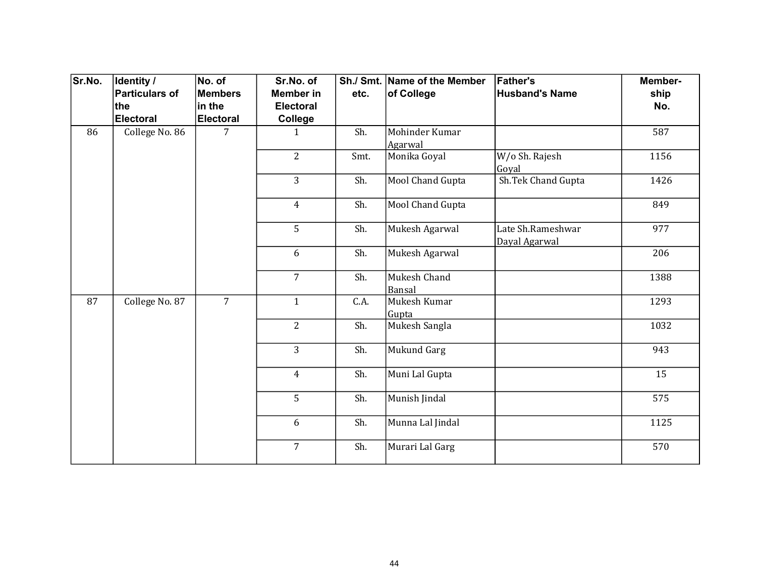| Sr.No. | Identity /            | No. of           | Sr.No. of        |      | Sh./ Smt. Name of the Member | <b>Father's</b>                    | Member- |
|--------|-----------------------|------------------|------------------|------|------------------------------|------------------------------------|---------|
|        | <b>Particulars of</b> | <b>Members</b>   | <b>Member</b> in | etc. | of College                   | <b>Husband's Name</b>              | ship    |
|        | the                   | in the           | <b>Electoral</b> |      |                              |                                    | No.     |
|        | <b>Electoral</b>      | <b>Electoral</b> | College          |      |                              |                                    |         |
| 86     | College No. 86        | 7                | $\mathbf{1}$     | Sh.  | Mohinder Kumar<br>Agarwal    |                                    | 587     |
|        |                       |                  | $\overline{2}$   | Smt. | Monika Goyal                 | W/o Sh. Rajesh<br>Goyal            | 1156    |
|        |                       |                  | 3                | Sh.  | Mool Chand Gupta             | Sh.Tek Chand Gupta                 | 1426    |
|        |                       |                  | $\overline{4}$   | Sh.  | Mool Chand Gupta             |                                    | 849     |
|        |                       |                  | 5                | Sh.  | Mukesh Agarwal               | Late Sh.Rameshwar<br>Dayal Agarwal | 977     |
|        |                       |                  | 6                | Sh.  | Mukesh Agarwal               |                                    | 206     |
|        |                       |                  | $\overline{7}$   | Sh.  | Mukesh Chand<br>Bansal       |                                    | 1388    |
| 87     | College No. 87        | $\overline{7}$   | $\mathbf{1}$     | C.A. | Mukesh Kumar<br>Gupta        |                                    | 1293    |
|        |                       |                  | $\overline{2}$   | Sh.  | Mukesh Sangla                |                                    | 1032    |
|        |                       |                  | $\overline{3}$   | Sh.  | <b>Mukund Garg</b>           |                                    | 943     |
|        |                       |                  | $\overline{4}$   | Sh.  | Muni Lal Gupta               |                                    | 15      |
|        |                       |                  | 5                | Sh.  | Munish Jindal                |                                    | 575     |
|        |                       |                  | 6                | Sh.  | Munna Lal Jindal             |                                    | 1125    |
|        |                       |                  | $\overline{7}$   | Sh.  | Murari Lal Garg              |                                    | 570     |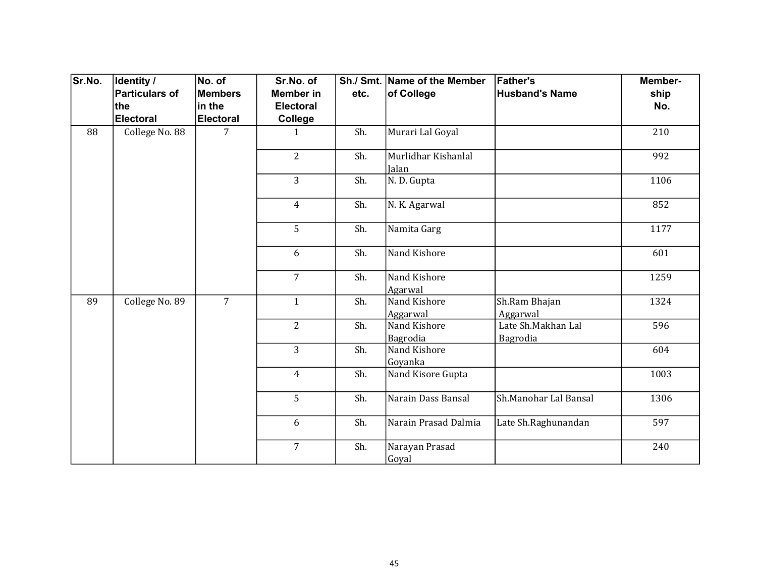| Sr.No. | Identity /<br>Particulars of | No. of<br><b>Members</b> | Sr.No. of<br><b>Member in</b> | etc. | Sh./ Smt. Name of the Member<br>of College | <b>Father's</b><br><b>Husband's Name</b> | Member-<br>ship |
|--------|------------------------------|--------------------------|-------------------------------|------|--------------------------------------------|------------------------------------------|-----------------|
|        | the                          | in the                   | <b>Electoral</b>              |      |                                            |                                          | No.             |
|        | Electoral                    | <b>Electoral</b>         | College                       |      |                                            |                                          |                 |
| 88     | College No. 88               | 7                        | $\mathbf{1}$                  | Sh.  | Murari Lal Goyal                           |                                          | 210             |
|        |                              |                          | $\overline{2}$                | Sh.  | Murlidhar Kishanlal<br>Jalan               |                                          | 992             |
|        |                              |                          | $\overline{3}$                | Sh.  | N.D. Gupta                                 |                                          | 1106            |
|        |                              |                          | $\overline{4}$                | Sh.  | N. K. Agarwal                              |                                          | 852             |
|        |                              |                          | 5                             | Sh.  | Namita Garg                                |                                          | 1177            |
|        |                              |                          | 6                             | Sh.  | Nand Kishore                               |                                          | 601             |
|        |                              |                          | $\overline{7}$                | Sh.  | Nand Kishore<br>Agarwal                    |                                          | 1259            |
| 89     | College No. 89               | $\overline{7}$           | $\mathbf{1}$                  | Sh.  | Nand Kishore<br>Aggarwal                   | Sh.Ram Bhajan<br>Aggarwal                | 1324            |
|        |                              |                          | $\overline{2}$                | Sh.  | Nand Kishore<br>Bagrodia                   | Late Sh.Makhan Lal<br>Bagrodia           | 596             |
|        |                              |                          | $\overline{3}$                | Sh.  | Nand Kishore<br>Goyanka                    |                                          | 604             |
|        |                              |                          | $\overline{4}$                | Sh.  | Nand Kisore Gupta                          |                                          | 1003            |
|        |                              |                          | 5                             | Sh.  | Narain Dass Bansal                         | Sh.Manohar Lal Bansal                    | 1306            |
|        |                              |                          | 6                             | Sh.  | Narain Prasad Dalmia                       | Late Sh.Raghunandan                      | 597             |
|        |                              |                          | $\overline{7}$                | Sh.  | Narayan Prasad<br>Goyal                    |                                          | 240             |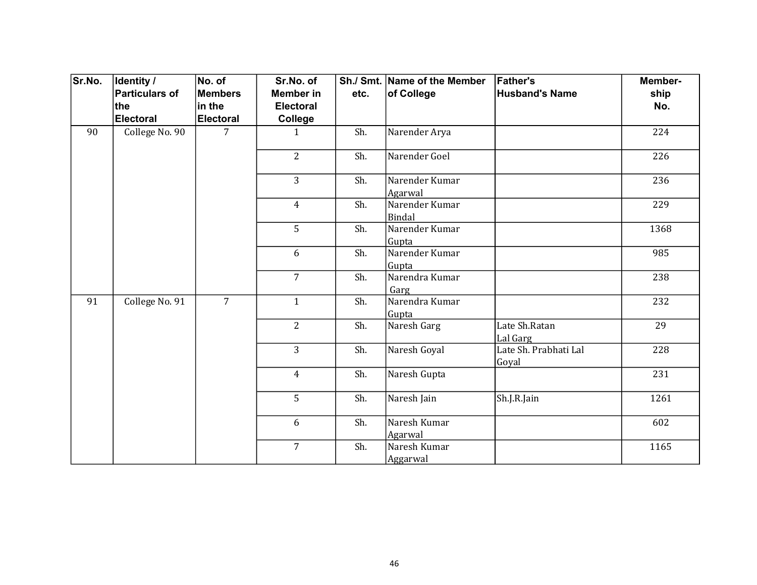| Sr.No. | Identity /            | No. of           | Sr.No. of        |      | Sh./ Smt. Name of the Member | <b>Father's</b>                | Member-         |
|--------|-----------------------|------------------|------------------|------|------------------------------|--------------------------------|-----------------|
|        | <b>Particulars of</b> | Members          | <b>Member in</b> | etc. | of College                   | <b>Husband's Name</b>          | ship            |
|        | the                   | in the           | <b>Electoral</b> |      |                              |                                | No.             |
|        | <b>Electoral</b>      | <b>Electoral</b> | College          |      |                              |                                |                 |
| 90     | College No. 90        | 7                | $\mathbf{1}$     | Sh.  | Narender Arya                |                                | 224             |
|        |                       |                  | $\overline{2}$   | Sh.  | Narender Goel                |                                | 226             |
|        |                       |                  | 3                | Sh.  | Narender Kumar<br>Agarwal    |                                | 236             |
|        |                       |                  | $\overline{4}$   | Sh.  | Narender Kumar<br>Bindal     |                                | 229             |
|        |                       |                  | 5                | Sh.  | Narender Kumar<br>Gupta      |                                | 1368            |
|        |                       |                  | 6                | Sh.  | Narender Kumar<br>Gupta      |                                | 985             |
|        |                       |                  | $\overline{7}$   | Sh.  | Narendra Kumar<br>Garg       |                                | 238             |
| 91     | College No. 91        | $\overline{7}$   | $\mathbf{1}$     | Sh.  | Narendra Kumar<br>Gupta      |                                | 232             |
|        |                       |                  | $\overline{2}$   | Sh.  | Naresh Garg                  | Late Sh.Ratan<br>Lal Garg      | $\overline{29}$ |
|        |                       |                  | $\overline{3}$   | Sh.  | Naresh Goyal                 | Late Sh. Prabhati Lal<br>Goyal | 228             |
|        |                       |                  | $\overline{4}$   | Sh.  | Naresh Gupta                 |                                | 231             |
|        |                       |                  | 5                | Sh.  | Naresh Jain                  | Sh.J.R.Jain                    | 1261            |
|        |                       |                  | 6                | Sh.  | Naresh Kumar<br>Agarwal      |                                | 602             |
|        |                       |                  | $\overline{7}$   | Sh.  | Naresh Kumar<br>Aggarwal     |                                | 1165            |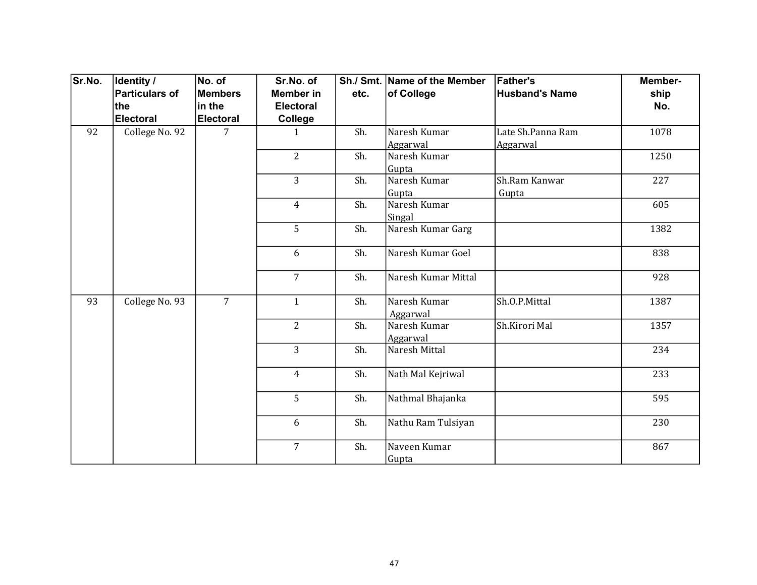| Sr.No. | <b>Identity /</b> | No. of           | Sr.No. of        |      | Sh./ Smt. Name of the Member | <b>Father's</b>       | Member- |
|--------|-------------------|------------------|------------------|------|------------------------------|-----------------------|---------|
|        | Particulars of    | <b>Members</b>   | <b>Member in</b> | etc. | of College                   | <b>Husband's Name</b> | ship    |
|        | ∣the              | in the           | <b>Electoral</b> |      |                              |                       | No.     |
|        | Electoral         | <b>Electoral</b> | College          |      |                              |                       |         |
| 92     | College No. 92    | 7                | $\mathbf{1}$     | Sh.  | Naresh Kumar                 | Late Sh.Panna Ram     | 1078    |
|        |                   |                  |                  |      | Aggarwal                     | Aggarwal              |         |
|        |                   |                  | $\overline{2}$   | Sh.  | Naresh Kumar                 |                       | 1250    |
|        |                   |                  |                  |      | Gupta                        |                       |         |
|        |                   |                  | 3                | Sh.  | Naresh Kumar                 | Sh.Ram Kanwar         | 227     |
|        |                   |                  |                  |      | Gupta                        | Gupta                 |         |
|        |                   |                  | 4                | Sh.  | Naresh Kumar                 |                       | 605     |
|        |                   |                  |                  |      | Singal                       |                       |         |
|        |                   |                  | 5                | Sh.  | Naresh Kumar Garg            |                       | 1382    |
|        |                   |                  | 6                | Sh.  | Naresh Kumar Goel            |                       | 838     |
|        |                   |                  | $\overline{7}$   | Sh.  | Naresh Kumar Mittal          |                       | 928     |
| 93     | College No. 93    | $\overline{7}$   | $\mathbf{1}$     | Sh.  | Naresh Kumar<br>Aggarwal     | Sh.O.P.Mittal         | 1387    |
|        |                   |                  | $\overline{2}$   | Sh.  | Naresh Kumar                 | Sh.Kirori Mal         | 1357    |
|        |                   |                  |                  |      | Aggarwal                     |                       |         |
|        |                   |                  | $\overline{3}$   | Sh.  | Naresh Mittal                |                       | 234     |
|        |                   |                  | $\overline{4}$   | Sh.  | Nath Mal Kejriwal            |                       | 233     |
|        |                   |                  | 5                | Sh.  | Nathmal Bhajanka             |                       | 595     |
|        |                   |                  | 6                | Sh.  | Nathu Ram Tulsiyan           |                       | 230     |
|        |                   |                  | $\overline{7}$   | Sh.  | Naveen Kumar<br>Gupta        |                       | 867     |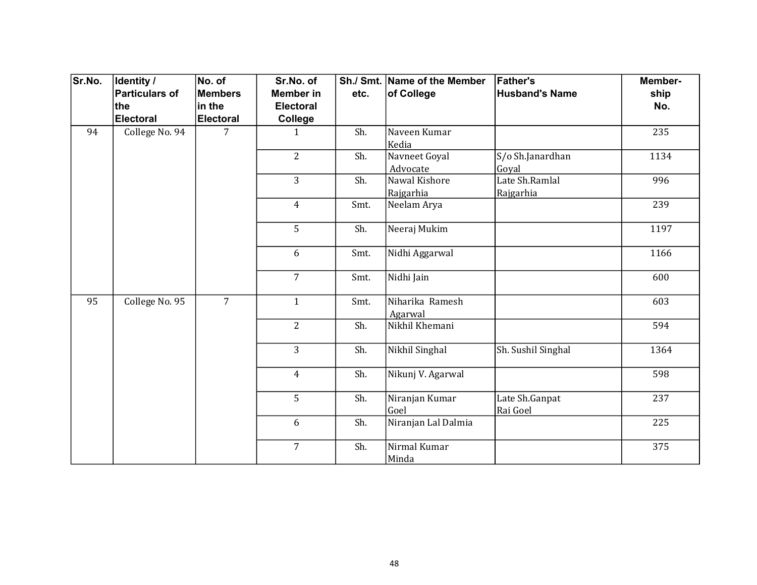| Sr.No. | Identity /<br>Particulars of<br>the<br>Electoral | No. of<br><b>Members</b><br>in the<br>Electoral | Sr.No. of<br><b>Member in</b><br><b>Electoral</b><br>College | etc. | Sh./ Smt. Name of the Member<br>of College | <b>Father's</b><br><b>Husband's Name</b> | Member-<br>ship<br>No. |
|--------|--------------------------------------------------|-------------------------------------------------|--------------------------------------------------------------|------|--------------------------------------------|------------------------------------------|------------------------|
| 94     | College No. 94                                   | 7                                               | $\mathbf{1}$                                                 | Sh.  | Naveen Kumar<br>Kedia                      |                                          | 235                    |
|        |                                                  |                                                 | $\overline{2}$                                               | Sh.  | Navneet Goyal<br>Advocate                  | S/o Sh.Janardhan<br>Goyal                | 1134                   |
|        |                                                  |                                                 | 3                                                            | Sh.  | Nawal Kishore<br>Rajgarhia                 | Late Sh.Ramlal<br>Rajgarhia              | 996                    |
|        |                                                  |                                                 | $\overline{4}$                                               | Smt. | Neelam Arya                                |                                          | 239                    |
|        |                                                  |                                                 | 5                                                            | Sh.  | Neeraj Mukim                               |                                          | 1197                   |
|        |                                                  |                                                 | 6                                                            | Smt. | Nidhi Aggarwal                             |                                          | 1166                   |
|        |                                                  |                                                 | $\overline{7}$                                               | Smt. | Nidhi Jain                                 |                                          | 600                    |
| 95     | College No. 95                                   | $\overline{7}$                                  | $\mathbf{1}$                                                 | Smt. | Niharika Ramesh<br>Agarwal                 |                                          | 603                    |
|        |                                                  |                                                 | $\overline{2}$                                               | Sh.  | Nikhil Khemani                             |                                          | 594                    |
|        |                                                  |                                                 | $\overline{3}$                                               | Sh.  | Nikhil Singhal                             | Sh. Sushil Singhal                       | 1364                   |
|        |                                                  |                                                 | $\overline{4}$                                               | Sh.  | Nikunj V. Agarwal                          |                                          | 598                    |
|        |                                                  |                                                 | 5                                                            | Sh.  | Niranjan Kumar<br>Goel                     | Late Sh.Ganpat<br>Rai Goel               | 237                    |
|        |                                                  |                                                 | 6                                                            | Sh.  | Niranjan Lal Dalmia                        |                                          | 225                    |
|        |                                                  |                                                 | $\overline{7}$                                               | Sh.  | Nirmal Kumar<br>Minda                      |                                          | 375                    |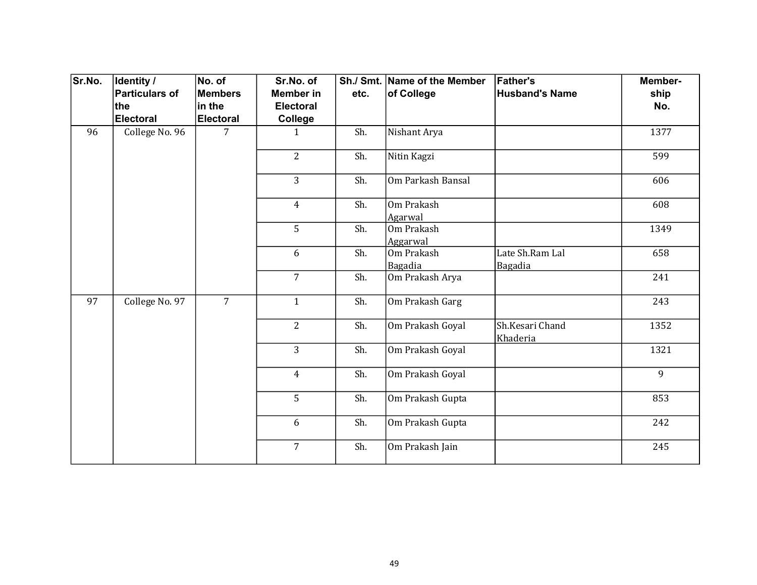| Sr.No. | Identity /            | No. of           | Sr.No. of        |      | Sh./ Smt. Name of the Member | <b>Father's</b>             | Member- |
|--------|-----------------------|------------------|------------------|------|------------------------------|-----------------------------|---------|
|        | <b>Particulars of</b> | Members          | <b>Member in</b> | etc. | of College                   | <b>Husband's Name</b>       | ship    |
|        | the                   | in the           | <b>Electoral</b> |      |                              |                             | No.     |
|        | <b>Electoral</b>      | <b>Electoral</b> | <b>College</b>   |      |                              |                             |         |
| 96     | College No. 96        | $\overline{7}$   | $\mathbf{1}$     | Sh.  | Nishant Arya                 |                             | 1377    |
|        |                       |                  | $\overline{2}$   | Sh.  | Nitin Kagzi                  |                             | 599     |
|        |                       |                  | 3                | Sh.  | Om Parkash Bansal            |                             | 606     |
|        |                       |                  | $\overline{4}$   | Sh.  | Om Prakash<br>Agarwal        |                             | 608     |
|        |                       |                  | 5                | Sh.  | Om Prakash<br>Aggarwal       |                             | 1349    |
|        |                       |                  | 6                | Sh.  | Om Prakash<br>Bagadia        | Late Sh.Ram Lal<br>Bagadia  | 658     |
|        |                       |                  | $\overline{7}$   | Sh.  | Om Prakash Arya              |                             | 241     |
| 97     | College No. 97        | $\overline{7}$   | $\mathbf{1}$     | Sh.  | Om Prakash Garg              |                             | 243     |
|        |                       |                  | $\overline{2}$   | Sh.  | Om Prakash Goyal             | Sh.Kesari Chand<br>Khaderia | 1352    |
|        |                       |                  | $\overline{3}$   | Sh.  | Om Prakash Goyal             |                             | 1321    |
|        |                       |                  | $\overline{4}$   | Sh.  | Om Prakash Goyal             |                             | 9       |
|        |                       |                  | 5                | Sh.  | Om Prakash Gupta             |                             | 853     |
|        |                       |                  | 6                | Sh.  | Om Prakash Gupta             |                             | 242     |
|        |                       |                  | $\overline{7}$   | Sh.  | Om Prakash Jain              |                             | 245     |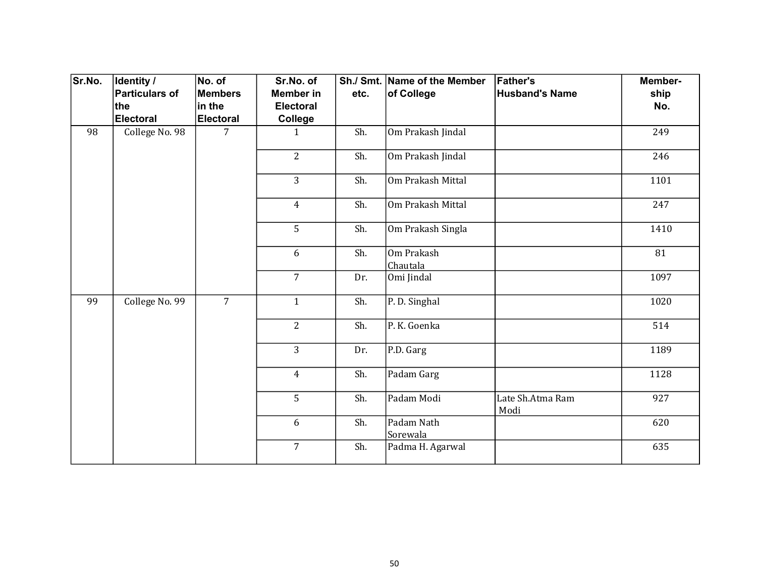| Sr.No. | <b>Identity /</b><br>Particulars of<br>∣the<br>Electoral | No. of<br><b>Members</b><br>in the<br><b>Electoral</b> | Sr.No. of<br><b>Member</b> in<br><b>Electoral</b><br>College | etc. | Sh./ Smt. Name of the Member<br>of College | <b>Father's</b><br><b>Husband's Name</b> | Member-<br>ship<br>No. |
|--------|----------------------------------------------------------|--------------------------------------------------------|--------------------------------------------------------------|------|--------------------------------------------|------------------------------------------|------------------------|
| 98     | College No. 98                                           | $\overline{7}$                                         | $\mathbf{1}$                                                 | Sh.  | Om Prakash Jindal                          |                                          | 249                    |
|        |                                                          |                                                        | $\overline{2}$                                               | Sh.  | Om Prakash Jindal                          |                                          | 246                    |
|        |                                                          |                                                        | $\overline{3}$                                               | Sh.  | Om Prakash Mittal                          |                                          | 1101                   |
|        |                                                          |                                                        | $\overline{4}$                                               | Sh.  | Om Prakash Mittal                          |                                          | 247                    |
|        |                                                          |                                                        | 5                                                            | Sh.  | Om Prakash Singla                          |                                          | 1410                   |
|        |                                                          |                                                        | 6                                                            | Sh.  | Om Prakash<br>Chautala                     |                                          | 81                     |
|        |                                                          |                                                        | $\overline{7}$                                               | Dr.  | Omi Jindal                                 |                                          | 1097                   |
| 99     | College No. 99                                           | $\overline{7}$                                         | $\mathbf{1}$                                                 | Sh.  | P. D. Singhal                              |                                          | 1020                   |
|        |                                                          |                                                        | $\overline{2}$                                               | Sh.  | P. K. Goenka                               |                                          | 514                    |
|        |                                                          |                                                        | $\overline{3}$                                               | Dr.  | P.D. Garg                                  |                                          | 1189                   |
|        |                                                          |                                                        | $\overline{4}$                                               | Sh.  | Padam Garg                                 |                                          | 1128                   |
|        |                                                          |                                                        | 5                                                            | Sh.  | Padam Modi                                 | Late Sh.Atma Ram<br>Modi                 | 927                    |
|        |                                                          |                                                        | 6                                                            | Sh.  | Padam Nath<br>Sorewala                     |                                          | 620                    |
|        |                                                          |                                                        | $\overline{7}$                                               | Sh.  | Padma H. Agarwal                           |                                          | 635                    |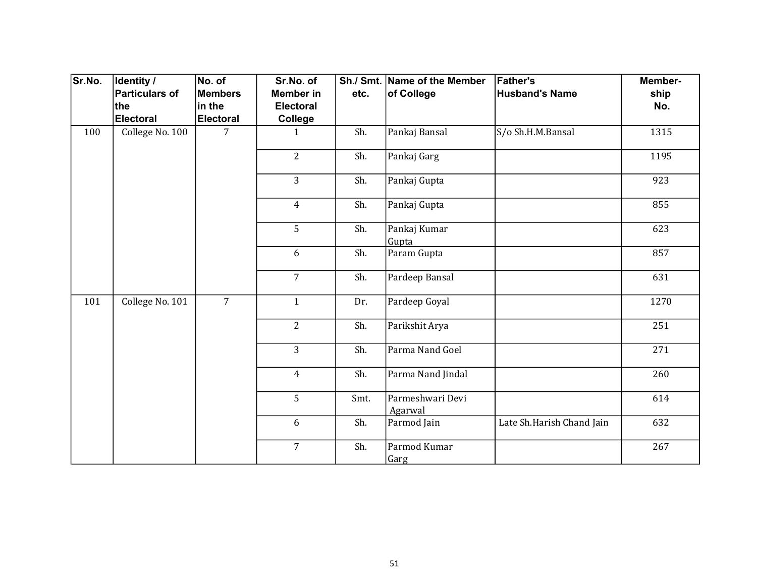| Sr.No. | Identity /<br>Particulars of | No. of<br><b>Members</b> | Sr.No. of<br><b>Member in</b> | etc. | Sh./ Smt. Name of the Member<br>of College | <b>Father's</b><br><b>Husband's Name</b> | Member-<br>ship |
|--------|------------------------------|--------------------------|-------------------------------|------|--------------------------------------------|------------------------------------------|-----------------|
|        | the                          | in the                   | Electoral                     |      |                                            |                                          | No.             |
|        | Electoral                    | <b>Electoral</b>         | College                       |      |                                            |                                          |                 |
| 100    | College No. 100              | 7                        | $\mathbf{1}$                  | Sh.  | Pankaj Bansal                              | S/o Sh.H.M.Bansal                        | 1315            |
|        |                              |                          | $\overline{2}$                | Sh.  | Pankaj Garg                                |                                          | 1195            |
|        |                              |                          | 3                             | Sh.  | Pankaj Gupta                               |                                          | 923             |
|        |                              |                          | $\overline{4}$                | Sh.  | Pankaj Gupta                               |                                          | 855             |
|        |                              |                          | 5                             | Sh.  | Pankaj Kumar<br>Gupta                      |                                          | 623             |
|        |                              |                          | 6                             | Sh.  | Param Gupta                                |                                          | 857             |
|        |                              |                          | $\overline{7}$                | Sh.  | Pardeep Bansal                             |                                          | 631             |
| 101    | College No. 101              | $\overline{7}$           | $\mathbf{1}$                  | Dr.  | Pardeep Goyal                              |                                          | 1270            |
|        |                              |                          | $\overline{2}$                | Sh.  | Parikshit Arya                             |                                          | 251             |
|        |                              |                          | $\overline{3}$                | Sh.  | Parma Nand Goel                            |                                          | 271             |
|        |                              |                          | $\overline{4}$                | Sh.  | Parma Nand Jindal                          |                                          | 260             |
|        |                              |                          | 5                             | Smt. | Parmeshwari Devi<br>Agarwal                |                                          | 614             |
|        |                              |                          | 6                             | Sh.  | Parmod Jain                                | Late Sh.Harish Chand Jain                | 632             |
|        |                              |                          | $\overline{7}$                | Sh.  | Parmod Kumar<br>Garg                       |                                          | 267             |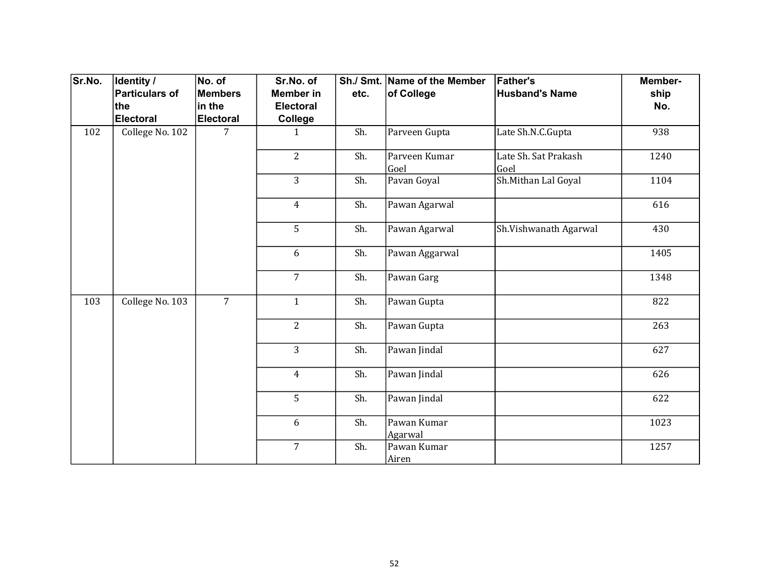| Sr.No. | Identity /      | No. of           | Sr.No. of        |                | Sh./ Smt. Name of the Member | <b>Father's</b>              | Member- |     |
|--------|-----------------|------------------|------------------|----------------|------------------------------|------------------------------|---------|-----|
|        | Particulars of  | <b>Members</b>   | <b>Member in</b> | etc.           | of College                   | <b>Husband's Name</b>        | ship    |     |
|        | ∣the            | in the           | <b>Electoral</b> |                |                              |                              | No.     |     |
|        | Electoral       | <b>Electoral</b> | College          |                |                              |                              |         |     |
| 102    | College No. 102 | 7                | $\mathbf{1}$     | Sh.            | Parveen Gupta                | Late Sh.N.C.Gupta            | 938     |     |
|        |                 |                  | $\overline{2}$   | Sh.            | Parveen Kumar<br>Goel        | Late Sh. Sat Prakash<br>Goel | 1240    |     |
|        |                 |                  | 3                | Sh.            | Pavan Goyal                  | Sh.Mithan Lal Goyal          | 1104    |     |
|        |                 |                  | $\overline{4}$   | Sh.            | Pawan Agarwal                |                              | 616     |     |
|        |                 |                  | 5                | Sh.            | Pawan Agarwal                | Sh.Vishwanath Agarwal        | 430     |     |
|        |                 |                  | 6                | Sh.            | Pawan Aggarwal               |                              | 1405    |     |
|        |                 |                  | $\overline{7}$   | Sh.            | Pawan Garg                   |                              | 1348    |     |
| 103    | College No. 103 | $\overline{7}$   | $\mathbf{1}$     | Sh.            | Pawan Gupta                  |                              | 822     |     |
|        |                 |                  |                  | $\overline{2}$ | Sh.                          | Pawan Gupta                  |         | 263 |
|        |                 |                  | $\overline{3}$   | Sh.            | Pawan Jindal                 |                              | 627     |     |
|        |                 |                  | $\overline{4}$   | Sh.            | Pawan Jindal                 |                              | 626     |     |
|        |                 |                  | 5                | Sh.            | Pawan Jindal                 |                              | 622     |     |
|        |                 |                  | 6                | Sh.            | Pawan Kumar<br>Agarwal       |                              | 1023    |     |
|        |                 |                  | $\overline{7}$   | Sh.            | Pawan Kumar<br>Airen         |                              | 1257    |     |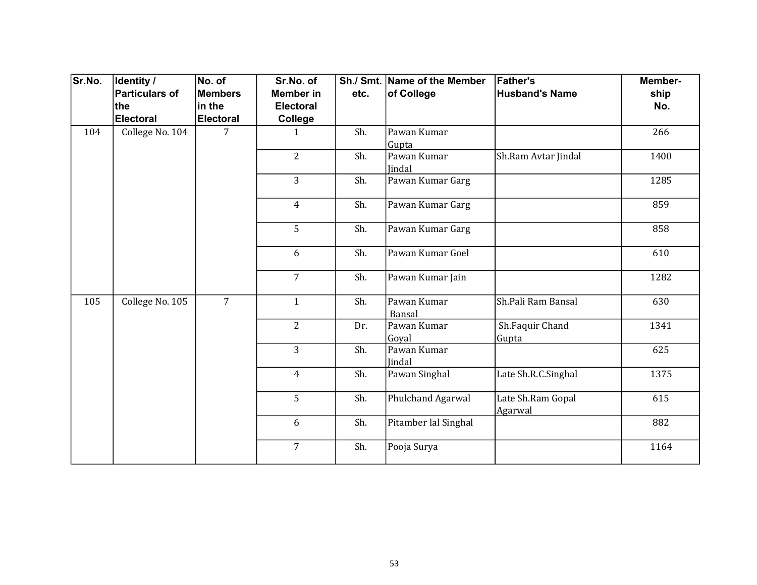| Sr.No. | Identity /      | No. of           | Sr.No. of        |      | Sh./ Smt. Name of the Member | <b>Father's</b>              | Member-              |                          |      |
|--------|-----------------|------------------|------------------|------|------------------------------|------------------------------|----------------------|--------------------------|------|
|        | Particulars of  | <b>Members</b>   | <b>Member in</b> | etc. | of College                   | <b>Husband's Name</b>        | ship                 |                          |      |
|        | ∣the            | in the           | <b>Electoral</b> |      |                              |                              | No.                  |                          |      |
|        | Electoral       | <b>Electoral</b> | College          |      |                              |                              |                      |                          |      |
| 104    | College No. 104 | 7                | $\mathbf{1}$     | Sh.  | Pawan Kumar<br>Gupta         |                              | 266                  |                          |      |
|        |                 |                  | $\overline{2}$   | Sh.  | Pawan Kumar<br>Jindal        | Sh.Ram Avtar Jindal          | 1400                 |                          |      |
|        |                 |                  | $\overline{3}$   | Sh.  | Pawan Kumar Garg             |                              | 1285                 |                          |      |
|        |                 |                  | $\overline{4}$   | Sh.  | Pawan Kumar Garg             |                              | 859                  |                          |      |
|        |                 |                  | 5                | Sh.  | Pawan Kumar Garg             |                              | 858                  |                          |      |
|        |                 |                  | 6                | Sh.  | Pawan Kumar Goel             |                              | 610                  |                          |      |
|        |                 |                  | $\overline{7}$   | Sh.  | Pawan Kumar Jain             |                              | 1282                 |                          |      |
| 105    | College No. 105 | $\overline{7}$   | $\mathbf{1}$     | Sh.  | Pawan Kumar<br>Bansal        | Sh.Pali Ram Bansal           | 630                  |                          |      |
|        |                 |                  |                  |      | $\overline{2}$               | Dr.                          | Pawan Kumar<br>Goyal | Sh.Faquir Chand<br>Gupta | 1341 |
|        |                 |                  | $\overline{3}$   | Sh.  | Pawan Kumar<br><b>Jindal</b> |                              | 625                  |                          |      |
|        |                 |                  | $\overline{4}$   | Sh.  | Pawan Singhal                | Late Sh.R.C.Singhal          | 1375                 |                          |      |
|        |                 |                  | 5                | Sh.  | Phulchand Agarwal            | Late Sh.Ram Gopal<br>Agarwal | 615                  |                          |      |
|        |                 |                  | 6                | Sh.  | Pitamber lal Singhal         |                              | 882                  |                          |      |
|        |                 |                  | 7                | Sh.  | Pooja Surya                  |                              | 1164                 |                          |      |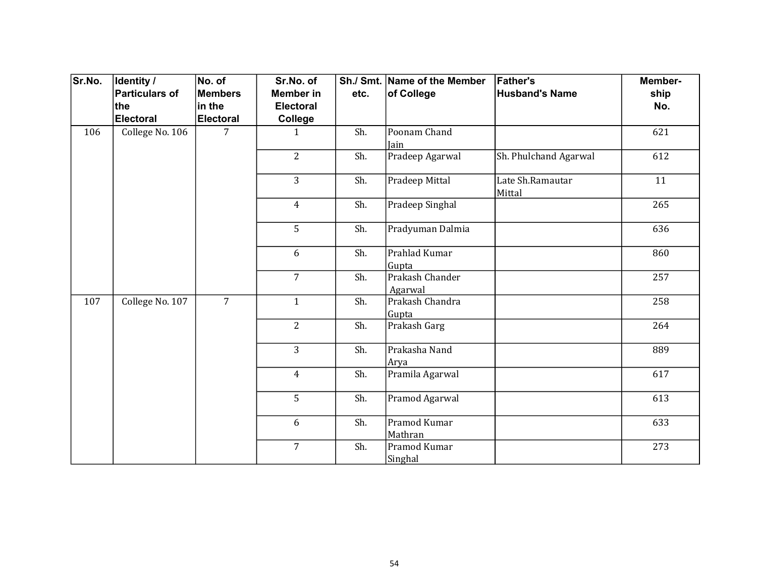| Sr.No. | <b>Identity /</b> | No. of           | Sr.No. of        |      | Sh./ Smt. Name of the Member | <b>Father's</b>            | Member- |
|--------|-------------------|------------------|------------------|------|------------------------------|----------------------------|---------|
|        | Particulars of    | <b>Members</b>   | <b>Member in</b> | etc. | of College                   | <b>Husband's Name</b>      | ship    |
|        | ∣the              | in the           | <b>Electoral</b> |      |                              |                            | No.     |
|        | Electoral         | <b>Electoral</b> | College          |      |                              |                            |         |
| 106    | College No. 106   | 7                | $\mathbf{1}$     | Sh.  | Poonam Chand<br>Jain         |                            | 621     |
|        |                   |                  | $\overline{2}$   | Sh.  | Pradeep Agarwal              | Sh. Phulchand Agarwal      | 612     |
|        |                   |                  | 3                | Sh.  | Pradeep Mittal               | Late Sh.Ramautar<br>Mittal | 11      |
|        |                   |                  | $\overline{4}$   | Sh.  | Pradeep Singhal              |                            | 265     |
|        |                   |                  | 5                | Sh.  | Pradyuman Dalmia             |                            | 636     |
|        |                   |                  | 6                | Sh.  | Prahlad Kumar<br>Gupta       |                            | 860     |
|        |                   |                  | $\overline{7}$   | Sh.  | Prakash Chander<br>Agarwal   |                            | 257     |
| 107    | College No. 107   | $\overline{7}$   | $\mathbf{1}$     | Sh.  | Prakash Chandra<br>Gupta     |                            | 258     |
|        |                   |                  | $\overline{2}$   | Sh.  | Prakash Garg                 |                            | 264     |
|        |                   |                  | $\overline{3}$   | Sh.  | Prakasha Nand<br>Arya        |                            | 889     |
|        |                   |                  | $\overline{4}$   | Sh.  | Pramila Agarwal              |                            | 617     |
|        |                   |                  | 5                | Sh.  | Pramod Agarwal               |                            | 613     |
|        |                   |                  | 6                | Sh.  | Pramod Kumar<br>Mathran      |                            | 633     |
|        |                   |                  | $\overline{7}$   | Sh.  | Pramod Kumar<br>Singhal      |                            | 273     |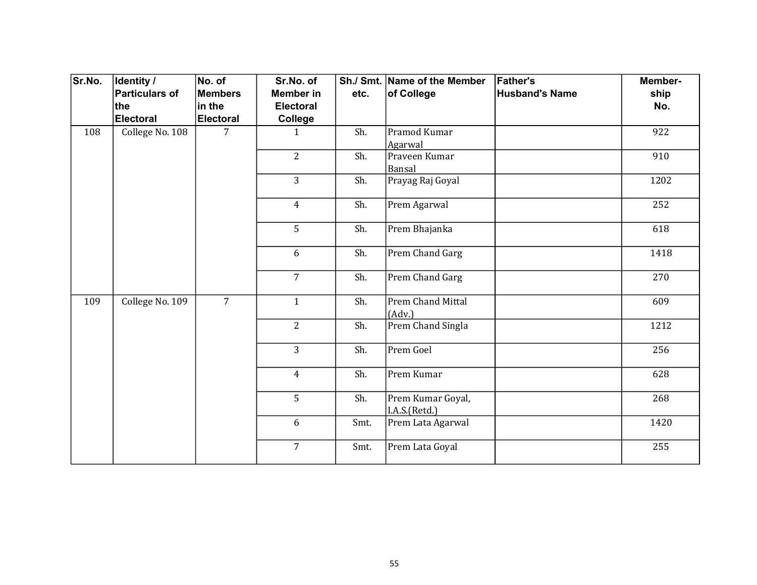| Sr.No. | <b>Identity /</b><br>Particulars of | No. of<br><b>Members</b> | Sr.No. of<br><b>Member in</b> | etc. | Sh./ Smt. Name of the Member<br>of College | <b>Father's</b><br><b>Husband's Name</b> | Member-<br>ship |     |
|--------|-------------------------------------|--------------------------|-------------------------------|------|--------------------------------------------|------------------------------------------|-----------------|-----|
|        | the                                 | in the                   | <b>Electoral</b>              |      |                                            |                                          | No.             |     |
|        | Electoral                           | <b>Electoral</b>         | College                       |      |                                            |                                          |                 |     |
| 108    | College No. 108                     | 7                        | $\mathbf{1}$                  | Sh.  | Pramod Kumar<br>Agarwal                    |                                          | 922             |     |
|        |                                     |                          | $\overline{2}$                | Sh.  | Praveen Kumar<br>Bansal                    |                                          | 910             |     |
|        |                                     |                          | $\overline{3}$                | Sh.  | Prayag Raj Goyal                           |                                          | 1202            |     |
|        |                                     |                          | $\overline{4}$                | Sh.  | Prem Agarwal                               |                                          | 252             |     |
|        |                                     |                          | 5                             | Sh.  | Prem Bhajanka                              |                                          | 618             |     |
|        |                                     |                          | 6                             | Sh.  | Prem Chand Garg                            |                                          | 1418            |     |
|        |                                     |                          | $\overline{7}$                | Sh.  | Prem Chand Garg                            |                                          | 270             |     |
| 109    | College No. 109                     | $\overline{7}$           | $\mathbf{1}$                  | Sh.  | Prem Chand Mittal<br>(Adv.)                |                                          | 609             |     |
|        |                                     |                          | $\overline{2}$                | Sh.  | Prem Chand Singla                          |                                          | 1212            |     |
|        |                                     |                          | $\overline{3}$                | Sh.  | Prem Goel                                  |                                          | 256             |     |
|        |                                     |                          | $\overline{4}$                | Sh.  | Prem Kumar                                 |                                          | 628             |     |
|        |                                     |                          | 5                             |      | Sh.                                        | Prem Kumar Goyal,<br>I.A.S.(Retd.)       |                 | 268 |
|        |                                     |                          | 6                             | Smt. | Prem Lata Agarwal                          |                                          | 1420            |     |
|        |                                     |                          | $\overline{7}$                | Smt. | Prem Lata Goyal                            |                                          | 255             |     |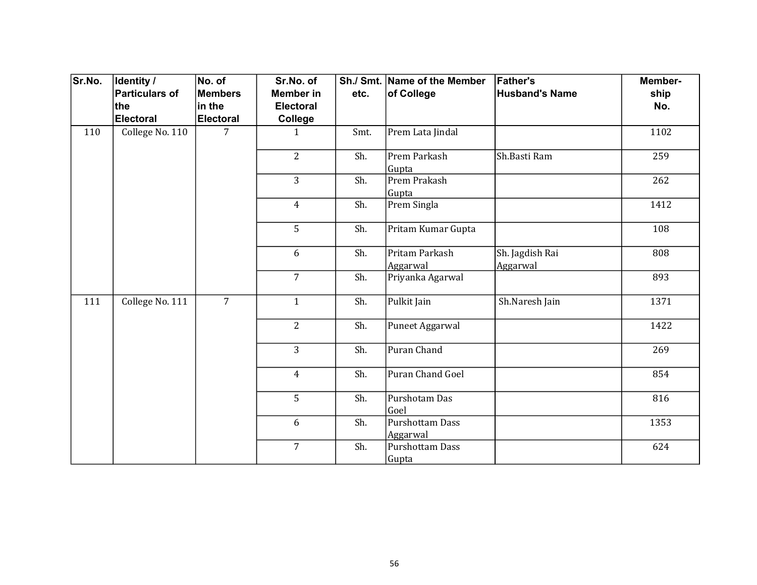| Sr.No. | <b>Identity /</b> | No. of           | Sr.No. of        |      | Sh./ Smt. Name of the Member    | <b>Father's</b>             | Member- |
|--------|-------------------|------------------|------------------|------|---------------------------------|-----------------------------|---------|
|        | Particulars of    | <b>Members</b>   | <b>Member in</b> | etc. | of College                      | <b>Husband's Name</b>       | ship    |
|        | ∣the              | in the           | <b>Electoral</b> |      |                                 |                             | No.     |
|        | Electoral         | <b>Electoral</b> | College          |      |                                 |                             |         |
| 110    | College No. 110   | 7                | $\mathbf{1}$     | Smt. | Prem Lata Jindal                |                             | 1102    |
|        |                   |                  | $\overline{2}$   | Sh.  | Prem Parkash<br>Gupta           | Sh.Basti Ram                | 259     |
|        |                   |                  | $\overline{3}$   | Sh.  | Prem Prakash<br>Gupta           |                             | 262     |
|        |                   |                  | $\overline{4}$   | Sh.  | Prem Singla                     |                             | 1412    |
|        |                   |                  | 5                | Sh.  | Pritam Kumar Gupta              |                             | 108     |
|        |                   |                  | 6                | Sh.  | Pritam Parkash<br>Aggarwal      | Sh. Jagdish Rai<br>Aggarwal | 808     |
|        |                   |                  | $\overline{7}$   | Sh.  | Priyanka Agarwal                |                             | 893     |
| 111    | College No. 111   | $\overline{7}$   | $\mathbf{1}$     | Sh.  | Pulkit Jain                     | Sh.Naresh Jain              | 1371    |
|        |                   |                  | $\overline{2}$   | Sh.  | Puneet Aggarwal                 |                             | 1422    |
|        |                   |                  | $\overline{3}$   | Sh.  | Puran Chand                     |                             | 269     |
|        |                   |                  | $\overline{4}$   | Sh.  | Puran Chand Goel                |                             | 854     |
|        |                   |                  | 5                | Sh.  | Purshotam Das<br>Goel           |                             | 816     |
|        |                   |                  | 6                | Sh.  | Purshottam Dass<br>Aggarwal     |                             | 1353    |
|        |                   |                  | $\overline{7}$   | Sh.  | <b>Purshottam Dass</b><br>Gupta |                             | 624     |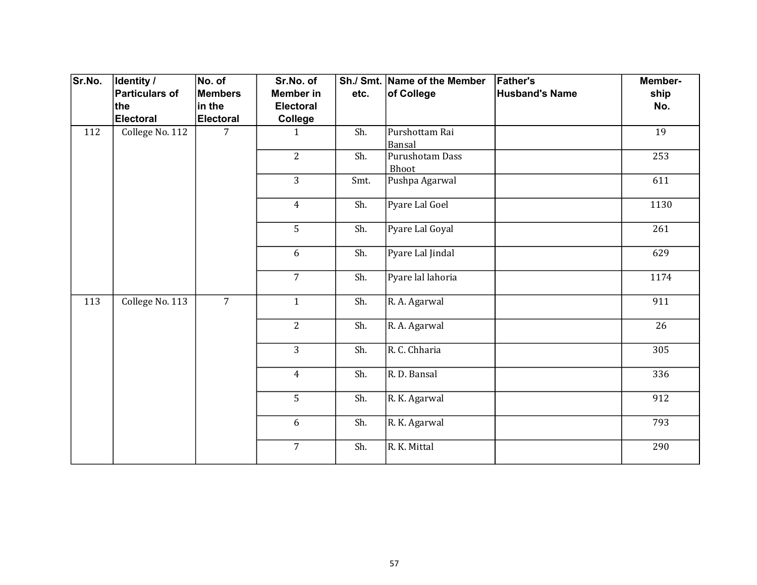| Sr.No. | <b>Identity /</b> | No. of           | Sr.No. of        |      | Sh./ Smt. Name of the Member | <b>Father's</b>       | Member- |
|--------|-------------------|------------------|------------------|------|------------------------------|-----------------------|---------|
|        | Particulars of    | <b>Members</b>   | <b>Member in</b> | etc. | of College                   | <b>Husband's Name</b> | ship    |
|        | ∣the              | in the           | <b>Electoral</b> |      |                              |                       | No.     |
|        | Electoral         | <b>Electoral</b> | College          |      |                              |                       |         |
| 112    | College No. 112   | 7                | $\mathbf{1}$     | Sh.  | Purshottam Rai<br>Bansal     |                       | 19      |
|        |                   |                  | $\overline{2}$   | Sh.  | Purushotam Dass<br>Bhoot     |                       | 253     |
|        |                   |                  | 3                | Smt. | Pushpa Agarwal               |                       | 611     |
|        |                   |                  | $\overline{4}$   | Sh.  | Pyare Lal Goel               |                       | 1130    |
|        |                   |                  | 5                | Sh.  | Pyare Lal Goyal              |                       | 261     |
|        |                   |                  | 6                | Sh.  | Pyare Lal Jindal             |                       | 629     |
|        |                   |                  | $\overline{7}$   | Sh.  | Pyare lal lahoria            |                       | 1174    |
| 113    | College No. 113   | $\overline{7}$   | $\mathbf{1}$     | Sh.  | R. A. Agarwal                |                       | 911     |
|        |                   |                  | $\overline{2}$   | Sh.  | R. A. Agarwal                |                       | 26      |
|        |                   |                  | $\overline{3}$   | Sh.  | R. C. Chharia                |                       | 305     |
|        |                   |                  | $\overline{4}$   | Sh.  | R. D. Bansal                 |                       | 336     |
|        |                   |                  | 5                | Sh.  | R. K. Agarwal                |                       | 912     |
|        |                   |                  | 6                | Sh.  | R. K. Agarwal                |                       | 793     |
|        |                   |                  | $\overline{7}$   | Sh.  | R. K. Mittal                 |                       | 290     |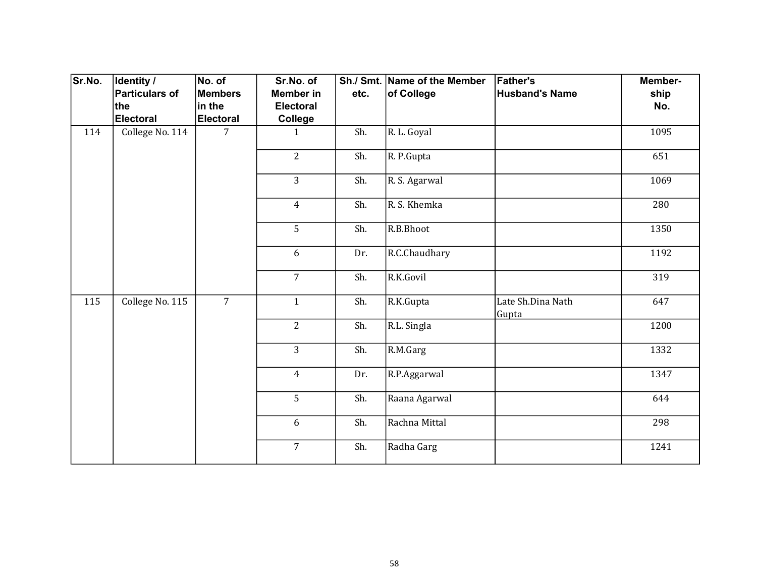| Sr.No. | <b>Identity /</b> | No. of           | Sr.No. of        |      | Sh./ Smt. Name of the Member | <b>Father's</b>            | Member- |
|--------|-------------------|------------------|------------------|------|------------------------------|----------------------------|---------|
|        | Particulars of    | <b>Members</b>   | <b>Member in</b> | etc. | of College                   | <b>Husband's Name</b>      | ship    |
|        | ∣the              | in the           | <b>Electoral</b> |      |                              |                            | No.     |
|        | Electoral         | <b>Electoral</b> | College          |      |                              |                            |         |
| 114    | College No. 114   | $\overline{7}$   | $\mathbf{1}$     | Sh.  | R. L. Goyal                  |                            | 1095    |
|        |                   |                  | $\overline{2}$   | Sh.  | R. P.Gupta                   |                            | 651     |
|        |                   |                  | $\overline{3}$   | Sh.  | R. S. Agarwal                |                            | 1069    |
|        |                   |                  | $\overline{4}$   | Sh.  | R. S. Khemka                 |                            | 280     |
|        |                   |                  | 5                | Sh.  | R.B.Bhoot                    |                            | 1350    |
|        |                   |                  | 6                | Dr.  | R.C.Chaudhary                |                            | 1192    |
|        |                   |                  | $\overline{7}$   | Sh.  | R.K.Govil                    |                            | 319     |
| 115    | College No. 115   | $\overline{7}$   | $\mathbf{1}$     | Sh.  | R.K.Gupta                    | Late Sh.Dina Nath<br>Gupta | 647     |
|        |                   |                  | $\overline{2}$   | Sh.  | R.L. Singla                  |                            | 1200    |
|        |                   |                  | 3                | Sh.  | R.M.Garg                     |                            | 1332    |
|        |                   |                  | $\overline{4}$   | Dr.  | R.P.Aggarwal                 |                            | 1347    |
|        |                   |                  | 5                | Sh.  | Raana Agarwal                |                            | 644     |
|        |                   |                  | 6                | Sh.  | Rachna Mittal                |                            | 298     |
|        |                   |                  | $\overline{7}$   | Sh.  | Radha Garg                   |                            | 1241    |
|        |                   |                  |                  |      |                              |                            |         |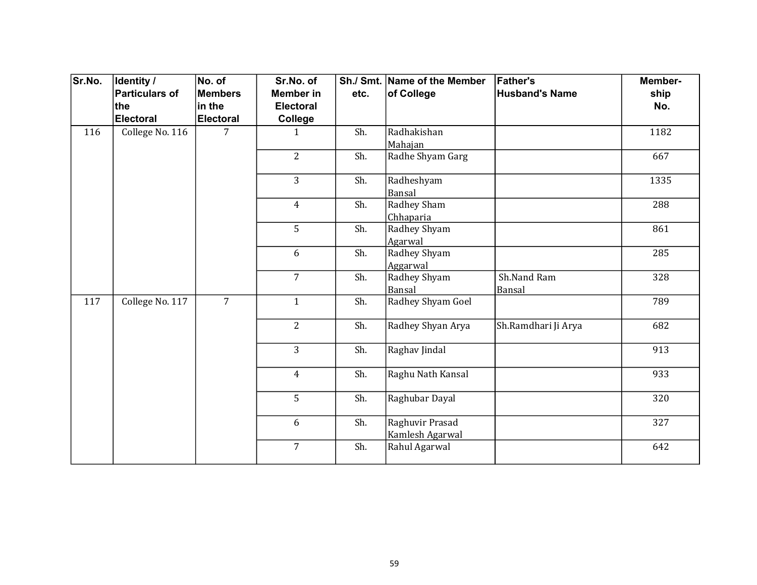| Sr.No. | Identity /      | No. of           | Sr.No. of        |      | Sh./ Smt. Name of the Member       | <b>Father's</b>       | Member- |
|--------|-----------------|------------------|------------------|------|------------------------------------|-----------------------|---------|
|        | Particulars of  | <b>Members</b>   | <b>Member in</b> | etc. | of College                         | <b>Husband's Name</b> | ship    |
|        | ∣the            | in the           | <b>Electoral</b> |      |                                    |                       | No.     |
|        | Electoral       | <b>Electoral</b> | College          |      |                                    |                       |         |
| 116    | College No. 116 | 7                | $\mathbf{1}$     | Sh.  | Radhakishan<br>Mahajan             |                       | 1182    |
|        |                 |                  | $\overline{2}$   | Sh.  | Radhe Shyam Garg                   |                       | 667     |
|        |                 |                  | $\overline{3}$   | Sh.  | Radheshyam<br>Bansal               |                       | 1335    |
|        |                 |                  | $\overline{4}$   | Sh.  | Radhey Sham<br>Chhaparia           |                       | 288     |
|        |                 |                  | 5                | Sh.  | Radhey Shyam<br>Agarwal            |                       | 861     |
|        |                 |                  | 6                | Sh.  | Radhey Shyam<br>Aggarwal           |                       | 285     |
|        |                 |                  | $\overline{7}$   | Sh.  | Radhey Shyam<br>Bansal             | Sh.Nand Ram<br>Bansal | 328     |
| 117    | College No. 117 | $\overline{7}$   | $\mathbf{1}$     | Sh.  | Radhey Shyam Goel                  |                       | 789     |
|        |                 |                  | $\overline{2}$   | Sh.  | Radhey Shyan Arya                  | Sh.Ramdhari Ji Arya   | 682     |
|        |                 |                  | $\overline{3}$   | Sh.  | Raghav Jindal                      |                       | 913     |
|        |                 |                  | $\overline{4}$   | Sh.  | Raghu Nath Kansal                  |                       | 933     |
|        |                 |                  | 5                | Sh.  | Raghubar Dayal                     |                       | 320     |
|        |                 |                  | 6                | Sh.  | Raghuvir Prasad<br>Kamlesh Agarwal |                       | 327     |
|        |                 |                  | $\overline{7}$   | Sh.  | Rahul Agarwal                      |                       | 642     |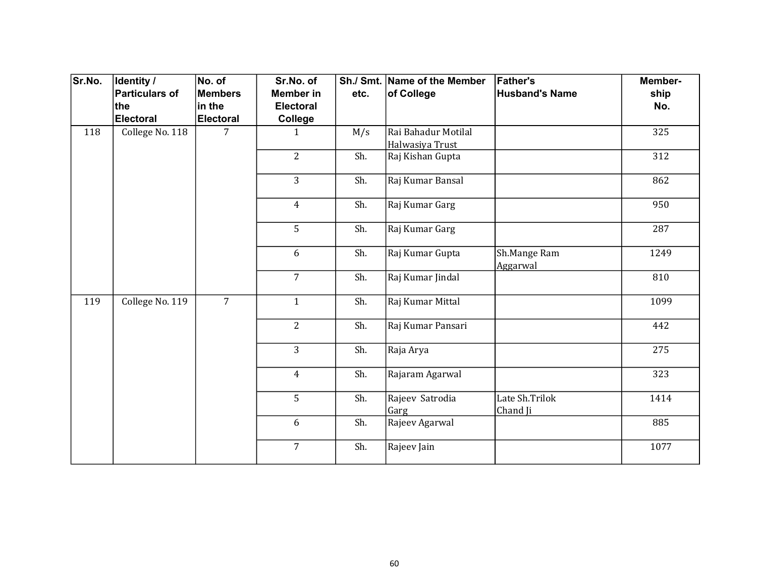| Sr.No. | Identity /      | No. of           | Sr.No. of        |      | Sh./ Smt. Name of the Member           | <b>Father's</b>            | Member- |
|--------|-----------------|------------------|------------------|------|----------------------------------------|----------------------------|---------|
|        | Particulars of  | <b>Members</b>   | <b>Member in</b> | etc. | of College                             | <b>Husband's Name</b>      | ship    |
|        | ∣the            | in the           | <b>Electoral</b> |      |                                        |                            | No.     |
|        | Electoral       | <b>Electoral</b> | College          |      |                                        |                            |         |
| 118    | College No. 118 | 7                | 1                | M/s  | Rai Bahadur Motilal<br>Halwasiya Trust |                            | 325     |
|        |                 |                  | $\overline{2}$   | Sh.  | Raj Kishan Gupta                       |                            | 312     |
|        |                 |                  | 3                | Sh.  | Raj Kumar Bansal                       |                            | 862     |
|        |                 |                  | $\overline{4}$   | Sh.  | Raj Kumar Garg                         |                            | 950     |
|        |                 |                  | 5                | Sh.  | Raj Kumar Garg                         |                            | 287     |
|        |                 |                  | 6                | Sh.  | Raj Kumar Gupta                        | Sh.Mange Ram<br>Aggarwal   | 1249    |
|        |                 |                  | $\overline{7}$   | Sh.  | Raj Kumar Jindal                       |                            | 810     |
| 119    | College No. 119 | $\overline{7}$   | $\mathbf{1}$     | Sh.  | Raj Kumar Mittal                       |                            | 1099    |
|        |                 |                  | $\overline{2}$   | Sh.  | Raj Kumar Pansari                      |                            | 442     |
|        |                 |                  | $\overline{3}$   | Sh.  | Raja Arya                              |                            | 275     |
|        |                 |                  | $\overline{4}$   | Sh.  | Rajaram Agarwal                        |                            | 323     |
|        |                 |                  | 5                | Sh.  | Rajeev Satrodia<br>Garg                | Late Sh.Trilok<br>Chand Ji | 1414    |
|        |                 |                  | 6                | Sh.  | Rajeev Agarwal                         |                            | 885     |
|        |                 |                  | $\overline{7}$   | Sh.  | Rajeev Jain                            |                            | 1077    |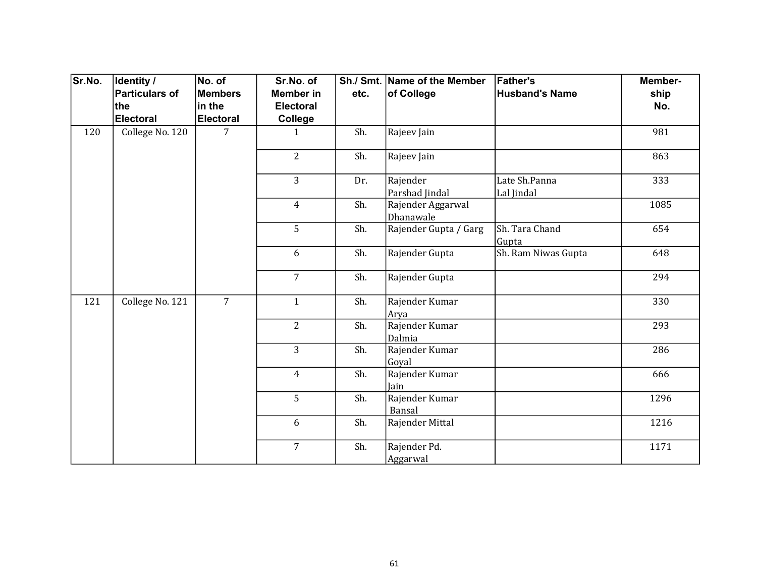| Sr.No. | <b>Identity /</b> | No. of           | Sr.No. of        |      | Sh./ Smt. Name of the Member   | <b>Father's</b>             | Member- |
|--------|-------------------|------------------|------------------|------|--------------------------------|-----------------------------|---------|
|        | Particulars of    | <b>Members</b>   | <b>Member in</b> | etc. | of College                     | <b>Husband's Name</b>       | ship    |
|        | ∣the              | in the           | Electoral        |      |                                |                             | No.     |
|        | Electoral         | <b>Electoral</b> | College          |      |                                |                             |         |
| 120    | College No. 120   | 7                | $\mathbf{1}$     | Sh.  | Rajeev Jain                    |                             | 981     |
|        |                   |                  | $\overline{2}$   | Sh.  | Rajeev Jain                    |                             | 863     |
|        |                   |                  | $\overline{3}$   | Dr.  | Rajender<br>Parshad Jindal     | Late Sh.Panna<br>Lal Jindal | 333     |
|        |                   |                  | $\overline{4}$   | Sh.  | Rajender Aggarwal<br>Dhanawale |                             | 1085    |
|        |                   |                  | 5                | Sh.  | Rajender Gupta / Garg          | Sh. Tara Chand<br>Gupta     | 654     |
|        |                   |                  | 6                | Sh.  | Rajender Gupta                 | Sh. Ram Niwas Gupta         | 648     |
|        |                   |                  | $\overline{7}$   | Sh.  | Rajender Gupta                 |                             | 294     |
| 121    | College No. 121   | $\overline{7}$   | $\mathbf{1}$     | Sh.  | Rajender Kumar<br>Arya         |                             | 330     |
|        |                   |                  | $\overline{2}$   | Sh.  | Rajender Kumar<br>Dalmia       |                             | 293     |
|        |                   |                  | $\overline{3}$   | Sh.  | Rajender Kumar<br>Goyal        |                             | 286     |
|        |                   |                  | $\overline{4}$   | Sh.  | Rajender Kumar<br>Jain         |                             | 666     |
|        |                   |                  | 5                | Sh.  | Rajender Kumar<br>Bansal       |                             | 1296    |
|        |                   |                  | 6                | Sh.  | Rajender Mittal                |                             | 1216    |
|        |                   |                  | $\overline{7}$   | Sh.  | Rajender Pd.<br>Aggarwal       |                             | 1171    |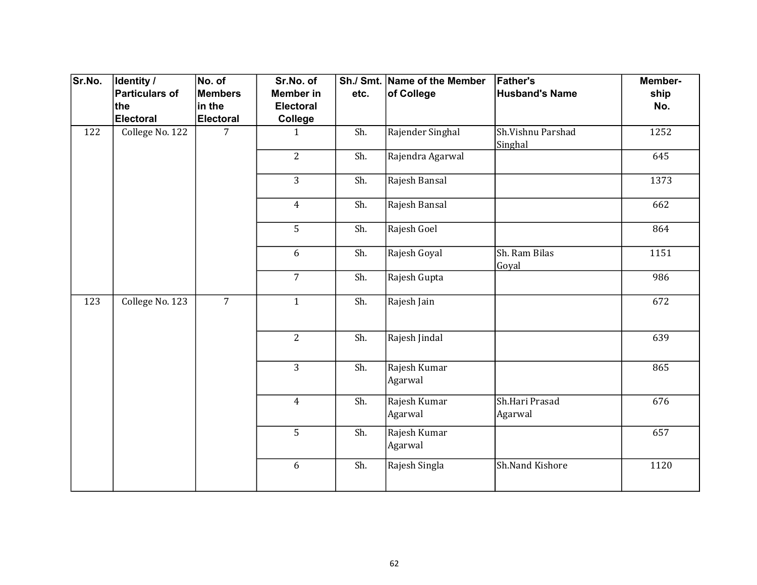| Sr.No. | Identity /            | No. of           | Sr.No. of        |      | Sh./ Smt. Name of the Member | <b>Father's</b>              | Member-       |  |     |
|--------|-----------------------|------------------|------------------|------|------------------------------|------------------------------|---------------|--|-----|
|        | <b>Particulars of</b> | <b>Members</b>   | <b>Member in</b> | etc. | of College                   | <b>Husband's Name</b>        | ship          |  |     |
|        | the                   | in the           | <b>Electoral</b> |      |                              |                              | No.           |  |     |
|        | <b>Electoral</b>      | <b>Electoral</b> | College          |      |                              |                              |               |  |     |
| 122    | College No. 122       | $\overline{7}$   | $\mathbf{1}$     | Sh.  | Rajender Singhal             | Sh.Vishnu Parshad<br>Singhal | 1252          |  |     |
|        |                       |                  | $\overline{2}$   | Sh.  | Rajendra Agarwal             |                              | 645           |  |     |
|        |                       |                  | 3                | Sh.  | Rajesh Bansal                |                              | 1373          |  |     |
|        |                       |                  | $\overline{4}$   | Sh.  | Rajesh Bansal                |                              | 662           |  |     |
|        |                       |                  | 5                | Sh.  | Rajesh Goel                  |                              | 864           |  |     |
|        |                       |                  | 6                | Sh.  | Rajesh Goyal                 | Sh. Ram Bilas<br>Goyal       | 1151          |  |     |
|        |                       |                  | $\overline{7}$   | Sh.  | Rajesh Gupta                 |                              | 986           |  |     |
| 123    | College No. 123       | $\overline{7}$   | $\mathbf{1}$     | Sh.  | Rajesh Jain                  |                              | 672           |  |     |
|        |                       |                  |                  |      | $\overline{2}$               | Sh.                          | Rajesh Jindal |  | 639 |
|        |                       |                  | $\overline{3}$   | Sh.  | Rajesh Kumar<br>Agarwal      |                              | 865           |  |     |
|        |                       |                  | $\overline{4}$   | Sh.  | Rajesh Kumar<br>Agarwal      | Sh.Hari Prasad<br>Agarwal    | 676           |  |     |
|        |                       |                  | 5                | Sh.  | Rajesh Kumar<br>Agarwal      |                              | 657           |  |     |
|        |                       |                  | 6                | Sh.  | Rajesh Singla                | Sh.Nand Kishore              | 1120          |  |     |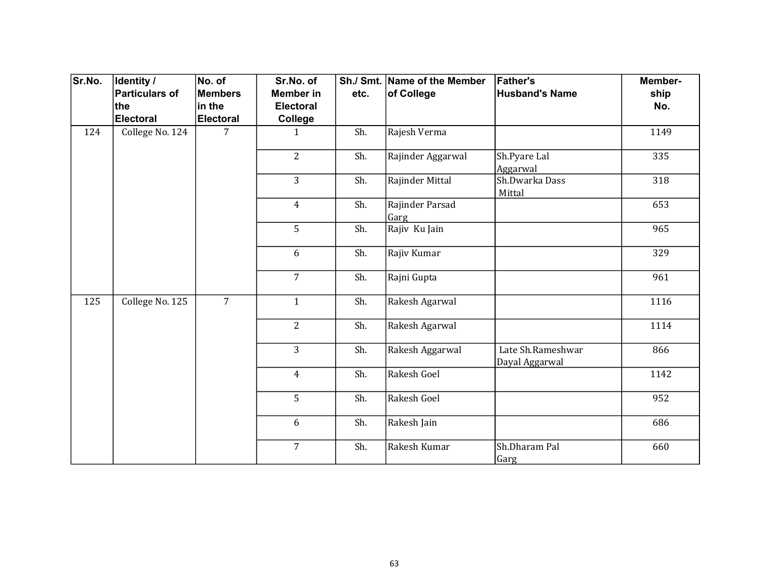| Sr.No. | Identity /      | No. of           | Sr.No. of        |      | Sh./ Smt. Name of the Member | <b>Father's</b>                     | Member- |
|--------|-----------------|------------------|------------------|------|------------------------------|-------------------------------------|---------|
|        | Particulars of  | Members          | <b>Member in</b> | etc. | of College                   | <b>Husband's Name</b>               | ship    |
|        | ∣the            | in the           | <b>Electoral</b> |      |                              |                                     | No.     |
|        | Electoral       | <b>Electoral</b> | College          |      |                              |                                     |         |
| 124    | College No. 124 | 7                | $\mathbf{1}$     | Sh.  | Rajesh Verma                 |                                     | 1149    |
|        |                 |                  | $\overline{2}$   | Sh.  | Rajinder Aggarwal            | Sh.Pyare Lal<br>Aggarwal            | 335     |
|        |                 |                  | $\overline{3}$   | Sh.  | Rajinder Mittal              | Sh.Dwarka Dass<br>Mittal            | 318     |
|        |                 |                  | $\overline{4}$   | Sh.  | Rajinder Parsad<br>Garg      |                                     | 653     |
|        |                 |                  | 5                | Sh.  | Rajiv Ku Jain                |                                     | 965     |
|        |                 |                  | 6                | Sh.  | Rajiv Kumar                  |                                     | 329     |
|        |                 |                  | $\overline{7}$   | Sh.  | Rajni Gupta                  |                                     | 961     |
| 125    | College No. 125 | $\overline{7}$   | $\mathbf{1}$     | Sh.  | Rakesh Agarwal               |                                     | 1116    |
|        |                 |                  | $\overline{2}$   | Sh.  | Rakesh Agarwal               |                                     | 1114    |
|        |                 |                  | 3                | Sh.  | Rakesh Aggarwal              | Late Sh.Rameshwar<br>Dayal Aggarwal | 866     |
|        |                 |                  | $\overline{4}$   | Sh.  | Rakesh Goel                  |                                     | 1142    |
|        |                 |                  | 5                | Sh.  | Rakesh Goel                  |                                     | 952     |
|        |                 |                  | 6                | Sh.  | Rakesh Jain                  |                                     | 686     |
|        |                 |                  | $\overline{7}$   | Sh.  | Rakesh Kumar                 | Sh.Dharam Pal<br>Garg               | 660     |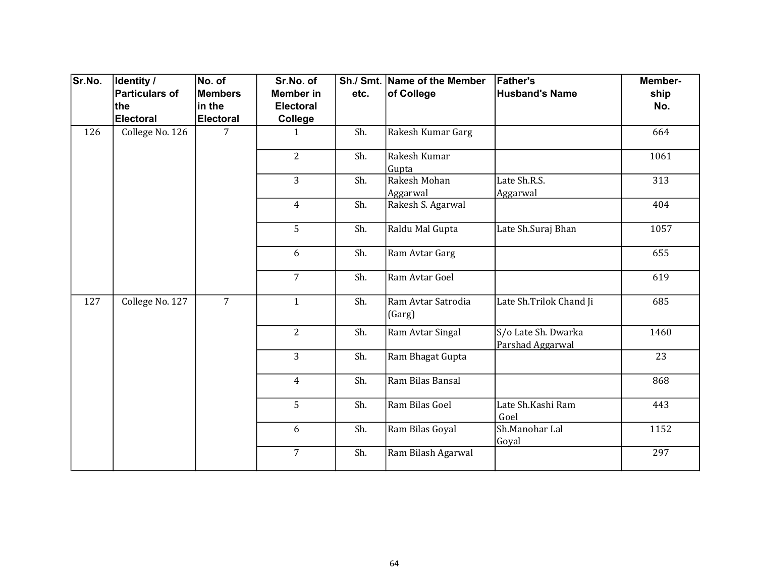| Sr.No. | Identity /            | No. of           | Sr.No. of        |      | Sh./ Smt. Name of the Member | <b>Father's</b>                         | Member- |
|--------|-----------------------|------------------|------------------|------|------------------------------|-----------------------------------------|---------|
|        | <b>Particulars of</b> | <b>Members</b>   | <b>Member in</b> | etc. | of College                   | <b>Husband's Name</b>                   | ship    |
|        | the                   | in the           | <b>Electoral</b> |      |                              |                                         | No.     |
|        | <b>Electoral</b>      | <b>Electoral</b> | <b>College</b>   |      |                              |                                         |         |
| 126    | College No. 126       | $\overline{7}$   | $\mathbf{1}$     | Sh.  | Rakesh Kumar Garg            |                                         | 664     |
|        |                       |                  | $\overline{2}$   | Sh.  | Rakesh Kumar<br>Gupta        |                                         | 1061    |
|        |                       |                  | 3                | Sh.  | Rakesh Mohan<br>Aggarwal     | Late Sh.R.S.<br>Aggarwal                | 313     |
|        |                       |                  | $\overline{4}$   | Sh.  | Rakesh S. Agarwal            |                                         | 404     |
|        |                       |                  | 5                | Sh.  | Raldu Mal Gupta              | Late Sh.Suraj Bhan                      | 1057    |
|        |                       |                  | 6                | Sh.  | Ram Avtar Garg               |                                         | 655     |
|        |                       |                  | $\overline{7}$   | Sh.  | Ram Avtar Goel               |                                         | 619     |
| 127    | College No. 127       | $\overline{7}$   | $\mathbf{1}$     | Sh.  | Ram Avtar Satrodia<br>(Garg) | Late Sh.Trilok Chand Ji                 | 685     |
|        |                       |                  | $\overline{2}$   | Sh.  | Ram Avtar Singal             | S/o Late Sh. Dwarka<br>Parshad Aggarwal | 1460    |
|        |                       |                  | $\overline{3}$   | Sh.  | Ram Bhagat Gupta             |                                         | 23      |
|        |                       |                  | $\overline{4}$   | Sh.  | Ram Bilas Bansal             |                                         | 868     |
|        |                       |                  | 5                | Sh.  | Ram Bilas Goel               | Late Sh.Kashi Ram<br>Goel               | 443     |
|        |                       |                  | 6                | Sh.  | Ram Bilas Goyal              | Sh.Manohar Lal<br>Goyal                 | 1152    |
|        |                       |                  | $\overline{7}$   | Sh.  | Ram Bilash Agarwal           |                                         | 297     |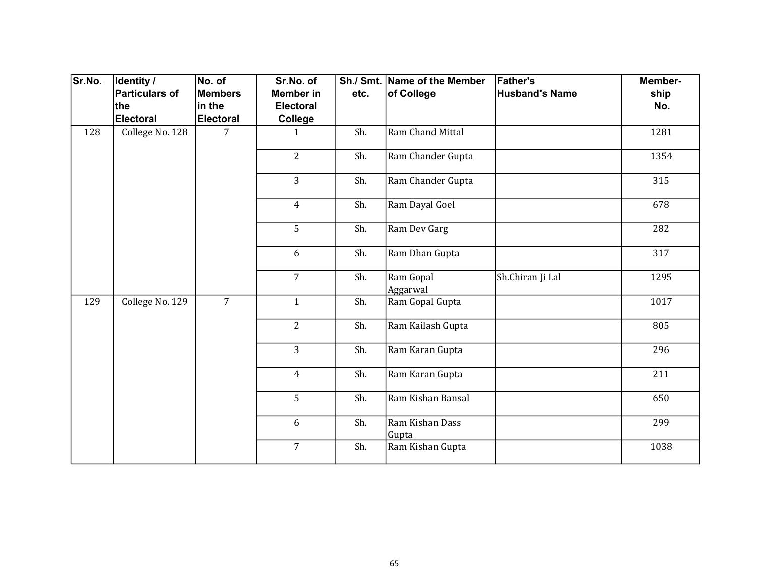| Sr.No. | Identity /            | No. of           | Sr.No. of        |      | Sh./ Smt. Name of the Member | <b>Father's</b>       | Member- |
|--------|-----------------------|------------------|------------------|------|------------------------------|-----------------------|---------|
|        | <b>Particulars of</b> | Members          | <b>Member in</b> | etc. | of College                   | <b>Husband's Name</b> | ship    |
|        | the                   | in the           | <b>Electoral</b> |      |                              |                       | No.     |
|        | <b>Electoral</b>      | <b>Electoral</b> | College          |      |                              |                       |         |
| 128    | College No. 128       | 7                | $\mathbf{1}$     | Sh.  | Ram Chand Mittal             |                       | 1281    |
|        |                       |                  | $\overline{2}$   | Sh.  | Ram Chander Gupta            |                       | 1354    |
|        |                       |                  | 3                | Sh.  | Ram Chander Gupta            |                       | 315     |
|        |                       |                  | $\overline{4}$   | Sh.  | Ram Dayal Goel               |                       | 678     |
|        |                       |                  | 5                | Sh.  | Ram Dev Garg                 |                       | 282     |
|        |                       |                  | 6                | Sh.  | Ram Dhan Gupta               |                       | 317     |
|        |                       |                  | $\overline{7}$   | Sh.  | Ram Gopal<br>Aggarwal        | Sh.Chiran Ji Lal      | 1295    |
| 129    | College No. 129       | $\overline{7}$   | $\mathbf{1}$     | Sh.  | Ram Gopal Gupta              |                       | 1017    |
|        |                       |                  | $\overline{2}$   | Sh.  | Ram Kailash Gupta            |                       | 805     |
|        |                       |                  | 3                | Sh.  | Ram Karan Gupta              |                       | 296     |
|        |                       |                  | $\overline{4}$   | Sh.  | Ram Karan Gupta              |                       | 211     |
|        |                       |                  | 5                | Sh.  | Ram Kishan Bansal            |                       | 650     |
|        |                       |                  | 6                | Sh.  | Ram Kishan Dass<br>Gupta     |                       | 299     |
|        |                       |                  | $\overline{7}$   | Sh.  | Ram Kishan Gupta             |                       | 1038    |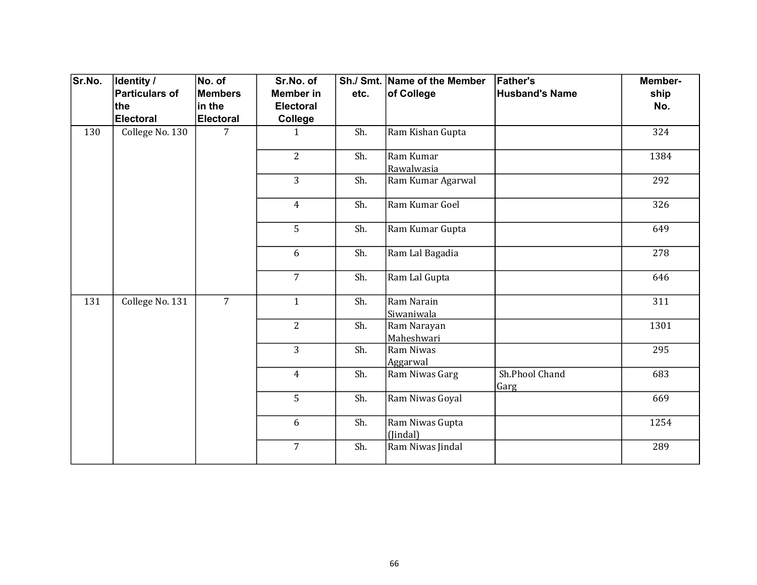| Sr.No. | <b>Identity /</b> | No. of         | Sr.No. of        |      | Sh./ Smt. Name of the Member | <b>Father's</b>        | Member- |
|--------|-------------------|----------------|------------------|------|------------------------------|------------------------|---------|
|        | Particulars of    | <b>Members</b> | <b>Member</b> in | etc. | of College                   | <b>Husband's Name</b>  | ship    |
|        | the               | in the         | <b>Electoral</b> |      |                              |                        | No.     |
|        | Electoral         | Electoral      | College          |      |                              |                        |         |
| 130    | College No. 130   | 7              | 1                | Sh.  | Ram Kishan Gupta             |                        | 324     |
|        |                   |                | $\overline{2}$   | Sh.  | Ram Kumar<br>Rawalwasia      |                        | 1384    |
|        |                   |                | $\overline{3}$   | Sh.  | Ram Kumar Agarwal            |                        | 292     |
|        |                   |                | $\overline{4}$   | Sh.  | Ram Kumar Goel               |                        | 326     |
|        |                   |                | 5                | Sh.  | Ram Kumar Gupta              |                        | 649     |
|        |                   |                | 6                | Sh.  | Ram Lal Bagadia              |                        | 278     |
|        |                   |                | $\overline{7}$   | Sh.  | Ram Lal Gupta                |                        | 646     |
| 131    | College No. 131   | $\overline{7}$ | $\mathbf{1}$     | Sh.  | Ram Narain<br>Siwaniwala     |                        | 311     |
|        |                   |                | $\overline{2}$   | Sh.  | Ram Narayan<br>Maheshwari    |                        | 1301    |
|        |                   |                | $\overline{3}$   | Sh.  | Ram Niwas<br>Aggarwal        |                        | 295     |
|        |                   |                | $\overline{4}$   | Sh.  | Ram Niwas Garg               | Sh.Phool Chand<br>Garg | 683     |
|        |                   |                | 5                | Sh.  | Ram Niwas Goyal              |                        | 669     |
|        |                   |                | 6                | Sh.  | Ram Niwas Gupta<br>(Jindal)  |                        | 1254    |
|        |                   |                | $\overline{7}$   | Sh.  | Ram Niwas Jindal             |                        | 289     |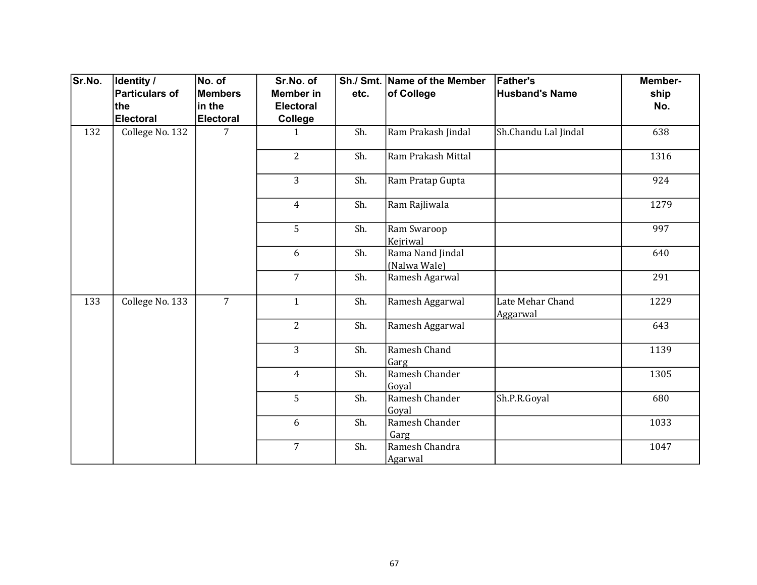| Sr.No. | Identity /      | No. of         | Sr.No. of        |      | Sh./ Smt. Name of the Member     | <b>Father's</b>              | Member- |
|--------|-----------------|----------------|------------------|------|----------------------------------|------------------------------|---------|
|        | Particulars of  | <b>Members</b> | <b>Member</b> in | etc. | of College                       | <b>Husband's Name</b>        | ship    |
|        | the             | in the         | <b>Electoral</b> |      |                                  |                              | No.     |
|        | Electoral       | Electoral      | College          |      |                                  |                              |         |
| 132    | College No. 132 | 7              | $\mathbf{1}$     | Sh.  | Ram Prakash Jindal               | Sh.Chandu Lal Jindal         | 638     |
|        |                 |                | $\overline{2}$   | Sh.  | Ram Prakash Mittal               |                              | 1316    |
|        |                 |                | $\overline{3}$   | Sh.  | Ram Pratap Gupta                 |                              | 924     |
|        |                 |                | $\overline{4}$   | Sh.  | Ram Rajliwala                    |                              | 1279    |
|        |                 |                | 5                | Sh.  | Ram Swaroop<br>Kejriwal          |                              | 997     |
|        |                 |                | 6                | Sh.  | Rama Nand Jindal<br>(Nalwa Wale) |                              | 640     |
|        |                 |                | $\overline{7}$   | Sh.  | Ramesh Agarwal                   |                              | 291     |
| 133    | College No. 133 | $\overline{7}$ | $\mathbf{1}$     | Sh.  | Ramesh Aggarwal                  | Late Mehar Chand<br>Aggarwal | 1229    |
|        |                 |                | $\overline{2}$   | Sh.  | Ramesh Aggarwal                  |                              | 643     |
|        |                 |                | $\overline{3}$   | Sh.  | Ramesh Chand<br>Garg             |                              | 1139    |
|        |                 |                | $\overline{4}$   | Sh.  | Ramesh Chander<br>Goyal          |                              | 1305    |
|        |                 |                | 5                | Sh.  | Ramesh Chander<br>Goyal          | Sh.P.R.Goyal                 | 680     |
|        |                 |                | 6                | Sh.  | Ramesh Chander<br>Garg           |                              | 1033    |
|        |                 |                | $\overline{7}$   | Sh.  | Ramesh Chandra<br>Agarwal        |                              | 1047    |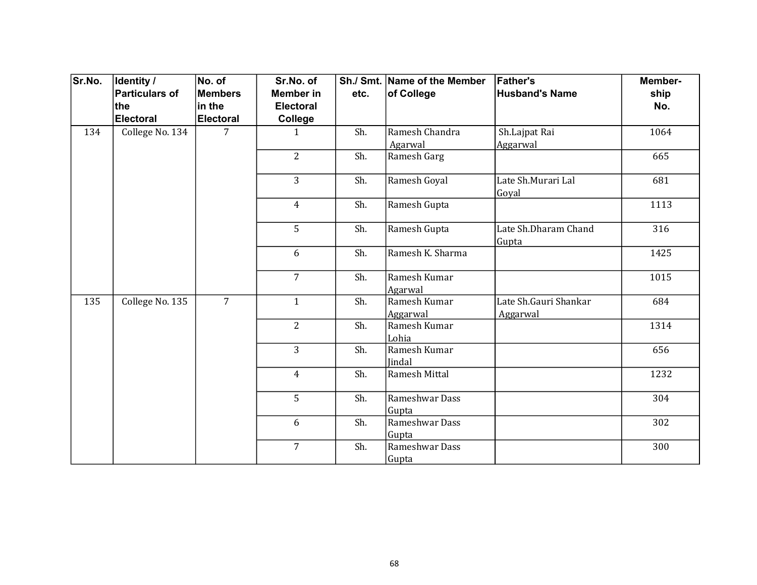| Sr.No. | <b>Identity /</b> | No. of           | Sr.No. of        |      | Sh./ Smt. Name of the Member | <b>Father's</b>                   | Member- |
|--------|-------------------|------------------|------------------|------|------------------------------|-----------------------------------|---------|
|        | Particulars of    | <b>Members</b>   | <b>Member</b> in | etc. | of College                   | <b>Husband's Name</b>             | ship    |
|        | ∣the              | in the           | <b>Electoral</b> |      |                              |                                   | No.     |
|        | Electoral         | <b>Electoral</b> | College          |      |                              |                                   |         |
| 134    | College No. 134   | 7                | $\mathbf{1}$     | Sh.  | Ramesh Chandra<br>Agarwal    | Sh.Lajpat Rai<br>Aggarwal         | 1064    |
|        |                   |                  | $\overline{2}$   | Sh.  | Ramesh Garg                  |                                   | 665     |
|        |                   |                  | $\overline{3}$   | Sh.  | Ramesh Goyal                 | Late Sh.Murari Lal<br>Goyal       | 681     |
|        |                   |                  | $\overline{4}$   | Sh.  | Ramesh Gupta                 |                                   | 1113    |
|        |                   |                  | 5                | Sh.  | Ramesh Gupta                 | Late Sh.Dharam Chand<br>Gupta     | 316     |
|        |                   |                  | 6                | Sh.  | Ramesh K. Sharma             |                                   | 1425    |
|        |                   |                  | $\overline{7}$   | Sh.  | Ramesh Kumar<br>Agarwal      |                                   | 1015    |
| 135    | College No. 135   | $\overline{7}$   | $\mathbf{1}$     | Sh.  | Ramesh Kumar<br>Aggarwal     | Late Sh.Gauri Shankar<br>Aggarwal | 684     |
|        |                   |                  | $\overline{2}$   | Sh.  | Ramesh Kumar<br>Lohia        |                                   | 1314    |
|        |                   |                  | $\overline{3}$   | Sh.  | Ramesh Kumar<br>Jindal       |                                   | 656     |
|        |                   |                  | $\overline{4}$   | Sh.  | Ramesh Mittal                |                                   | 1232    |
|        |                   |                  | 5                | Sh.  | Rameshwar Dass<br>Gupta      |                                   | 304     |
|        |                   |                  | 6                | Sh.  | Rameshwar Dass<br>Gupta      |                                   | 302     |
|        |                   |                  | $\overline{7}$   | Sh.  | Rameshwar Dass<br>Gupta      |                                   | 300     |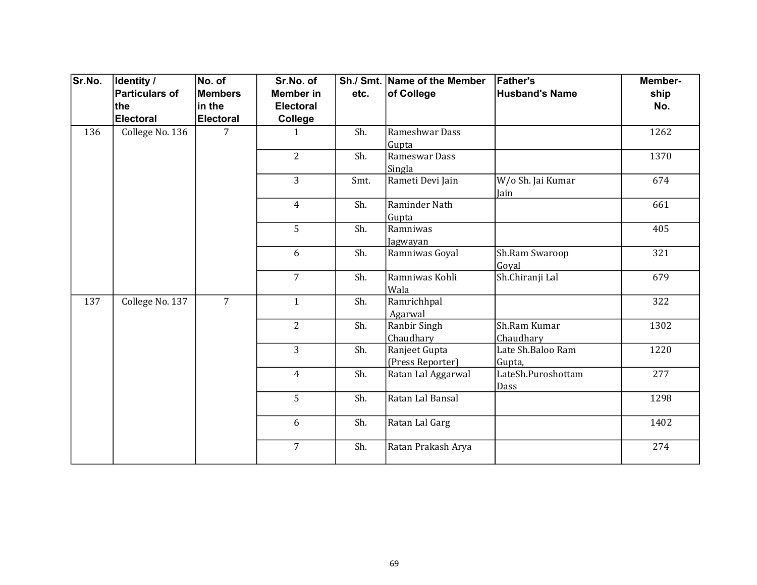| Sr.No. | <b>Identity /</b> | No. of           | Sr.No. of        |      | Sh./ Smt. Name of the Member | <b>Father's</b>       | Member- |
|--------|-------------------|------------------|------------------|------|------------------------------|-----------------------|---------|
|        | Particulars of    | <b>Members</b>   | <b>Member</b> in | etc. | of College                   | <b>Husband's Name</b> | ship    |
|        | the               | in the           | <b>Electoral</b> |      |                              |                       | No.     |
|        | Electoral         | <b>Electoral</b> | College          |      |                              |                       |         |
| 136    | College No. 136   | 7                | $\mathbf{1}$     | Sh.  | Rameshwar Dass               |                       | 1262    |
|        |                   |                  |                  |      | Gupta                        |                       |         |
|        |                   |                  | $\overline{2}$   | Sh.  | Rameswar Dass                |                       | 1370    |
|        |                   |                  |                  |      | Singla                       |                       |         |
|        |                   |                  | $\overline{3}$   | Smt. | Rameti Devi Jain             | W/o Sh. Jai Kumar     | 674     |
|        |                   |                  |                  |      |                              | Jain                  |         |
|        |                   |                  | $\overline{4}$   | Sh.  | Raminder Nath                |                       | 661     |
|        |                   |                  |                  |      | Gupta                        |                       |         |
|        |                   |                  | 5                | Sh.  | Ramniwas                     |                       | 405     |
|        |                   |                  |                  |      | Jagwayan                     |                       |         |
|        |                   |                  | 6                | Sh.  | Ramniwas Goyal               | Sh.Ram Swaroop        | 321     |
|        |                   |                  |                  |      |                              | Goyal                 |         |
|        |                   |                  | $\overline{7}$   | Sh.  | Ramniwas Kohli               | Sh.Chiranji Lal       | 679     |
|        |                   |                  |                  |      | Wala                         |                       |         |
| 137    | College No. 137   | $\overline{7}$   | $\mathbf{1}$     | Sh.  | Ramrichhpal                  |                       | 322     |
|        |                   |                  |                  |      | Agarwal                      |                       |         |
|        |                   |                  | $\overline{2}$   | Sh.  | Ranbir Singh                 | Sh.Ram Kumar          | 1302    |
|        |                   |                  |                  |      | Chaudhary                    | Chaudhary             |         |
|        |                   |                  | $\overline{3}$   | Sh.  | Ranjeet Gupta                | Late Sh.Baloo Ram     | 1220    |
|        |                   |                  |                  |      | (Press Reporter)             | Gupta,                |         |
|        |                   |                  | $\overline{4}$   | Sh.  | Ratan Lal Aggarwal           | LateSh.Puroshottam    | 277     |
|        |                   |                  |                  |      |                              | Dass                  |         |
|        |                   |                  | 5                | Sh.  | Ratan Lal Bansal             |                       | 1298    |
|        |                   |                  | 6                | Sh.  | Ratan Lal Garg               |                       | 1402    |
|        |                   |                  | $\overline{7}$   | Sh.  | Ratan Prakash Arya           |                       | 274     |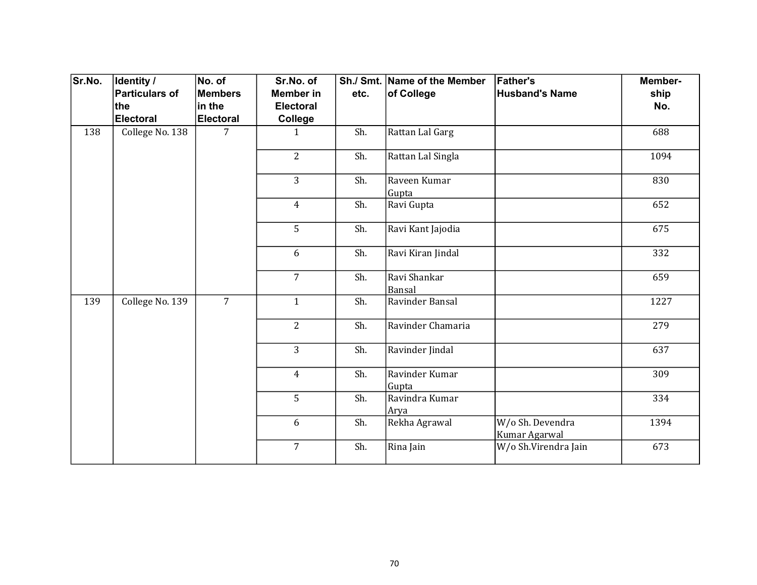| Sr.No. | Identity /            | No. of           | Sr.No. of        |      | Sh./ Smt. Name of the Member | <b>Father's</b>                   | Member- |
|--------|-----------------------|------------------|------------------|------|------------------------------|-----------------------------------|---------|
|        | <b>Particulars of</b> | Members          | <b>Member in</b> | etc. | of College                   | <b>Husband's Name</b>             | ship    |
|        | the                   | in the           | <b>Electoral</b> |      |                              |                                   | No.     |
|        | <b>Electoral</b>      | <b>Electoral</b> | College          |      |                              |                                   |         |
| 138    | College No. 138       | $\overline{7}$   | $\mathbf{1}$     | Sh.  | Rattan Lal Garg              |                                   | 688     |
|        |                       |                  | $\overline{2}$   | Sh.  | Rattan Lal Singla            |                                   | 1094    |
|        |                       |                  | 3                | Sh.  | Raveen Kumar<br>Gupta        |                                   | 830     |
|        |                       |                  | $\overline{4}$   | Sh.  | Ravi Gupta                   |                                   | 652     |
|        |                       |                  | 5                | Sh.  | Ravi Kant Jajodia            |                                   | 675     |
|        |                       |                  | 6                | Sh.  | Ravi Kiran Jindal            |                                   | 332     |
|        |                       |                  | $\overline{7}$   | Sh.  | Ravi Shankar<br>Bansal       |                                   | 659     |
| 139    | College No. 139       | $\overline{7}$   | $\mathbf{1}$     | Sh.  | Ravinder Bansal              |                                   | 1227    |
|        |                       |                  | $\overline{2}$   | Sh.  | Ravinder Chamaria            |                                   | 279     |
|        |                       |                  | 3                | Sh.  | Ravinder Jindal              |                                   | 637     |
|        |                       |                  | $\overline{4}$   | Sh.  | Ravinder Kumar<br>Gupta      |                                   | 309     |
|        |                       |                  | 5                | Sh.  | Ravindra Kumar<br>Arya       |                                   | 334     |
|        |                       |                  | 6                | Sh.  | Rekha Agrawal                | W/o Sh. Devendra<br>Kumar Agarwal | 1394    |
|        |                       |                  | $\overline{7}$   | Sh.  | Rina Jain                    | W/o Sh.Virendra Jain              | 673     |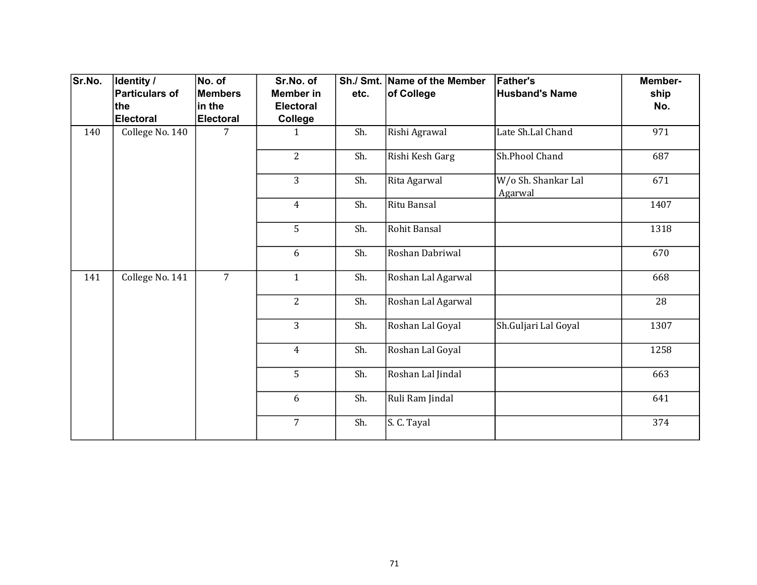| Sr.No. | Identity /            | No. of           | Sr.No. of        |      | Sh./ Smt. Name of the Member | <b>Father's</b>                | Member- |
|--------|-----------------------|------------------|------------------|------|------------------------------|--------------------------------|---------|
|        | <b>Particulars of</b> | <b>Members</b>   | Member in        | etc. | of College                   | <b>Husband's Name</b>          | ship    |
|        | the                   | in the           | <b>Electoral</b> |      |                              |                                | No.     |
|        | <b>Electoral</b>      | <b>Electoral</b> | <b>College</b>   |      |                              |                                |         |
| 140    | College No. 140       | 7                | $\mathbf{1}$     | Sh.  | Rishi Agrawal                | Late Sh.Lal Chand              | 971     |
|        |                       |                  | $\overline{2}$   | Sh.  | Rishi Kesh Garg              | Sh.Phool Chand                 | 687     |
|        |                       |                  | 3                | Sh.  | Rita Agarwal                 | W/o Sh. Shankar Lal<br>Agarwal | 671     |
|        |                       |                  | $\overline{4}$   | Sh.  | Ritu Bansal                  |                                | 1407    |
|        |                       |                  | 5                | Sh.  | Rohit Bansal                 |                                | 1318    |
|        |                       |                  | 6                | Sh.  | Roshan Dabriwal              |                                | 670     |
| 141    | College No. 141       | $\overline{7}$   | $\mathbf{1}$     | Sh.  | Roshan Lal Agarwal           |                                | 668     |
|        |                       |                  | $\overline{2}$   | Sh.  | Roshan Lal Agarwal           |                                | 28      |
|        |                       |                  | 3                | Sh.  | Roshan Lal Goyal             | Sh.Guljari Lal Goyal           | 1307    |
|        |                       |                  | $\overline{4}$   | Sh.  | Roshan Lal Goyal             |                                | 1258    |
|        |                       |                  | 5                | Sh.  | Roshan Lal Jindal            |                                | 663     |
|        |                       |                  | 6                | Sh.  | Ruli Ram Jindal              |                                | 641     |
|        |                       |                  | $\overline{7}$   | Sh.  | S. C. Tayal                  |                                | 374     |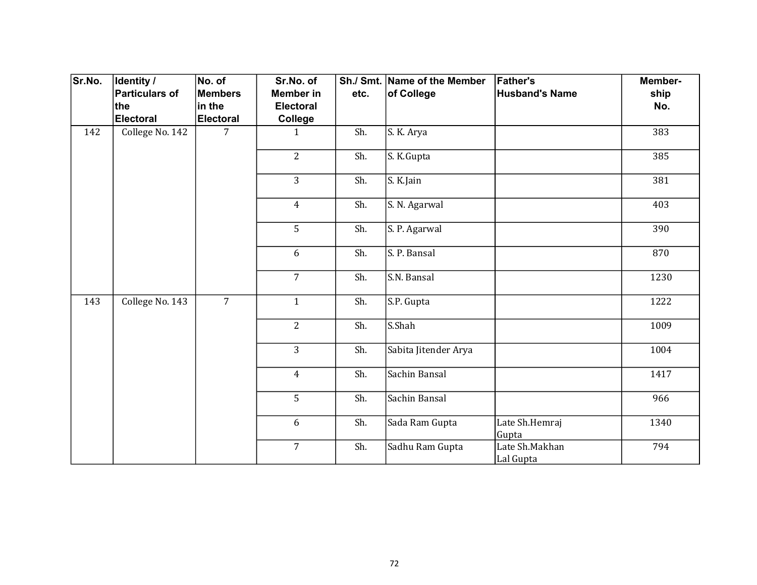| Sr.No. | Identity /            | No. of           | Sr.No. of        |      | Sh./ Smt. Name of the Member | <b>Father's</b>             | Member- |
|--------|-----------------------|------------------|------------------|------|------------------------------|-----------------------------|---------|
|        | <b>Particulars of</b> | Members          | <b>Member in</b> | etc. | of College                   | <b>Husband's Name</b>       | ship    |
|        | the                   | in the           | <b>Electoral</b> |      |                              |                             | No.     |
|        | <b>Electoral</b>      | <b>Electoral</b> | College          |      |                              |                             |         |
| 142    | College No. 142       | $\overline{7}$   | $\mathbf{1}$     | Sh.  | $\overline{S}$ . K. Arya     |                             | 383     |
|        |                       |                  | $\overline{2}$   | Sh.  | S. K.Gupta                   |                             | 385     |
|        |                       |                  | 3                | Sh.  | S. K.Jain                    |                             | 381     |
|        |                       |                  | $\overline{4}$   | Sh.  | S. N. Agarwal                |                             | 403     |
|        |                       |                  | 5                | Sh.  | S. P. Agarwal                |                             | 390     |
|        |                       |                  | 6                | Sh.  | S. P. Bansal                 |                             | 870     |
|        |                       |                  | $\overline{7}$   | Sh.  | S.N. Bansal                  |                             | 1230    |
| 143    | College No. 143       | $\overline{7}$   | $\mathbf{1}$     | Sh.  | S.P. Gupta                   |                             | 1222    |
|        |                       |                  | $\overline{2}$   | Sh.  | S.Shah                       |                             | 1009    |
|        |                       |                  | $\overline{3}$   | Sh.  | Sabita Jitender Arya         |                             | 1004    |
|        |                       |                  | $\overline{4}$   | Sh.  | Sachin Bansal                |                             | 1417    |
|        |                       |                  | 5                | Sh.  | Sachin Bansal                |                             | 966     |
|        |                       |                  | 6                | Sh.  | Sada Ram Gupta               | Late Sh.Hemraj<br>Gupta     | 1340    |
|        |                       |                  | $\overline{7}$   | Sh.  | Sadhu Ram Gupta              | Late Sh.Makhan<br>Lal Gupta | 794     |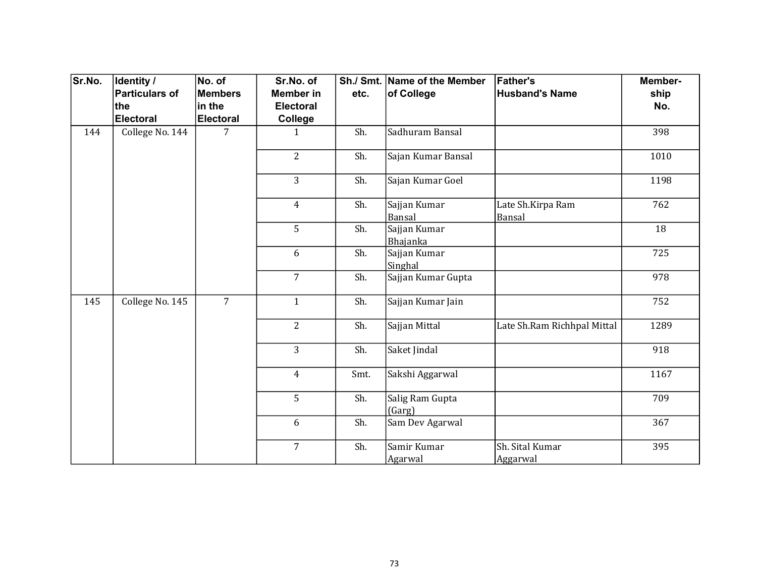| Sr.No. | Identity /            | No. of           | Sr.No. of        |      | Sh./ Smt. Name of the Member | <b>Father's</b>             | Member- |
|--------|-----------------------|------------------|------------------|------|------------------------------|-----------------------------|---------|
|        | <b>Particulars of</b> | Members          | <b>Member in</b> | etc. | of College                   | <b>Husband's Name</b>       | ship    |
|        | the                   | in the           | <b>Electoral</b> |      |                              |                             | No.     |
|        | <b>Electoral</b>      | <b>Electoral</b> | College          |      |                              |                             |         |
| 144    | College No. 144       | $\overline{7}$   | $\mathbf{1}$     | Sh.  | Sadhuram Bansal              |                             | 398     |
|        |                       |                  | $\overline{2}$   | Sh.  | Sajan Kumar Bansal           |                             | 1010    |
|        |                       |                  | 3                | Sh.  | Sajan Kumar Goel             |                             | 1198    |
|        |                       |                  | $\overline{4}$   | Sh.  | Sajjan Kumar<br>Bansal       | Late Sh.Kirpa Ram<br>Bansal | 762     |
|        |                       |                  | 5                | Sh.  | Sajjan Kumar<br>Bhajanka     |                             | 18      |
|        |                       |                  | 6                | Sh.  | Sajjan Kumar<br>Singhal      |                             | 725     |
|        |                       |                  | $\overline{7}$   | Sh.  | Sajjan Kumar Gupta           |                             | 978     |
| 145    | College No. 145       | $\overline{7}$   | $\mathbf{1}$     | Sh.  | Sajjan Kumar Jain            |                             | 752     |
|        |                       |                  | $\overline{2}$   | Sh.  | Sajjan Mittal                | Late Sh.Ram Richhpal Mittal | 1289    |
|        |                       |                  | 3                | Sh.  | Saket Jindal                 |                             | 918     |
|        |                       |                  | $\overline{4}$   | Smt. | Sakshi Aggarwal              |                             | 1167    |
|        |                       |                  | 5                | Sh.  | Salig Ram Gupta<br>(Garg)    |                             | 709     |
|        |                       |                  | 6                | Sh.  | Sam Dev Agarwal              |                             | 367     |
|        |                       |                  | $\overline{7}$   | Sh.  | Samir Kumar<br>Agarwal       | Sh. Sital Kumar<br>Aggarwal | 395     |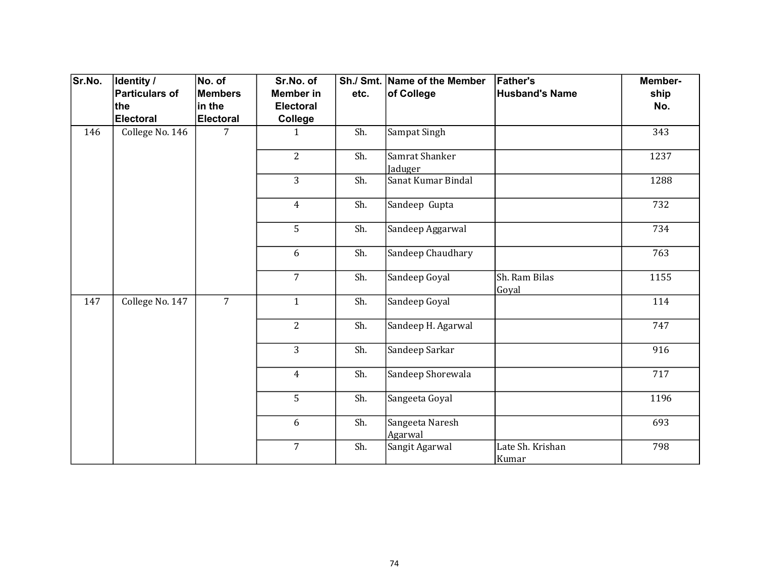| Sr.No. | Identity /<br>Particulars of | No. of<br><b>Members</b> | Sr.No. of<br><b>Member</b> in | etc. | Sh./ Smt. Name of the Member<br>of College | <b>Father's</b><br><b>Husband's Name</b> | Member-<br>ship |
|--------|------------------------------|--------------------------|-------------------------------|------|--------------------------------------------|------------------------------------------|-----------------|
|        | the                          | in the                   | <b>Electoral</b>              |      |                                            |                                          | No.             |
|        | Electoral                    | <b>Electoral</b>         | College                       |      |                                            |                                          |                 |
| 146    | College No. 146              | 7                        | $\mathbf{1}$                  | Sh.  | Sampat Singh                               |                                          | 343             |
|        |                              |                          | $\overline{2}$                | Sh.  | Samrat Shanker<br>Jaduger                  |                                          | 1237            |
|        |                              |                          | 3                             | Sh.  | Sanat Kumar Bindal                         |                                          | 1288            |
|        |                              |                          | $\overline{4}$                | Sh.  | Sandeep Gupta                              |                                          | 732             |
|        |                              |                          | 5                             | Sh.  | Sandeep Aggarwal                           |                                          | 734             |
|        |                              |                          | 6                             | Sh.  | Sandeep Chaudhary                          |                                          | 763             |
|        |                              |                          | $\overline{7}$                | Sh.  | Sandeep Goyal                              | Sh. Ram Bilas<br>Goyal                   | 1155            |
| 147    | College No. 147              | $\overline{7}$           | $\mathbf{1}$                  | Sh.  | Sandeep Goyal                              |                                          | 114             |
|        |                              |                          | $\overline{2}$                | Sh.  | Sandeep H. Agarwal                         |                                          | 747             |
|        |                              |                          | $\overline{3}$                | Sh.  | Sandeep Sarkar                             |                                          | 916             |
|        |                              |                          | $\overline{4}$                | Sh.  | Sandeep Shorewala                          |                                          | 717             |
|        |                              |                          | 5                             | Sh.  | Sangeeta Goyal                             |                                          | 1196            |
|        |                              |                          | 6                             | Sh.  | Sangeeta Naresh<br>Agarwal                 |                                          | 693             |
|        |                              |                          | $\overline{7}$                | Sh.  | Sangit Agarwal                             | Late Sh. Krishan<br>Kumar                | 798             |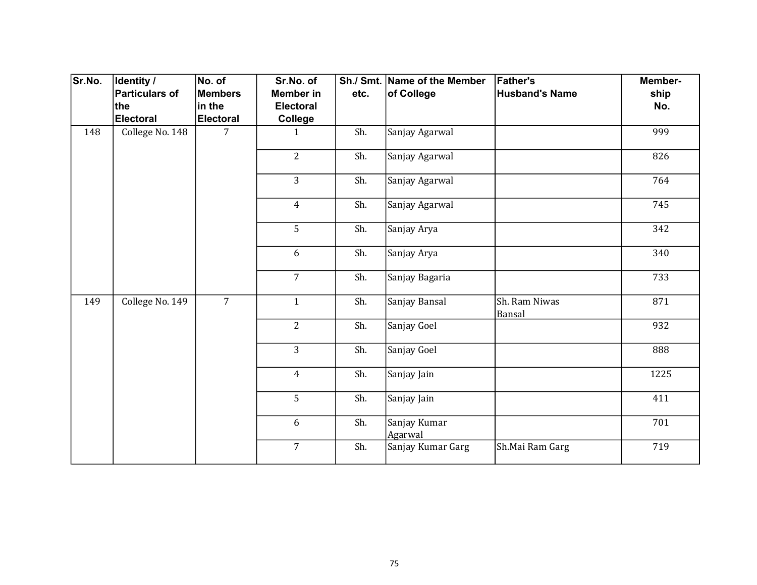| Sr.No. | Identity /            | No. of           | Sr.No. of        |      | Sh./ Smt. Name of the Member | <b>Father's</b>         | Member- |
|--------|-----------------------|------------------|------------------|------|------------------------------|-------------------------|---------|
|        | <b>Particulars of</b> | Members          | <b>Member in</b> | etc. | of College                   | <b>Husband's Name</b>   | ship    |
|        | the                   | in the           | <b>Electoral</b> |      |                              |                         | No.     |
|        | <b>Electoral</b>      | <b>Electoral</b> | <b>College</b>   |      |                              |                         |         |
| 148    | College No. 148       | 7                | $\mathbf{1}$     | Sh.  | Sanjay Agarwal               |                         | 999     |
|        |                       |                  | $\overline{2}$   | Sh.  | Sanjay Agarwal               |                         | 826     |
|        |                       |                  | 3                | Sh.  | Sanjay Agarwal               |                         | 764     |
|        |                       |                  | $\overline{4}$   | Sh.  | Sanjay Agarwal               |                         | 745     |
|        |                       |                  | 5                | Sh.  | Sanjay Arya                  |                         | 342     |
|        |                       |                  | 6                | Sh.  | Sanjay Arya                  |                         | 340     |
|        |                       |                  | $\overline{7}$   | Sh.  | Sanjay Bagaria               |                         | 733     |
| 149    | College No. 149       | $\overline{7}$   | $\mathbf{1}$     | Sh.  | Sanjay Bansal                | Sh. Ram Niwas<br>Bansal | 871     |
|        |                       |                  | $\overline{2}$   | Sh.  | Sanjay Goel                  |                         | 932     |
|        |                       |                  | 3                | Sh.  | Sanjay Goel                  |                         | 888     |
|        |                       |                  | $\overline{4}$   | Sh.  | Sanjay Jain                  |                         | 1225    |
|        |                       |                  | 5                | Sh.  | Sanjay Jain                  |                         | 411     |
|        |                       |                  | 6                | Sh.  | Sanjay Kumar<br>Agarwal      |                         | 701     |
|        |                       |                  | $\overline{7}$   | Sh.  | Sanjay Kumar Garg            | Sh.Mai Ram Garg         | 719     |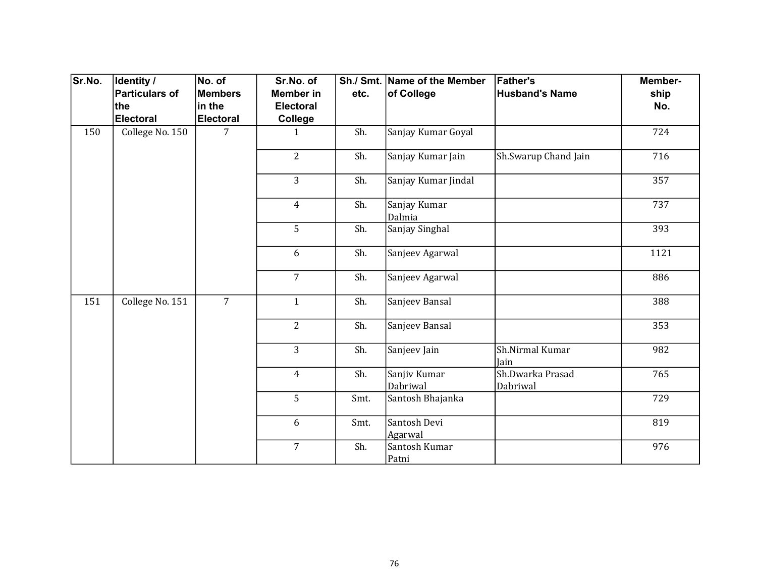| Sr.No. | Identity /      | No. of         | Sr.No. of        |      | Sh./ Smt. Name of the Member | <b>Father's</b>              | Member- |
|--------|-----------------|----------------|------------------|------|------------------------------|------------------------------|---------|
|        | Particulars of  | <b>Members</b> | <b>Member</b> in | etc. | of College                   | <b>Husband's Name</b>        | ship    |
|        | ∣the            | in the         | <b>Electoral</b> |      |                              |                              | No.     |
|        | Electoral       | Electoral      | College          |      |                              |                              |         |
| 150    | College No. 150 | 7              | $\mathbf{1}$     | Sh.  | Sanjay Kumar Goyal           |                              | 724     |
|        |                 |                | $\overline{2}$   | Sh.  | Sanjay Kumar Jain            | Sh.Swarup Chand Jain         | 716     |
|        |                 |                | 3                | Sh.  | Sanjay Kumar Jindal          |                              | 357     |
|        |                 |                | $\overline{4}$   | Sh.  | Sanjay Kumar<br>Dalmia       |                              | 737     |
|        |                 |                | 5                | Sh.  | Sanjay Singhal               |                              | 393     |
|        |                 |                | 6                | Sh.  | Sanjeev Agarwal              |                              | 1121    |
|        |                 |                | $\overline{7}$   | Sh.  | Sanjeev Agarwal              |                              | 886     |
| 151    | College No. 151 | $\overline{7}$ | $\mathbf{1}$     | Sh.  | Sanjeev Bansal               |                              | 388     |
|        |                 |                | $\overline{2}$   | Sh.  | Sanjeev Bansal               |                              | 353     |
|        |                 |                | $\overline{3}$   | Sh.  | Sanjeev Jain                 | Sh.Nirmal Kumar<br>Jain      | 982     |
|        |                 |                | $\overline{4}$   | Sh.  | Sanjiv Kumar<br>Dabriwal     | Sh.Dwarka Prasad<br>Dabriwal | 765     |
|        |                 |                | 5                | Smt. | Santosh Bhajanka             |                              | 729     |
|        |                 |                | 6                | Smt. | Santosh Devi<br>Agarwal      |                              | 819     |
|        |                 |                | $\overline{7}$   | Sh.  | Santosh Kumar<br>Patni       |                              | 976     |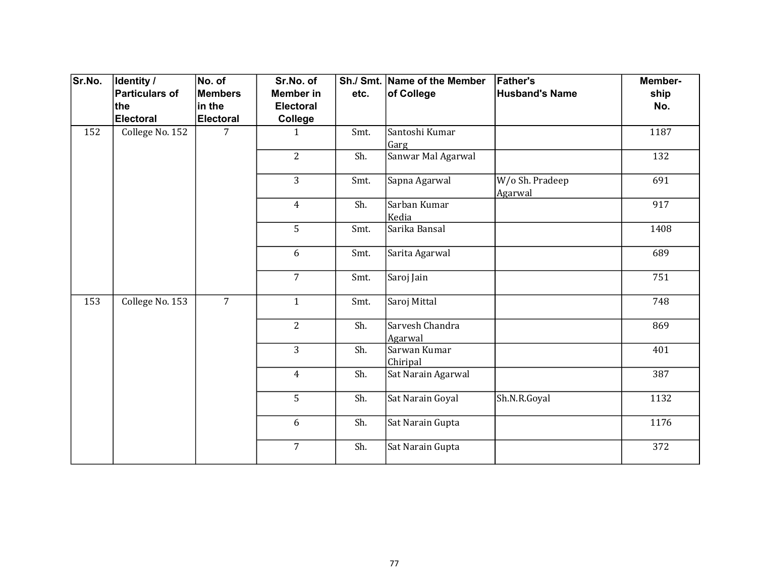| Sr.No. | <b>Identity /</b><br>Particulars of<br>the<br>Electoral | No. of<br><b>Members</b><br>in the<br><b>Electoral</b> | Sr.No. of<br><b>Member</b> in<br><b>Electoral</b><br>College | etc. | Sh./ Smt. Name of the Member<br>of College | <b>Father's</b><br><b>Husband's Name</b> | Member-<br>ship<br>No. |
|--------|---------------------------------------------------------|--------------------------------------------------------|--------------------------------------------------------------|------|--------------------------------------------|------------------------------------------|------------------------|
| 152    | College No. 152                                         | 7                                                      | $\mathbf{1}$                                                 | Smt. | Santoshi Kumar<br>Garg                     |                                          | 1187                   |
|        |                                                         |                                                        | $\overline{2}$                                               | Sh.  | Sanwar Mal Agarwal                         |                                          | 132                    |
|        |                                                         |                                                        | 3                                                            | Smt. | Sapna Agarwal                              | W/o Sh. Pradeep<br>Agarwal               | 691                    |
|        |                                                         |                                                        | $\overline{4}$                                               | Sh.  | Sarban Kumar<br>Kedia                      |                                          | 917                    |
|        |                                                         |                                                        | 5                                                            | Smt. | Sarika Bansal                              |                                          | 1408                   |
|        |                                                         |                                                        | 6                                                            | Smt. | Sarita Agarwal                             |                                          | 689                    |
|        |                                                         |                                                        | $\overline{7}$                                               | Smt. | Saroj Jain                                 |                                          | 751                    |
| 153    | College No. 153                                         | $\overline{7}$                                         | $\mathbf{1}$                                                 | Smt. | Saroj Mittal                               |                                          | 748                    |
|        |                                                         |                                                        | $\overline{2}$                                               | Sh.  | Sarvesh Chandra<br>Agarwal                 |                                          | 869                    |
|        |                                                         |                                                        | $\overline{3}$                                               | Sh.  | Sarwan Kumar<br>Chiripal                   |                                          | 401                    |
|        |                                                         |                                                        | $\overline{4}$                                               | Sh.  | Sat Narain Agarwal                         |                                          | 387                    |
|        |                                                         |                                                        | 5                                                            | Sh.  | Sat Narain Goyal                           | Sh.N.R.Goyal                             | 1132                   |
|        |                                                         |                                                        | 6                                                            | Sh.  | Sat Narain Gupta                           |                                          | 1176                   |
|        |                                                         |                                                        | $\overline{7}$                                               | Sh.  | Sat Narain Gupta                           |                                          | 372                    |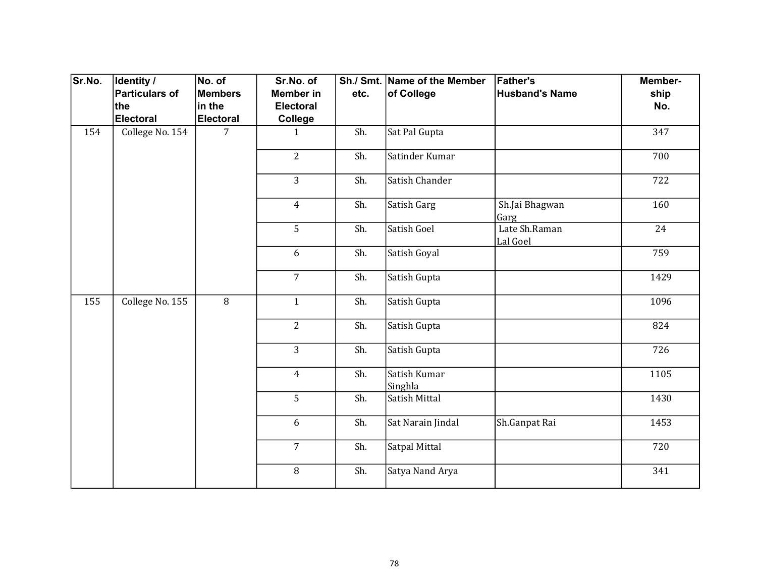| Sr.No. | Identity /            | No. of           | Sr.No. of        |      | Sh./ Smt. Name of the Member | <b>Father's</b>           | Member- |
|--------|-----------------------|------------------|------------------|------|------------------------------|---------------------------|---------|
|        | <b>Particulars of</b> | Members          | <b>Member in</b> | etc. | of College                   | <b>Husband's Name</b>     | ship    |
|        | the                   | in the           | <b>Electoral</b> |      |                              |                           | No.     |
|        | <b>Electoral</b>      | <b>Electoral</b> | College          |      |                              |                           |         |
| 154    | College No. 154       | $\overline{7}$   | $\mathbf{1}$     | Sh.  | Sat Pal Gupta                |                           | 347     |
|        |                       |                  | $\overline{2}$   | Sh.  | Satinder Kumar               |                           | 700     |
|        |                       |                  | $\overline{3}$   | Sh.  | Satish Chander               |                           | 722     |
|        |                       |                  | $\overline{4}$   | Sh.  | Satish Garg                  | Sh.Jai Bhagwan<br>Garg    | 160     |
|        |                       |                  | 5                | Sh.  | Satish Goel                  | Late Sh.Raman<br>Lal Goel | 24      |
|        |                       |                  | 6                | Sh.  | Satish Goyal                 |                           | 759     |
|        |                       |                  | $\overline{7}$   | Sh.  | Satish Gupta                 |                           | 1429    |
| 155    | College No. 155       | $\overline{8}$   | $\mathbf{1}$     | Sh.  | Satish Gupta                 |                           | 1096    |
|        |                       |                  | $\overline{2}$   | Sh.  | Satish Gupta                 |                           | 824     |
|        |                       |                  | 3                | Sh.  | Satish Gupta                 |                           | 726     |
|        |                       |                  | $\overline{4}$   | Sh.  | Satish Kumar<br>Singhla      |                           | 1105    |
|        |                       |                  | 5                | Sh.  | Satish Mittal                |                           | 1430    |
|        |                       |                  | 6                | Sh.  | Sat Narain Jindal            | Sh.Ganpat Rai             | 1453    |
|        |                       |                  | $\overline{7}$   | Sh.  | Satpal Mittal                |                           | 720     |
|        |                       |                  | 8                | Sh.  | Satya Nand Arya              |                           | 341     |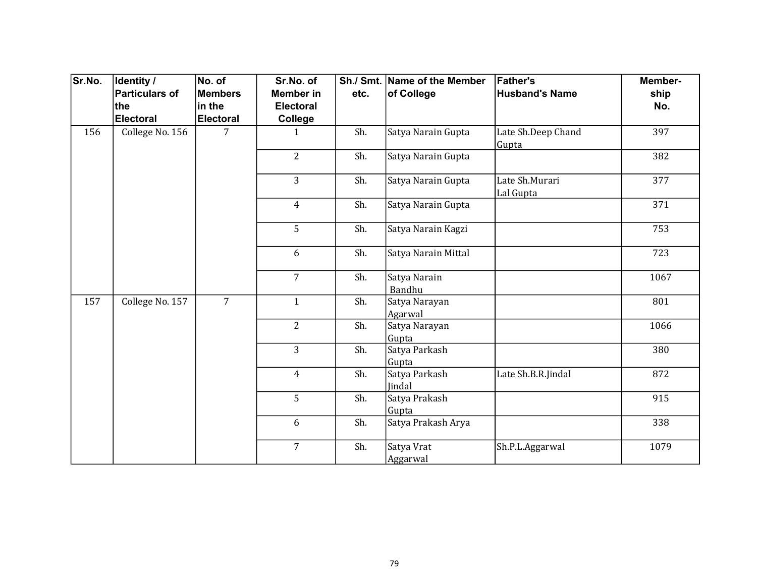| Sr.No. | Identity /      | No. of           | Sr.No. of        |      | Sh./ Smt. Name of the Member | <b>Father's</b>             | Member- |
|--------|-----------------|------------------|------------------|------|------------------------------|-----------------------------|---------|
|        | Particulars of  | <b>Members</b>   | <b>Member</b> in | etc. | of College                   | <b>Husband's Name</b>       | ship    |
|        | ∣the            | in the           | <b>Electoral</b> |      |                              |                             | No.     |
|        | Electoral       | <b>Electoral</b> | College          |      |                              |                             |         |
| 156    | College No. 156 | 7                | $\mathbf{1}$     | Sh.  | Satya Narain Gupta           | Late Sh.Deep Chand<br>Gupta | 397     |
|        |                 |                  | $\overline{2}$   | Sh.  | Satya Narain Gupta           |                             | 382     |
|        |                 |                  | 3                | Sh.  | Satya Narain Gupta           | Late Sh.Murari<br>Lal Gupta | 377     |
|        |                 |                  | $\overline{4}$   | Sh.  | Satya Narain Gupta           |                             | 371     |
|        |                 |                  | 5                | Sh.  | Satya Narain Kagzi           |                             | 753     |
|        |                 |                  | 6                | Sh.  | Satya Narain Mittal          |                             | 723     |
|        |                 |                  | $\overline{7}$   | Sh.  | Satya Narain<br>Bandhu       |                             | 1067    |
| 157    | College No. 157 | $\overline{7}$   | $\mathbf{1}$     | Sh.  | Satya Narayan<br>Agarwal     |                             | 801     |
|        |                 |                  | $\overline{2}$   | Sh.  | Satya Narayan<br>Gupta       |                             | 1066    |
|        |                 |                  | $\overline{3}$   | Sh.  | Satya Parkash<br>Gupta       |                             | 380     |
|        |                 |                  | $\overline{4}$   | Sh.  | Satya Parkash<br>Jindal      | Late Sh.B.R.Jindal          | 872     |
|        |                 |                  | 5                | Sh.  | Satya Prakash<br>Gupta       |                             | 915     |
|        |                 |                  | 6                | Sh.  | Satya Prakash Arya           |                             | 338     |
|        |                 |                  | $\overline{7}$   | Sh.  | Satya Vrat<br>Aggarwal       | Sh.P.L.Aggarwal             | 1079    |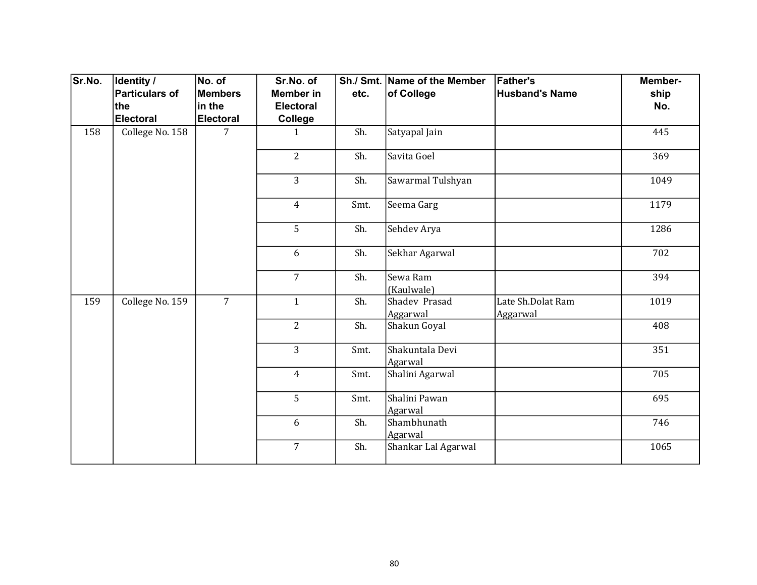| Sr.No. | <b>Identity /</b> | No. of           | Sr.No. of        |      | Sh./ Smt. Name of the Member | <b>Father's</b>               | Member- |
|--------|-------------------|------------------|------------------|------|------------------------------|-------------------------------|---------|
|        | Particulars of    | <b>Members</b>   | <b>Member</b> in | etc. | of College                   | <b>Husband's Name</b>         | ship    |
|        | ∣the              | in the           | <b>Electoral</b> |      |                              |                               | No.     |
|        | Electoral         | <b>Electoral</b> | College          |      |                              |                               |         |
| 158    | College No. 158   | 7                | $\mathbf{1}$     | Sh.  | Satyapal Jain                |                               | 445     |
|        |                   |                  | $\overline{2}$   | Sh.  | Savita Goel                  |                               | 369     |
|        |                   |                  | 3                | Sh.  | Sawarmal Tulshyan            |                               | 1049    |
|        |                   |                  | $\overline{4}$   | Smt. | Seema Garg                   |                               | 1179    |
|        |                   |                  | 5                | Sh.  | Sehdev Arya                  |                               | 1286    |
|        |                   |                  | 6                | Sh.  | Sekhar Agarwal               |                               | 702     |
|        |                   |                  | $\overline{7}$   | Sh.  | Sewa Ram<br>(Kaulwale)       |                               | 394     |
| 159    | College No. 159   | $\overline{7}$   | $\mathbf{1}$     | Sh.  | Shadev Prasad<br>Aggarwal    | Late Sh.Dolat Ram<br>Aggarwal | 1019    |
|        |                   |                  | $\overline{2}$   | Sh.  | Shakun Goyal                 |                               | 408     |
|        |                   |                  | $\overline{3}$   | Smt. | Shakuntala Devi<br>Agarwal   |                               | 351     |
|        |                   |                  | $\overline{4}$   | Smt. | Shalini Agarwal              |                               | 705     |
|        |                   |                  | 5                | Smt. | Shalini Pawan<br>Agarwal     |                               | 695     |
|        |                   |                  | 6                | Sh.  | Shambhunath<br>Agarwal       |                               | 746     |
|        |                   |                  | $\overline{7}$   | Sh.  | Shankar Lal Agarwal          |                               | 1065    |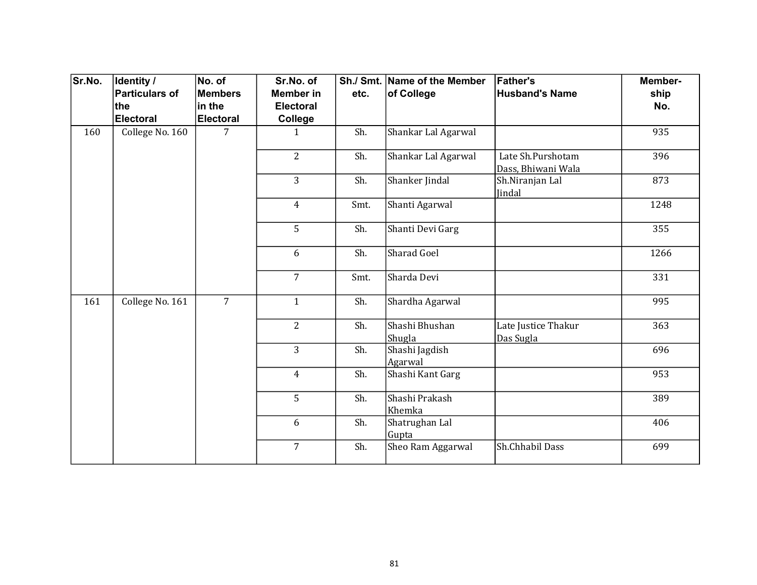| Sr.No. | Identity /<br>Particulars of | No. of<br><b>Members</b> | Sr.No. of<br><b>Member</b> in |      | Sh./ Smt. Name of the Member | <b>Father's</b><br><b>Husband's Name</b> | Member-     |
|--------|------------------------------|--------------------------|-------------------------------|------|------------------------------|------------------------------------------|-------------|
|        | the                          | in the                   | <b>Electoral</b>              | etc. | of College                   |                                          | ship<br>No. |
|        | Electoral                    | <b>Electoral</b>         | College                       |      |                              |                                          |             |
| 160    | College No. 160              | 7                        | 1                             | Sh.  | Shankar Lal Agarwal          |                                          | 935         |
|        |                              |                          | $\overline{2}$                | Sh.  | Shankar Lal Agarwal          | Late Sh.Purshotam<br>Dass, Bhiwani Wala  | 396         |
|        |                              |                          | $\overline{3}$                | Sh.  | Shanker Jindal               | Sh.Niranjan Lal<br>Jindal                | 873         |
|        |                              |                          | $\overline{4}$                | Smt. | Shanti Agarwal               |                                          | 1248        |
|        |                              |                          | 5                             | Sh.  | Shanti Devi Garg             |                                          | 355         |
|        |                              |                          | 6                             | Sh.  | Sharad Goel                  |                                          | 1266        |
|        |                              |                          | $\overline{7}$                | Smt. | Sharda Devi                  |                                          | 331         |
| 161    | College No. 161              | $\overline{7}$           | $\mathbf{1}$                  | Sh.  | Shardha Agarwal              |                                          | 995         |
|        |                              |                          | $\overline{2}$                | Sh.  | Shashi Bhushan<br>Shugla     | Late Justice Thakur<br>Das Sugla         | 363         |
|        |                              |                          | $\overline{3}$                | Sh.  | Shashi Jagdish<br>Agarwal    |                                          | 696         |
|        |                              |                          | $\overline{4}$                | Sh.  | Shashi Kant Garg             |                                          | 953         |
|        |                              |                          | 5                             | Sh.  | Shashi Prakash<br>Khemka     |                                          | 389         |
|        |                              |                          | 6                             | Sh.  | Shatrughan Lal<br>Gupta      |                                          | 406         |
|        |                              |                          | $\overline{7}$                | Sh.  | Sheo Ram Aggarwal            | Sh.Chhabil Dass                          | 699         |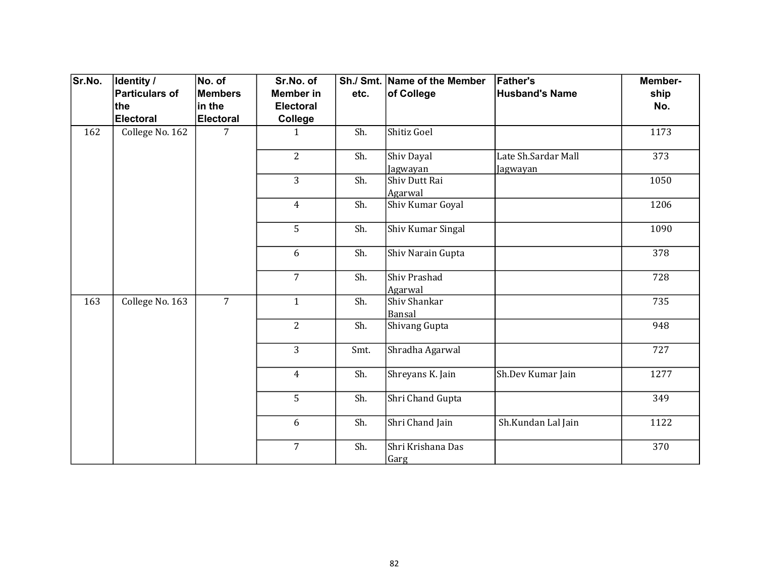| Sr.No. | <b>Identity /</b> | No. of           | Sr.No. of        |      | Sh./ Smt. Name of the Member | <b>Father's</b>                 | Member- |
|--------|-------------------|------------------|------------------|------|------------------------------|---------------------------------|---------|
|        | Particulars of    | <b>Members</b>   | <b>Member</b> in | etc. | of College                   | <b>Husband's Name</b>           | ship    |
|        | ∣the              | in the           | <b>Electoral</b> |      |                              |                                 | No.     |
|        | Electoral         | <b>Electoral</b> | College          |      |                              |                                 |         |
| 162    | College No. 162   | 7                | $\mathbf{1}$     | Sh.  | Shitiz Goel                  |                                 | 1173    |
|        |                   |                  | $\overline{2}$   | Sh.  | Shiv Dayal<br>Jagwayan       | Late Sh.Sardar Mall<br>Jagwayan | 373     |
|        |                   |                  | 3                | Sh.  | Shiv Dutt Rai<br>Agarwal     |                                 | 1050    |
|        |                   |                  | $\overline{4}$   | Sh.  | Shiv Kumar Goyal             |                                 | 1206    |
|        |                   |                  | 5                | Sh.  | Shiv Kumar Singal            |                                 | 1090    |
|        |                   |                  | 6                | Sh.  | Shiv Narain Gupta            |                                 | 378     |
|        |                   |                  | $\overline{7}$   | Sh.  | Shiv Prashad<br>Agarwal      |                                 | 728     |
| 163    | College No. 163   | $\overline{7}$   | $\mathbf{1}$     | Sh.  | Shiv Shankar<br>Bansal       |                                 | 735     |
|        |                   |                  | $\overline{2}$   | Sh.  | Shivang Gupta                |                                 | 948     |
|        |                   |                  | $\overline{3}$   | Smt. | Shradha Agarwal              |                                 | 727     |
|        |                   |                  | $\overline{4}$   | Sh.  | Shreyans K. Jain             | Sh.Dev Kumar Jain               | 1277    |
|        |                   |                  | 5                | Sh.  | Shri Chand Gupta             |                                 | 349     |
|        |                   |                  | 6                | Sh.  | Shri Chand Jain              | Sh.Kundan Lal Jain              | 1122    |
|        |                   |                  | $\overline{7}$   | Sh.  | Shri Krishana Das<br>Garg    |                                 | 370     |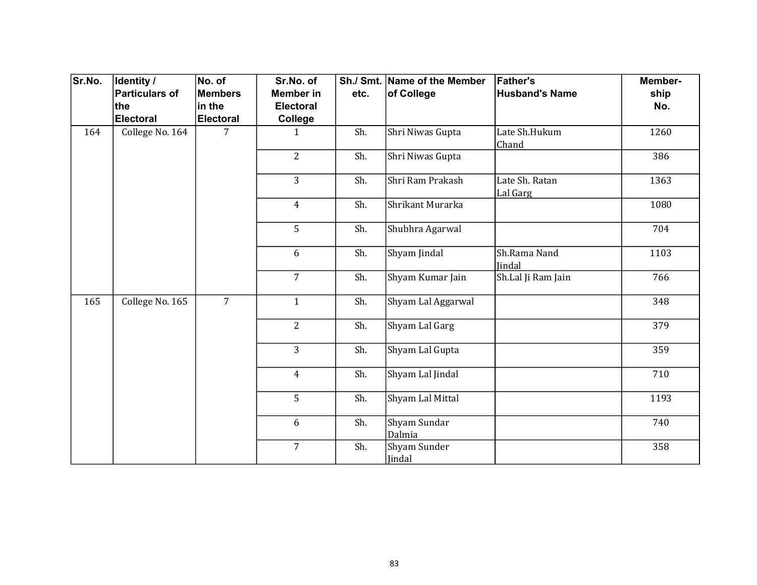| Sr.No. | Identity /      | No. of           | Sr.No. of        |      | Sh./ Smt. Name of the Member | <b>Father's</b>            | Member- |
|--------|-----------------|------------------|------------------|------|------------------------------|----------------------------|---------|
|        | Particulars of  | <b>Members</b>   | <b>Member</b> in | etc. | of College                   | <b>Husband's Name</b>      | ship    |
|        | ∣the            | in the           | <b>Electoral</b> |      |                              |                            | No.     |
|        | Electoral       | <b>Electoral</b> | College          |      |                              |                            |         |
| 164    | College No. 164 | 7                | $\mathbf{1}$     | Sh.  | Shri Niwas Gupta             | Late Sh.Hukum<br>Chand     | 1260    |
|        |                 |                  | $\overline{2}$   | Sh.  | Shri Niwas Gupta             |                            | 386     |
|        |                 |                  | 3                | Sh.  | Shri Ram Prakash             | Late Sh. Ratan<br>Lal Garg | 1363    |
|        |                 |                  | $\overline{4}$   | Sh.  | Shrikant Murarka             |                            | 1080    |
|        |                 |                  | 5                | Sh.  | Shubhra Agarwal              |                            | 704     |
|        |                 |                  | 6                | Sh.  | Shyam Jindal                 | Sh.Rama Nand<br>Jindal     | 1103    |
|        |                 |                  | $\overline{7}$   | Sh.  | Shyam Kumar Jain             | Sh.Lal Ji Ram Jain         | 766     |
| 165    | College No. 165 | $\overline{7}$   | $\mathbf{1}$     | Sh.  | Shyam Lal Aggarwal           |                            | 348     |
|        |                 |                  | $\overline{2}$   | Sh.  | Shyam Lal Garg               |                            | 379     |
|        |                 |                  | $\overline{3}$   | Sh.  | Shyam Lal Gupta              |                            | 359     |
|        |                 |                  | $\overline{4}$   | Sh.  | Shyam Lal Jindal             |                            | 710     |
|        |                 |                  | 5                | Sh.  | Shyam Lal Mittal             |                            | 1193    |
|        |                 |                  | 6                | Sh.  | Shyam Sundar<br>Dalmia       |                            | 740     |
|        |                 |                  | $\overline{7}$   | Sh.  | Shyam Sunder<br>Jindal       |                            | 358     |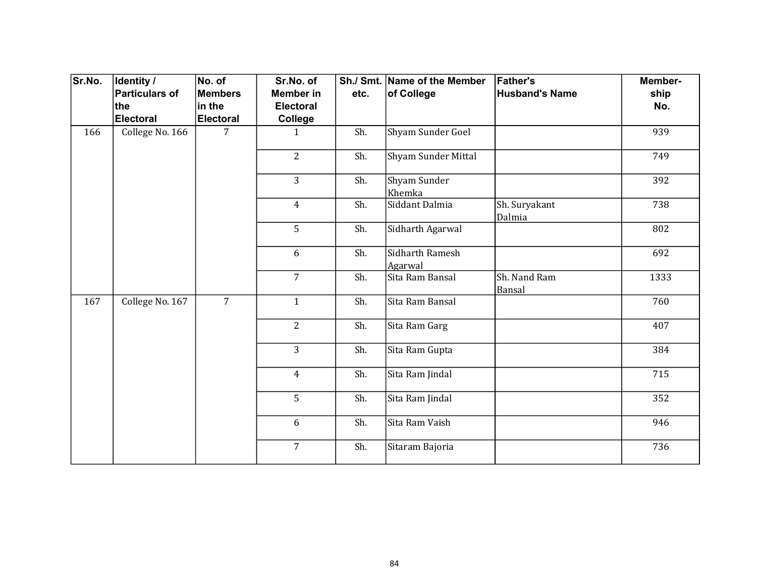| Sr.No. | Identity /            | No. of           | Sr.No. of        |      | Sh./ Smt. Name of the Member | <b>Father's</b>         | Member- |
|--------|-----------------------|------------------|------------------|------|------------------------------|-------------------------|---------|
|        | <b>Particulars of</b> | Members          | <b>Member in</b> | etc. | of College                   | <b>Husband's Name</b>   | ship    |
|        | the                   | in the           | <b>Electoral</b> |      |                              |                         | No.     |
|        | <b>Electoral</b>      | <b>Electoral</b> | <b>College</b>   |      |                              |                         |         |
| 166    | College No. 166       | $\overline{7}$   | $\mathbf{1}$     | Sh.  | Shyam Sunder Goel            |                         | 939     |
|        |                       |                  | $\overline{2}$   | Sh.  | Shyam Sunder Mittal          |                         | 749     |
|        |                       |                  | 3                | Sh.  | Shyam Sunder<br>Khemka       |                         | 392     |
|        |                       |                  | $\overline{4}$   | Sh.  | Siddant Dalmia               | Sh. Suryakant<br>Dalmia | 738     |
|        |                       |                  | 5                | Sh.  | Sidharth Agarwal             |                         | 802     |
|        |                       |                  | 6                | Sh.  | Sidharth Ramesh<br>Agarwal   |                         | 692     |
|        |                       |                  | $\overline{7}$   | Sh.  | Sita Ram Bansal              | Sh. Nand Ram<br>Bansal  | 1333    |
| 167    | College No. 167       | $\overline{7}$   | $\mathbf{1}$     | Sh.  | Sita Ram Bansal              |                         | 760     |
|        |                       |                  | $\overline{2}$   | Sh.  | Sita Ram Garg                |                         | 407     |
|        |                       |                  | 3                | Sh.  | Sita Ram Gupta               |                         | 384     |
|        |                       |                  | $\overline{4}$   | Sh.  | Sita Ram Jindal              |                         | 715     |
|        |                       |                  | 5                | Sh.  | Sita Ram Jindal              |                         | 352     |
|        |                       |                  | 6                | Sh.  | Sita Ram Vaish               |                         | 946     |
|        |                       |                  | $\overline{7}$   | Sh.  | Sitaram Bajoria              |                         | 736     |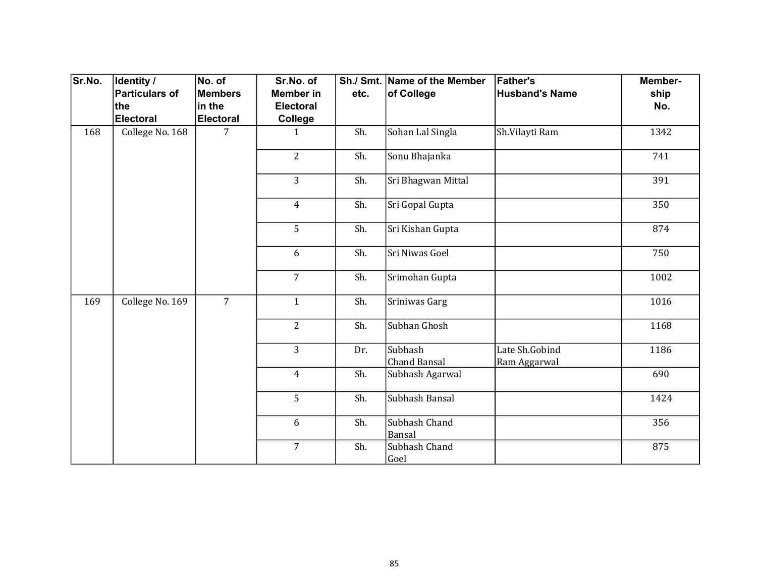| Sr.No. | Identity /            | No. of           | Sr.No. of        |      | Sh./ Smt. Name of the Member | <b>Father's</b>       | Member- |  |  |  |  |  |  |  |  |  |  |  |  |                |  |     |                         |                                |
|--------|-----------------------|------------------|------------------|------|------------------------------|-----------------------|---------|--|--|--|--|--|--|--|--|--|--|--|--|----------------|--|-----|-------------------------|--------------------------------|
|        | <b>Particulars of</b> | Members          | <b>Member in</b> | etc. | of College                   | <b>Husband's Name</b> | ship    |  |  |  |  |  |  |  |  |  |  |  |  |                |  |     |                         |                                |
|        | the                   | in the           | <b>Electoral</b> |      |                              |                       | No.     |  |  |  |  |  |  |  |  |  |  |  |  |                |  |     |                         |                                |
|        | <b>Electoral</b>      | <b>Electoral</b> | College          |      |                              |                       |         |  |  |  |  |  |  |  |  |  |  |  |  |                |  |     |                         |                                |
| 168    | College No. 168       | 7                | $\mathbf{1}$     | Sh.  | Sohan Lal Singla             | Sh.Vilayti Ram        | 1342    |  |  |  |  |  |  |  |  |  |  |  |  |                |  |     |                         |                                |
|        |                       |                  | $\overline{2}$   | Sh.  | Sonu Bhajanka                |                       | 741     |  |  |  |  |  |  |  |  |  |  |  |  |                |  |     |                         |                                |
|        |                       |                  | 3                | Sh.  | Sri Bhagwan Mittal           |                       | 391     |  |  |  |  |  |  |  |  |  |  |  |  |                |  |     |                         |                                |
|        |                       |                  | $\overline{4}$   | Sh.  | Sri Gopal Gupta              |                       | 350     |  |  |  |  |  |  |  |  |  |  |  |  |                |  |     |                         |                                |
|        |                       |                  | 5                | Sh.  | Sri Kishan Gupta             |                       | 874     |  |  |  |  |  |  |  |  |  |  |  |  |                |  |     |                         |                                |
|        |                       |                  | 6                | Sh.  | Sri Niwas Goel               |                       | 750     |  |  |  |  |  |  |  |  |  |  |  |  |                |  |     |                         |                                |
|        |                       |                  | $\overline{7}$   | Sh.  | Srimohan Gupta               |                       | 1002    |  |  |  |  |  |  |  |  |  |  |  |  |                |  |     |                         |                                |
| 169    | College No. 169       | $\overline{7}$   | $\mathbf{1}$     | Sh.  | Sriniwas Garg                |                       | 1016    |  |  |  |  |  |  |  |  |  |  |  |  |                |  |     |                         |                                |
|        |                       |                  | $\overline{2}$   | Sh.  | Subhan Ghosh                 |                       | 1168    |  |  |  |  |  |  |  |  |  |  |  |  |                |  |     |                         |                                |
|        |                       |                  |                  |      |                              |                       |         |  |  |  |  |  |  |  |  |  |  |  |  | $\overline{3}$ |  | Dr. | Subhash<br>Chand Bansal | Late Sh.Gobind<br>Ram Aggarwal |
|        |                       |                  | $\overline{4}$   | Sh.  | Subhash Agarwal              |                       | 690     |  |  |  |  |  |  |  |  |  |  |  |  |                |  |     |                         |                                |
|        |                       |                  | 5                | Sh.  | Subhash Bansal               |                       | 1424    |  |  |  |  |  |  |  |  |  |  |  |  |                |  |     |                         |                                |
|        |                       |                  | 6                | Sh.  | Subhash Chand<br>Bansal      |                       | 356     |  |  |  |  |  |  |  |  |  |  |  |  |                |  |     |                         |                                |
|        |                       |                  | $\overline{7}$   | Sh.  | Subhash Chand<br>Goel        |                       | 875     |  |  |  |  |  |  |  |  |  |  |  |  |                |  |     |                         |                                |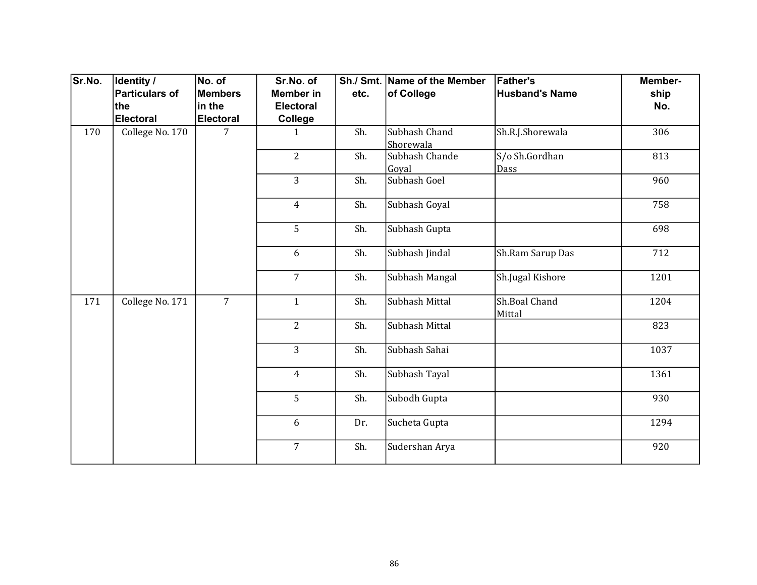| Sr.No. | Identity /<br>Particulars of | No. of<br><b>Members</b> | Sr.No. of<br><b>Member</b> in | etc. | Sh./ Smt. Name of the Member<br>of College | <b>Father's</b><br><b>Husband's Name</b> | Member-<br>ship |
|--------|------------------------------|--------------------------|-------------------------------|------|--------------------------------------------|------------------------------------------|-----------------|
|        | the                          | in the                   | <b>Electoral</b>              |      |                                            |                                          | No.             |
|        | Electoral                    | <b>Electoral</b>         | College                       |      |                                            |                                          |                 |
| 170    | College No. 170              | 7                        | $\mathbf{1}$                  | Sh.  | Subhash Chand<br>Shorewala                 | Sh.R.J.Shorewala                         | 306             |
|        |                              |                          | $\overline{2}$                | Sh.  | Subhash Chande<br>Goyal                    | $S/O$ Sh.Gordhan<br>Dass                 | 813             |
|        |                              |                          | 3                             | Sh.  | Subhash Goel                               |                                          | 960             |
|        |                              |                          | $\overline{4}$                | Sh.  | Subhash Goyal                              |                                          | 758             |
|        |                              |                          | 5                             | Sh.  | Subhash Gupta                              |                                          | 698             |
|        |                              |                          | 6                             | Sh.  | Subhash Jindal                             | Sh.Ram Sarup Das                         | 712             |
|        |                              |                          | $\overline{7}$                | Sh.  | Subhash Mangal                             | Sh.Jugal Kishore                         | 1201            |
| 171    | College No. 171              | $\overline{7}$           | $\mathbf{1}$                  | Sh.  | Subhash Mittal                             | Sh.Boal Chand<br>Mittal                  | 1204            |
|        |                              |                          | $\overline{2}$                | Sh.  | Subhash Mittal                             |                                          | 823             |
|        |                              |                          | $\overline{3}$                | Sh.  | Subhash Sahai                              |                                          | 1037            |
|        |                              |                          | $\overline{4}$                | Sh.  | Subhash Tayal                              |                                          | 1361            |
|        |                              |                          | 5                             | Sh.  | Subodh Gupta                               |                                          | 930             |
|        |                              |                          | 6                             | Dr.  | Sucheta Gupta                              |                                          | 1294            |
|        |                              |                          | $\overline{7}$                | Sh.  | Sudershan Arya                             |                                          | 920             |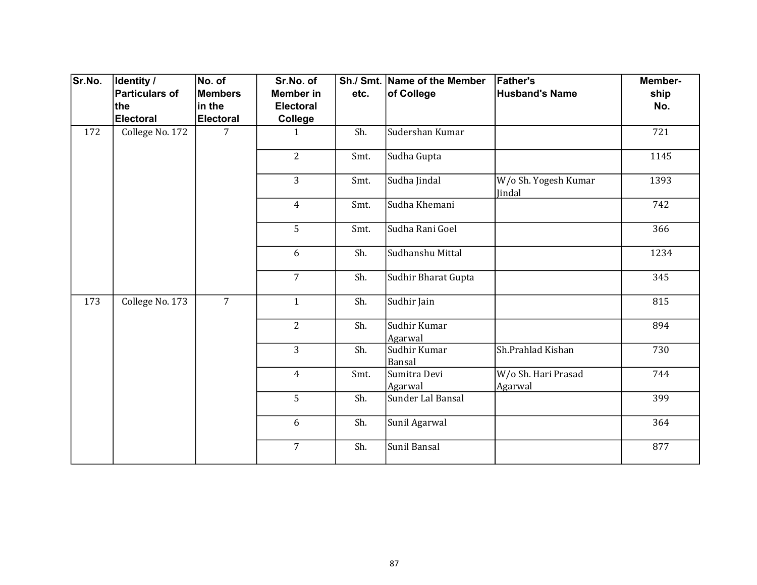| Sr.No. | <b>Identity /</b> | No. of           | Sr.No. of        |      | Sh./ Smt. Name of the Member | <b>Father's</b>                | Member- |
|--------|-------------------|------------------|------------------|------|------------------------------|--------------------------------|---------|
|        | Particulars of    | <b>Members</b>   | <b>Member</b> in | etc. | of College                   | <b>Husband's Name</b>          | ship    |
|        | ∣the              | in the           | <b>Electoral</b> |      |                              |                                | No.     |
|        | Electoral         | <b>Electoral</b> | College          |      |                              |                                |         |
| 172    | College No. 172   | 7                | $\mathbf{1}$     | Sh.  | Sudershan Kumar              |                                | 721     |
|        |                   |                  | $\overline{2}$   | Smt. | Sudha Gupta                  |                                | 1145    |
|        |                   |                  | 3                | Smt. | Sudha Jindal                 | W/o Sh. Yogesh Kumar<br>Jindal | 1393    |
|        |                   |                  | $\overline{4}$   | Smt. | Sudha Khemani                |                                | 742     |
|        |                   |                  | 5                | Smt. | Sudha Rani Goel              |                                | 366     |
|        |                   |                  | 6                | Sh.  | Sudhanshu Mittal             |                                | 1234    |
|        |                   |                  | $\overline{7}$   | Sh.  | Sudhir Bharat Gupta          |                                | 345     |
| 173    | College No. 173   | $\overline{7}$   | $\mathbf{1}$     | Sh.  | Sudhir Jain                  |                                | 815     |
|        |                   |                  | $\overline{2}$   | Sh.  | Sudhir Kumar<br>Agarwal      |                                | 894     |
|        |                   |                  | $\overline{3}$   | Sh.  | Sudhir Kumar<br>Bansal       | Sh.Prahlad Kishan              | 730     |
|        |                   |                  | $\overline{4}$   | Smt. | Sumitra Devi<br>Agarwal      | W/o Sh. Hari Prasad<br>Agarwal | 744     |
|        |                   |                  | 5                | Sh.  | Sunder Lal Bansal            |                                | 399     |
|        |                   |                  | 6                | Sh.  | Sunil Agarwal                |                                | 364     |
|        |                   |                  | $\overline{7}$   | Sh.  | Sunil Bansal                 |                                | 877     |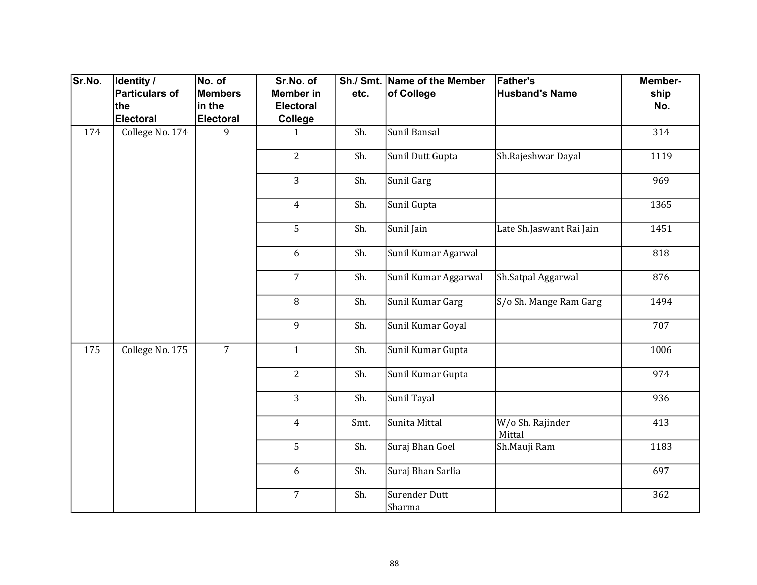| Sr.No. | Identity /            | No. of           | Sr.No. of        |      | Sh./ Smt. Name of the Member   | <b>Father's</b>            | Member- |
|--------|-----------------------|------------------|------------------|------|--------------------------------|----------------------------|---------|
|        | <b>Particulars of</b> | <b>Members</b>   | <b>Member in</b> | etc. | of College                     | <b>Husband's Name</b>      | ship    |
|        | the                   | in the           | Electoral        |      |                                |                            | No.     |
|        | <b>Electoral</b>      | <b>Electoral</b> | College          |      |                                |                            |         |
| 174    | College No. 174       | 9                | $\mathbf{1}$     | Sh.  | Sunil Bansal                   |                            | 314     |
|        |                       |                  | $\overline{2}$   | Sh.  | Sunil Dutt Gupta               | Sh.Rajeshwar Dayal         | 1119    |
|        |                       |                  | 3                | Sh.  | Sunil Garg                     |                            | 969     |
|        |                       |                  | $\overline{4}$   | Sh.  | Sunil Gupta                    |                            | 1365    |
|        |                       |                  | 5                | Sh.  | Sunil Jain                     | Late Sh.Jaswant Rai Jain   | 1451    |
|        |                       |                  | 6                | Sh.  | Sunil Kumar Agarwal            |                            | 818     |
|        |                       |                  | $\overline{7}$   | Sh.  | Sunil Kumar Aggarwal           | Sh.Satpal Aggarwal         | 876     |
|        |                       |                  | 8                | Sh.  | Sunil Kumar Garg               | S/o Sh. Mange Ram Garg     | 1494    |
|        |                       |                  | 9                | Sh.  | Sunil Kumar Goyal              |                            | 707     |
| 175    | College No. 175       | $\overline{7}$   | $\mathbf{1}$     | Sh.  | Sunil Kumar Gupta              |                            | 1006    |
|        |                       |                  | $\overline{2}$   | Sh.  | Sunil Kumar Gupta              |                            | 974     |
|        |                       |                  | $\overline{3}$   | Sh.  | Sunil Tayal                    |                            | 936     |
|        |                       |                  | $\overline{4}$   | Smt. | Sunita Mittal                  | W/o Sh. Rajinder<br>Mittal | 413     |
|        |                       |                  | 5                | Sh.  | Suraj Bhan Goel                | Sh.Mauji Ram               | 1183    |
|        |                       |                  | 6                | Sh.  | Suraj Bhan Sarlia              |                            | 697     |
|        |                       |                  | $\overline{7}$   | Sh.  | Surender Dutt<br><b>Sharma</b> |                            | 362     |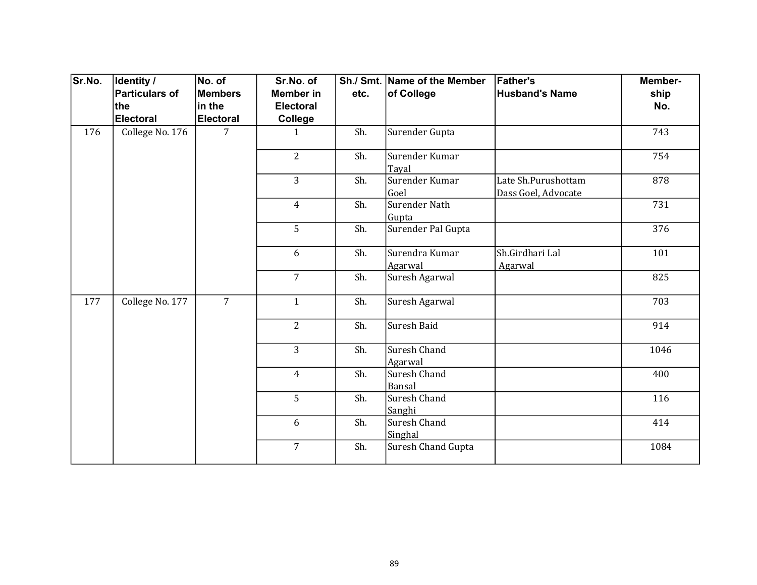| Sr.No. | <b>Identity /</b> | No. of           | Sr.No. of        |      | Sh./ Smt. Name of the Member  | <b>Father's</b>                            | Member- |
|--------|-------------------|------------------|------------------|------|-------------------------------|--------------------------------------------|---------|
|        | Particulars of    | <b>Members</b>   | <b>Member</b> in | etc. | of College                    | <b>Husband's Name</b>                      | ship    |
|        | ∣the              | in the           | <b>Electoral</b> |      |                               |                                            | No.     |
|        | Electoral         | <b>Electoral</b> | College          |      |                               |                                            |         |
| 176    | College No. 176   | 7                | $\mathbf{1}$     | Sh.  | Surender Gupta                |                                            | 743     |
|        |                   |                  | $\overline{2}$   | Sh.  | Surender Kumar<br>Tayal       |                                            | 754     |
|        |                   |                  | $\overline{3}$   | Sh.  | Surender Kumar<br>Goel        | Late Sh.Purushottam<br>Dass Goel, Advocate | 878     |
|        |                   |                  | $\overline{4}$   | Sh.  | <b>Surender Nath</b><br>Gupta |                                            | 731     |
|        |                   |                  | 5                | Sh.  | Surender Pal Gupta            |                                            | 376     |
|        |                   |                  | 6                | Sh.  | Surendra Kumar<br>Agarwal     | Sh.Girdhari Lal<br>Agarwal                 | 101     |
|        |                   |                  | $\overline{7}$   | Sh.  | Suresh Agarwal                |                                            | 825     |
| 177    | College No. 177   | $\overline{7}$   | $\mathbf{1}$     | Sh.  | Suresh Agarwal                |                                            | 703     |
|        |                   |                  | $\overline{2}$   | Sh.  | Suresh Baid                   |                                            | 914     |
|        |                   |                  | $\overline{3}$   | Sh.  | Suresh Chand<br>Agarwal       |                                            | 1046    |
|        |                   |                  | $\overline{4}$   | Sh.  | Suresh Chand<br>Bansal        |                                            | 400     |
|        |                   |                  | 5                | Sh.  | Suresh Chand<br>Sanghi        |                                            | 116     |
|        |                   |                  | 6                | Sh.  | Suresh Chand<br>Singhal       |                                            | 414     |
|        |                   |                  | $\overline{7}$   | Sh.  | <b>Suresh Chand Gupta</b>     |                                            | 1084    |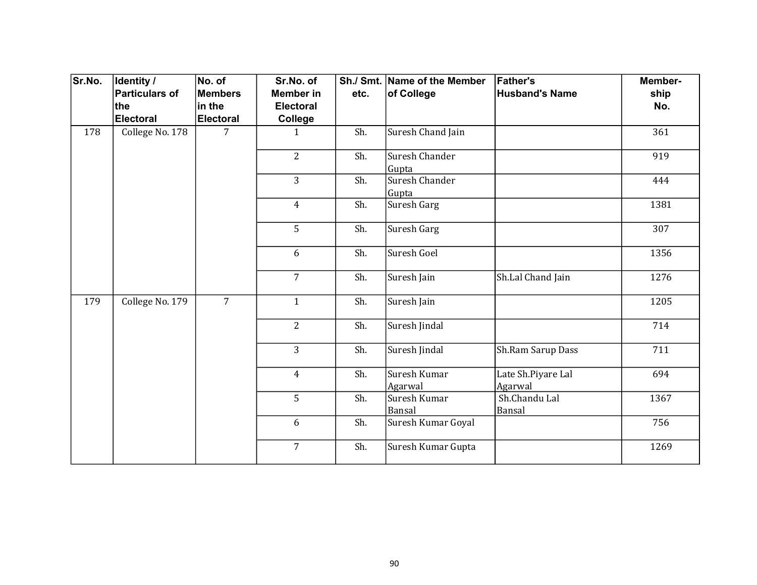| Sr.No. | Identity /      | No. of           | Sr.No. of        |      | Sh./ Smt. Name of the Member | <b>Father's</b>               | Member-          |
|--------|-----------------|------------------|------------------|------|------------------------------|-------------------------------|------------------|
|        | Particulars of  | <b>Members</b>   | <b>Member</b> in | etc. | of College                   | <b>Husband's Name</b>         | ship             |
|        | the             | in the           | <b>Electoral</b> |      |                              |                               | No.              |
|        | Electoral       | <b>Electoral</b> | College          |      |                              |                               |                  |
| 178    | College No. 178 | 7                | $\mathbf{1}$     | Sh.  | Suresh Chand Jain            |                               | 361              |
|        |                 |                  | $\overline{2}$   | Sh.  | Suresh Chander<br>Gupta      |                               | 919              |
|        |                 |                  | $\overline{3}$   | Sh.  | Suresh Chander<br>Gupta      |                               | 444              |
|        |                 |                  | $\overline{4}$   | Sh.  | Suresh Garg                  |                               | 1381             |
|        |                 |                  | 5                | Sh.  | Suresh Garg                  |                               | $\overline{3}07$ |
|        |                 |                  | 6                | Sh.  | Suresh Goel                  |                               | 1356             |
|        |                 |                  | $\overline{7}$   | Sh.  | Suresh Jain                  | Sh.Lal Chand Jain             | 1276             |
| 179    | College No. 179 | $\overline{7}$   | $\mathbf{1}$     | Sh.  | Suresh Jain                  |                               | 1205             |
|        |                 |                  | $\overline{2}$   | Sh.  | Suresh Jindal                |                               | 714              |
|        |                 |                  | $\overline{3}$   | Sh.  | Suresh Jindal                | Sh.Ram Sarup Dass             | 711              |
|        |                 |                  | $\overline{4}$   | Sh.  | Suresh Kumar<br>Agarwal      | Late Sh.Piyare Lal<br>Agarwal | 694              |
|        |                 |                  | 5                | Sh.  | Suresh Kumar<br>Bansal       | Sh.Chandu Lal<br>Bansal       | 1367             |
|        |                 |                  | 6                | Sh.  | Suresh Kumar Goyal           |                               | 756              |
|        |                 |                  | $\overline{7}$   | Sh.  | Suresh Kumar Gupta           |                               | 1269             |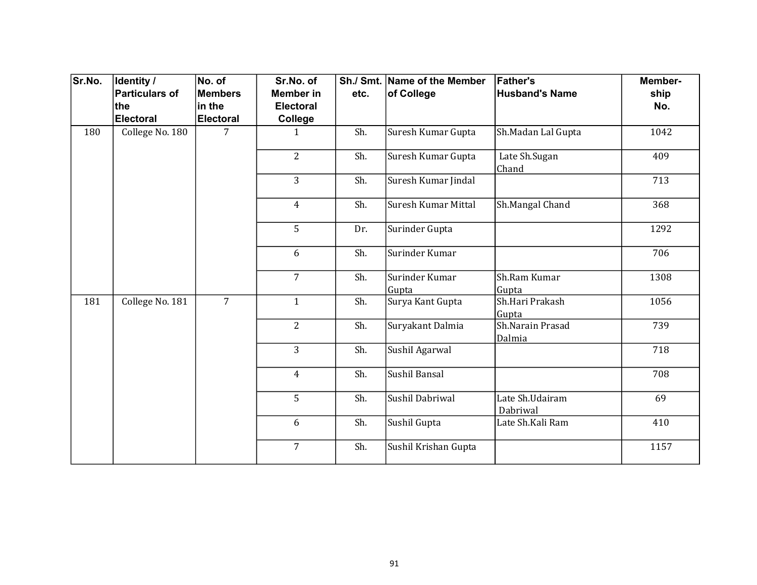| Sr.No. | Identity /      | No. of           | Sr.No. of        |      | Sh./ Smt. Name of the Member | <b>Father's</b>             | Member- |
|--------|-----------------|------------------|------------------|------|------------------------------|-----------------------------|---------|
|        | Particulars of  | <b>Members</b>   | <b>Member in</b> | etc. | of College                   | <b>Husband's Name</b>       | ship    |
|        | ∣the            | in the           | <b>Electoral</b> |      |                              |                             | No.     |
|        | Electoral       | <b>Electoral</b> | College          |      |                              |                             |         |
| 180    | College No. 180 | 7                | $\mathbf{1}$     | Sh.  | Suresh Kumar Gupta           | Sh.Madan Lal Gupta          | 1042    |
|        |                 |                  | $\overline{2}$   | Sh.  | Suresh Kumar Gupta           | Late Sh.Sugan<br>Chand      | 409     |
|        |                 |                  | 3                | Sh.  | Suresh Kumar Jindal          |                             | 713     |
|        |                 |                  | $\overline{4}$   | Sh.  | Suresh Kumar Mittal          | Sh.Mangal Chand             | 368     |
|        |                 |                  | 5                | Dr.  | Surinder Gupta               |                             | 1292    |
|        |                 |                  | 6                | Sh.  | Surinder Kumar               |                             | 706     |
|        |                 |                  | $\overline{7}$   | Sh.  | Surinder Kumar<br>Gupta      | Sh.Ram Kumar<br>Gupta       | 1308    |
| 181    | College No. 181 | $\overline{7}$   | $\mathbf{1}$     | Sh.  | Surya Kant Gupta             | Sh.Hari Prakash<br>Gupta    | 1056    |
|        |                 |                  | $\overline{2}$   | Sh.  | Suryakant Dalmia             | Sh.Narain Prasad<br>Dalmia  | 739     |
|        |                 |                  | $\overline{3}$   | Sh.  | SushiI Agarwal               |                             | 718     |
|        |                 |                  | $\overline{4}$   | Sh.  | Sushil Bansal                |                             | 708     |
|        |                 |                  | 5                | Sh.  | Sushil Dabriwal              | Late Sh.Udairam<br>Dabriwal | 69      |
|        |                 |                  | 6                | Sh.  | Sushil Gupta                 | Late Sh.Kali Ram            | 410     |
|        |                 |                  | $\overline{7}$   | Sh.  | Sushil Krishan Gupta         |                             | 1157    |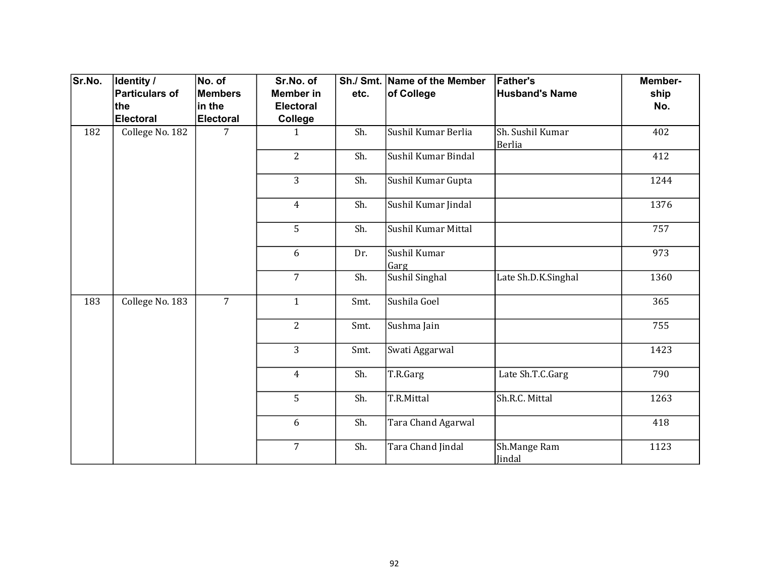| Sr.No. | Identity /      | No. of           | Sr.No. of        |      | Sh./ Smt. Name of the Member | <b>Father's</b>                   | Member- |
|--------|-----------------|------------------|------------------|------|------------------------------|-----------------------------------|---------|
|        | Particulars of  | <b>Members</b>   | <b>Member</b> in | etc. | of College                   | <b>Husband's Name</b>             | ship    |
|        | ∣the            | in the           | <b>Electoral</b> |      |                              |                                   | No.     |
|        | Electoral       | <b>Electoral</b> | College          |      |                              |                                   |         |
| 182    | College No. 182 | 7                | $\mathbf{1}$     | Sh.  | Sushil Kumar Berlia          | Sh. Sushil Kumar<br><b>Berlia</b> | 402     |
|        |                 |                  | $\overline{2}$   | Sh.  | Sushil Kumar Bindal          |                                   | 412     |
|        |                 |                  | 3                | Sh.  | Sushil Kumar Gupta           |                                   | 1244    |
|        |                 |                  | $\overline{4}$   | Sh.  | Sushil Kumar Jindal          |                                   | 1376    |
|        |                 |                  | 5                | Sh.  | Sushil Kumar Mittal          |                                   | 757     |
|        |                 |                  | 6                | Dr.  | Sushil Kumar<br>Garg         |                                   | 973     |
|        |                 |                  | $\overline{7}$   | Sh.  | Sushil Singhal               | Late Sh.D.K.Singhal               | 1360    |
| 183    | College No. 183 | $\overline{7}$   | $\mathbf{1}$     | Smt. | Sushila Goel                 |                                   | 365     |
|        |                 |                  | $\overline{2}$   | Smt. | Sushma Jain                  |                                   | 755     |
|        |                 |                  | $\overline{3}$   | Smt. | Swati Aggarwal               |                                   | 1423    |
|        |                 |                  | $\overline{4}$   | Sh.  | T.R.Garg                     | Late Sh.T.C.Garg                  | 790     |
|        |                 |                  | 5                | Sh.  | T.R.Mittal                   | Sh.R.C. Mittal                    | 1263    |
|        |                 |                  | 6                | Sh.  | Tara Chand Agarwal           |                                   | 418     |
|        |                 |                  | $\overline{7}$   | Sh.  | Tara Chand Jindal            | Sh.Mange Ram<br>Jindal            | 1123    |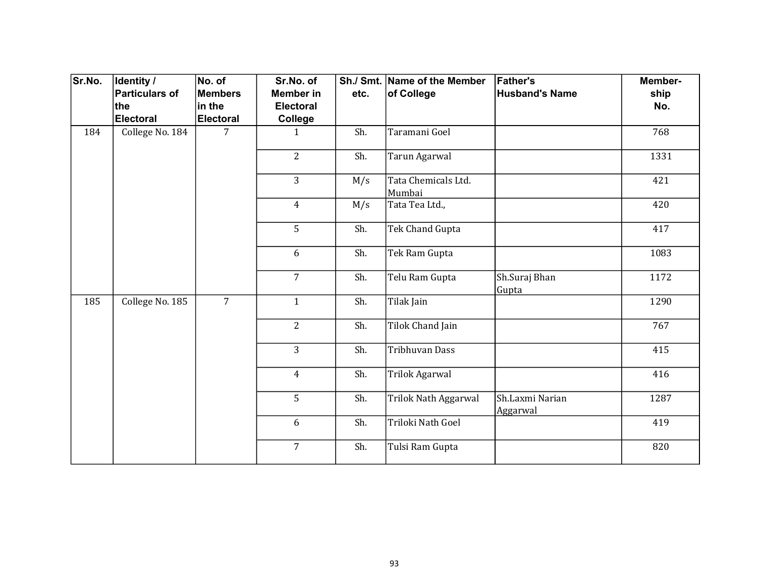| Sr.No. | <b>Identity /</b> | No. of           | Sr.No. of        |      | Sh./ Smt. Name of the Member  | <b>Father's</b>             | Member- |
|--------|-------------------|------------------|------------------|------|-------------------------------|-----------------------------|---------|
|        | Particulars of    | <b>Members</b>   | <b>Member in</b> | etc. | of College                    | <b>Husband's Name</b>       | ship    |
|        | ∣the              | in the           | <b>Electoral</b> |      |                               |                             | No.     |
|        | Electoral         | <b>Electoral</b> | College          |      |                               |                             |         |
| 184    | College No. 184   | 7                | 1                | Sh.  | Taramani Goel                 |                             | 768     |
|        |                   |                  | $\overline{2}$   | Sh.  | Tarun Agarwal                 |                             | 1331    |
|        |                   |                  | 3                | M/s  | Tata Chemicals Ltd.<br>Mumbai |                             | 421     |
|        |                   |                  | $\overline{4}$   | M/s  | Tata Tea Ltd.,                |                             | 420     |
|        |                   |                  | 5                | Sh.  | Tek Chand Gupta               |                             | 417     |
|        |                   |                  | 6                | Sh.  | Tek Ram Gupta                 |                             | 1083    |
|        |                   |                  | $\overline{7}$   | Sh.  | Telu Ram Gupta                | Sh.Suraj Bhan<br>Gupta      | 1172    |
| 185    | College No. 185   | $\overline{7}$   | $\mathbf{1}$     | Sh.  | Tilak Jain                    |                             | 1290    |
|        |                   |                  | $\overline{2}$   | Sh.  | Tilok Chand Jain              |                             | 767     |
|        |                   |                  | 3                | Sh.  | <b>Tribhuvan Dass</b>         |                             | 415     |
|        |                   |                  | $\overline{4}$   | Sh.  | Trilok Agarwal                |                             | 416     |
|        |                   |                  | 5                | Sh.  | Trilok Nath Aggarwal          | Sh.Laxmi Narian<br>Aggarwal | 1287    |
|        |                   |                  | 6                | Sh.  | Triloki Nath Goel             |                             | 419     |
|        |                   |                  | $\overline{7}$   | Sh.  | Tulsi Ram Gupta               |                             | 820     |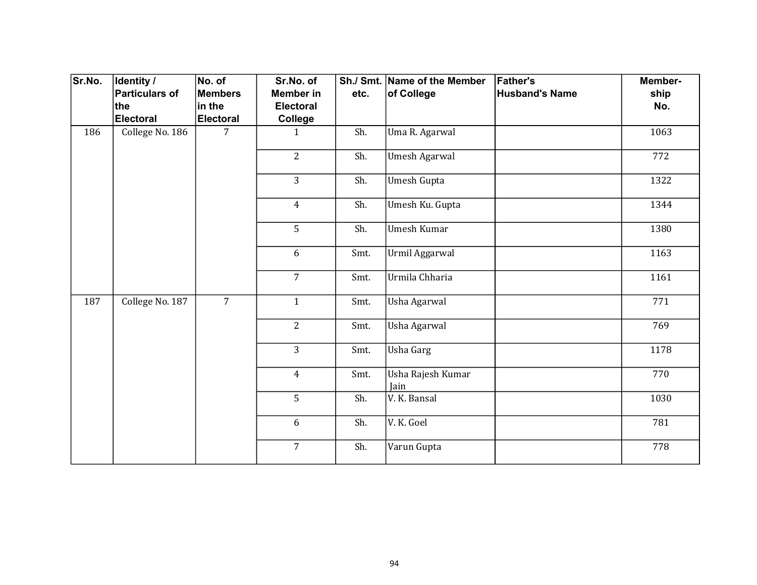| Sr.No. | Identity /            | No. of           | Sr.No. of        |      | Sh./ Smt. Name of the Member | <b>Father's</b>       | Member- |
|--------|-----------------------|------------------|------------------|------|------------------------------|-----------------------|---------|
|        | <b>Particulars of</b> | Members          | <b>Member in</b> | etc. | of College                   | <b>Husband's Name</b> | ship    |
|        | the                   | in the           | <b>Electoral</b> |      |                              |                       | No.     |
|        | Electoral             | <b>Electoral</b> | <b>College</b>   |      |                              |                       |         |
| 186    | College No. 186       | 7                | $\mathbf{1}$     | Sh.  | Uma R. Agarwal               |                       | 1063    |
|        |                       |                  | $\overline{2}$   | Sh.  | <b>Umesh Agarwal</b>         |                       | 772     |
|        |                       |                  | 3                | Sh.  | Umesh Gupta                  |                       | 1322    |
|        |                       |                  | $\overline{4}$   | Sh.  | Umesh Ku. Gupta              |                       | 1344    |
|        |                       |                  | 5                | Sh.  | Umesh Kumar                  |                       | 1380    |
|        |                       |                  | 6                | Smt. | Urmil Aggarwal               |                       | 1163    |
|        |                       |                  | $\overline{7}$   | Smt. | Urmila Chharia               |                       | 1161    |
| 187    | College No. 187       | $\overline{7}$   | $\mathbf{1}$     | Smt. | Usha Agarwal                 |                       | 771     |
|        |                       |                  | $\overline{2}$   | Smt. | Usha Agarwal                 |                       | 769     |
|        |                       |                  | 3                | Smt. | <b>Usha Garg</b>             |                       | 1178    |
|        |                       |                  | $\overline{4}$   | Smt. | Usha Rajesh Kumar<br>Jain    |                       | 770     |
|        |                       |                  | 5                | Sh.  | V. K. Bansal                 |                       | 1030    |
|        |                       |                  | 6                | Sh.  | V.K. Goel                    |                       | 781     |
|        |                       |                  | $\overline{7}$   | Sh.  | Varun Gupta                  |                       | 778     |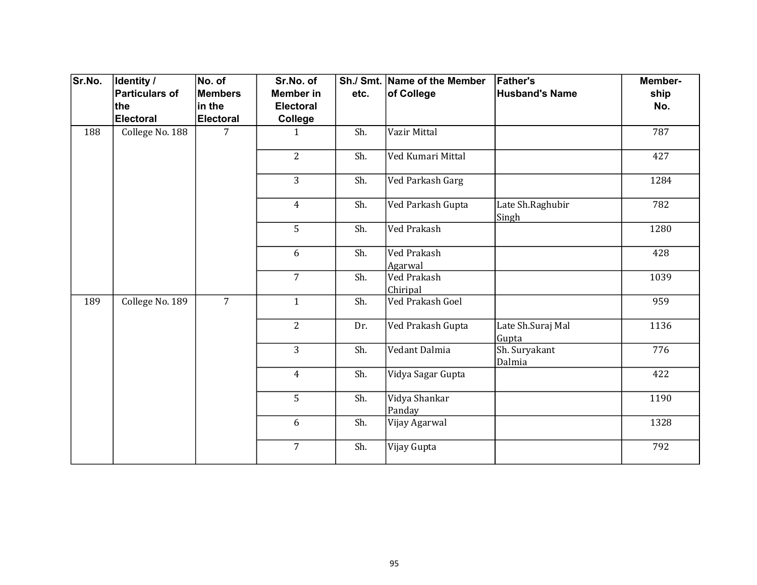| Sr.No. | Identity /            | No. of           | Sr.No. of        |      | Sh./ Smt. Name of the Member   | <b>Father's</b>            | Member- |
|--------|-----------------------|------------------|------------------|------|--------------------------------|----------------------------|---------|
|        | <b>Particulars of</b> | Members          | <b>Member in</b> | etc. | of College                     | <b>Husband's Name</b>      | ship    |
|        | the                   | in the           | <b>Electoral</b> |      |                                |                            | No.     |
|        | <b>Electoral</b>      | <b>Electoral</b> | College          |      |                                |                            |         |
| 188    | College No. 188       | $\overline{7}$   | $\mathbf{1}$     | Sh.  | Vazir Mittal                   |                            | 787     |
|        |                       |                  | $\overline{2}$   | Sh.  | Ved Kumari Mittal              |                            | 427     |
|        |                       |                  | 3                | Sh.  | Ved Parkash Garg               |                            | 1284    |
|        |                       |                  | $\overline{4}$   | Sh.  | Ved Parkash Gupta              | Late Sh.Raghubir<br>Singh  | 782     |
|        |                       |                  | 5                | Sh.  | Ved Prakash                    |                            | 1280    |
|        |                       |                  | 6                | Sh.  | Ved Prakash<br>Agarwal         |                            | 428     |
|        |                       |                  | $\overline{7}$   | Sh.  | <b>Ved Prakash</b><br>Chiripal |                            | 1039    |
| 189    | College No. 189       | $\overline{7}$   | $\mathbf{1}$     | Sh.  | Ved Prakash Goel               |                            | 959     |
|        |                       |                  | $\overline{2}$   | Dr.  | Ved Prakash Gupta              | Late Sh.Suraj Mal<br>Gupta | 1136    |
|        |                       |                  | $\overline{3}$   | Sh.  | Vedant Dalmia                  | Sh. Suryakant<br>Dalmia    | 776     |
|        |                       |                  | $\overline{4}$   | Sh.  | Vidya Sagar Gupta              |                            | 422     |
|        |                       |                  | 5                | Sh.  | Vidya Shankar<br>Panday        |                            | 1190    |
|        |                       |                  | 6                | Sh.  | Vijay Agarwal                  |                            | 1328    |
|        |                       |                  | $\overline{7}$   | Sh.  | Vijay Gupta                    |                            | 792     |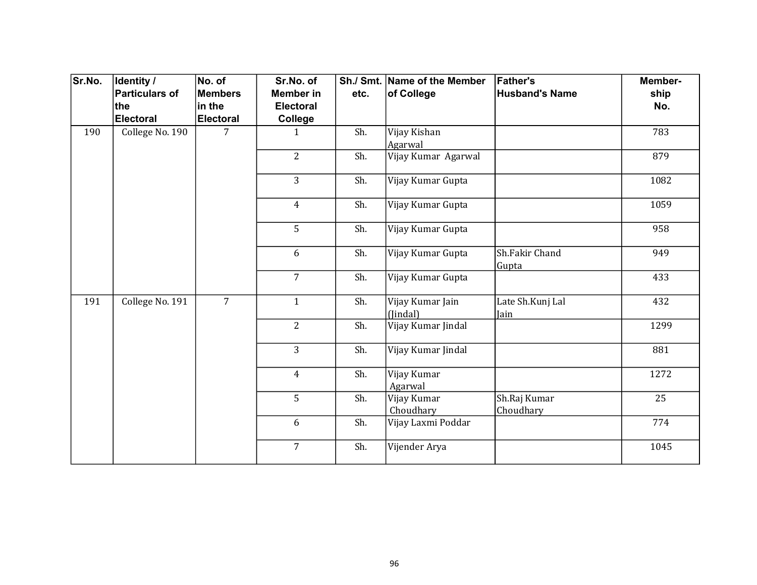| Sr.No. | Identity /      | No. of           | Sr.No. of        |      | Sh./ Smt. Name of the Member | <b>Father's</b>           | Member- |
|--------|-----------------|------------------|------------------|------|------------------------------|---------------------------|---------|
|        | Particulars of  | <b>Members</b>   | <b>Member</b> in | etc. | of College                   | <b>Husband's Name</b>     | ship    |
|        | ∣the            | in the           | <b>Electoral</b> |      |                              |                           | No.     |
|        | Electoral       | <b>Electoral</b> | College          |      |                              |                           |         |
| 190    | College No. 190 | 7                | 1                | Sh.  | Vijay Kishan<br>Agarwal      |                           | 783     |
|        |                 |                  | $\overline{2}$   | Sh.  | Vijay Kumar Agarwal          |                           | 879     |
|        |                 |                  | 3                | Sh.  | Vijay Kumar Gupta            |                           | 1082    |
|        |                 |                  | $\overline{4}$   | Sh.  | Vijay Kumar Gupta            |                           | 1059    |
|        |                 |                  | 5                | Sh.  | Vijay Kumar Gupta            |                           | 958     |
|        |                 |                  | 6                | Sh.  | Vijay Kumar Gupta            | Sh.Fakir Chand<br>Gupta   | 949     |
|        |                 |                  | $\overline{7}$   | Sh.  | Vijay Kumar Gupta            |                           | 433     |
| 191    | College No. 191 | $\overline{7}$   | $\mathbf{1}$     | Sh.  | Vijay Kumar Jain<br>(Jindal) | Late Sh.Kunj Lal<br>Jain  | 432     |
|        |                 |                  | $\overline{2}$   | Sh.  | Vijay Kumar Jindal           |                           | 1299    |
|        |                 |                  | $\overline{3}$   | Sh.  | Vijay Kumar Jindal           |                           | 881     |
|        |                 |                  | $\overline{4}$   | Sh.  | Vijay Kumar<br>Agarwal       |                           | 1272    |
|        |                 |                  | 5                | Sh.  | Vijay Kumar<br>Choudhary     | Sh.Raj Kumar<br>Choudhary | 25      |
|        |                 |                  | 6                | Sh.  | Vijay Laxmi Poddar           |                           | 774     |
|        |                 |                  | $\overline{7}$   | Sh.  | Vijender Arya                |                           | 1045    |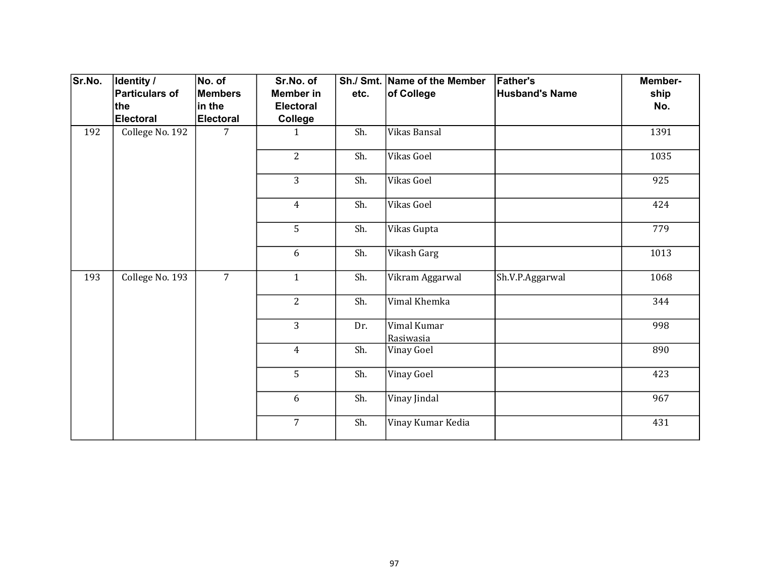| Sr.No. | <b>Identity /</b> | No. of         | Sr.No. of        |      | Sh./ Smt. Name of the Member | <b>Father's</b>       | Member- |
|--------|-------------------|----------------|------------------|------|------------------------------|-----------------------|---------|
|        | Particulars of    | <b>Members</b> | <b>Member</b> in | etc. | of College                   | <b>Husband's Name</b> | ship    |
|        | ∣the              | in the         | <b>Electoral</b> |      |                              |                       | No.     |
|        | Electoral         | Electoral      | College          |      |                              |                       |         |
| 192    | College No. 192   | 7              | 1                | Sh.  | Vikas Bansal                 |                       | 1391    |
|        |                   |                | $\overline{2}$   | Sh.  | Vikas Goel                   |                       | 1035    |
|        |                   |                | 3                | Sh.  | Vikas Goel                   |                       | 925     |
|        |                   |                | $\overline{4}$   | Sh.  | Vikas Goel                   |                       | 424     |
|        |                   |                | 5                | Sh.  | Vikas Gupta                  |                       | 779     |
|        |                   |                | 6                | Sh.  | Vikash Garg                  |                       | 1013    |
| 193    | College No. 193   | $\overline{7}$ | $\mathbf{1}$     | Sh.  | Vikram Aggarwal              | Sh.V.P.Aggarwal       | 1068    |
|        |                   |                | $\overline{2}$   | Sh.  | Vimal Khemka                 |                       | 344     |
|        |                   |                | 3                | Dr.  | Vimal Kumar<br>Rasiwasia     |                       | 998     |
|        |                   |                | $\overline{4}$   | Sh.  | Vinay Goel                   |                       | 890     |
|        |                   |                | 5                | Sh.  | <b>Vinay Goel</b>            |                       | 423     |
|        |                   |                | 6                | Sh.  | Vinay Jindal                 |                       | 967     |
|        |                   |                | $\overline{7}$   | Sh.  | Vinay Kumar Kedia            |                       | 431     |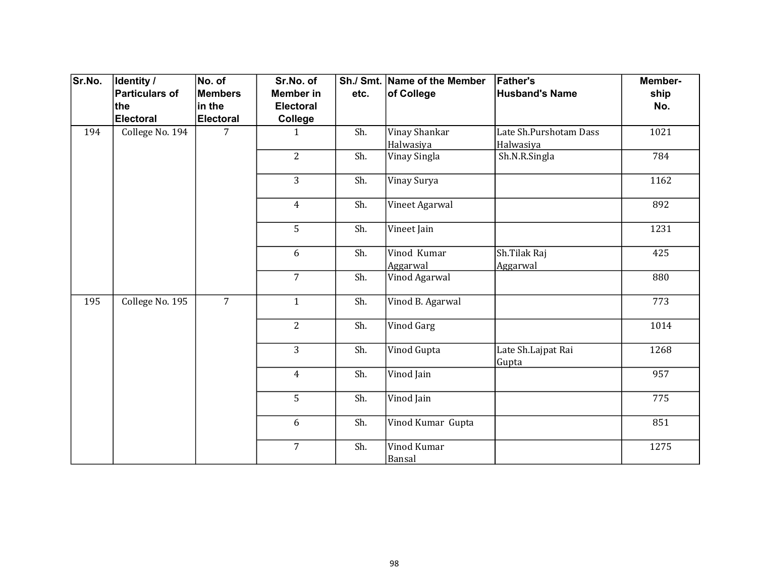| Sr.No. | <b>Identity /</b> | No. of           | Sr.No. of        |                | Sh./ Smt. Name of the Member | <b>Father's</b>                     | Member- |     |
|--------|-------------------|------------------|------------------|----------------|------------------------------|-------------------------------------|---------|-----|
|        | Particulars of    | <b>Members</b>   | <b>Member</b> in | etc.           | of College                   | <b>Husband's Name</b>               | ship    |     |
|        | ∣the              | in the           | <b>Electoral</b> |                |                              |                                     | No.     |     |
|        | Electoral         | <b>Electoral</b> | College          |                |                              |                                     |         |     |
| 194    | College No. 194   | 7                | $\mathbf{1}$     | Sh.            | Vinay Shankar<br>Halwasiya   | Late Sh.Purshotam Dass<br>Halwasiya | 1021    |     |
|        |                   |                  | $\overline{2}$   | Sh.            | Vinay Singla                 | Sh.N.R.Singla                       | 784     |     |
|        |                   |                  | $\overline{3}$   | Sh.            | Vinay Surya                  |                                     | 1162    |     |
|        |                   |                  | $\overline{4}$   | Sh.            | Vineet Agarwal               |                                     | 892     |     |
|        |                   |                  | 5                | Sh.            | Vineet Jain                  |                                     | 1231    |     |
|        |                   |                  | 6                | Sh.            | Vinod Kumar<br>Aggarwal      | Sh.Tilak Raj<br>Aggarwal            | 425     |     |
|        |                   |                  | $\overline{7}$   | Sh.            | Vinod Agarwal                |                                     | 880     |     |
| 195    | College No. 195   | $\overline{7}$   | $\mathbf{1}$     | Sh.            | Vinod B. Agarwal             |                                     | 773     |     |
|        |                   |                  | $\overline{2}$   | Sh.            | <b>Vinod Garg</b>            |                                     | 1014    |     |
|        |                   |                  | $\overline{3}$   | Sh.            | Vinod Gupta                  | Late Sh.Lajpat Rai<br>Gupta         | 1268    |     |
|        |                   |                  |                  | $\overline{4}$ | Sh.                          | Vinod Jain                          |         | 957 |
|        |                   |                  | 5                | Sh.            | Vinod Jain                   |                                     | 775     |     |
|        |                   |                  | 6                | Sh.            | Vinod Kumar Gupta            |                                     | 851     |     |
|        |                   |                  | $\overline{7}$   | Sh.            | Vinod Kumar<br>Bansal        |                                     | 1275    |     |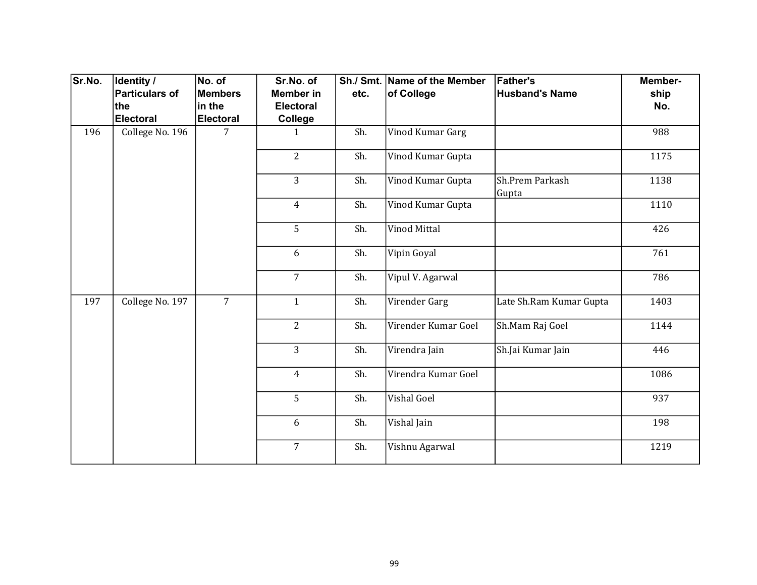| Sr.No. | Identity /      | No. of           | Sr.No. of        |      | Sh./ Smt. Name of the Member | <b>Father's</b>          | Member-             |
|--------|-----------------|------------------|------------------|------|------------------------------|--------------------------|---------------------|
|        | Particulars of  | <b>Members</b>   | <b>Member</b> in | etc. | of College                   | <b>Husband's Name</b>    | ship                |
|        | ∣the            | in the           | <b>Electoral</b> |      |                              |                          | No.                 |
|        | Electoral       | <b>Electoral</b> | College          |      |                              |                          |                     |
| 196    | College No. 196 | 7                | 1                | Sh.  | Vinod Kumar Garg             |                          | 988                 |
|        |                 |                  | $\overline{2}$   | Sh.  | Vinod Kumar Gupta            |                          | 1175                |
|        |                 |                  | 3                | Sh.  | Vinod Kumar Gupta            | Sh.Prem Parkash<br>Gupta | 1138                |
|        |                 |                  | $\overline{4}$   | Sh.  | Vinod Kumar Gupta            |                          | 1110                |
|        |                 |                  | 5                | Sh.  | Vinod Mittal                 |                          | 426                 |
|        |                 |                  | 6                | Sh.  | Vipin Goyal                  |                          | 761                 |
|        |                 |                  | $\overline{7}$   | Sh.  | Vipul V. Agarwal             |                          | 786                 |
| 197    | College No. 197 | $\overline{7}$   | $\mathbf{1}$     | Sh.  | Virender Garg                | Late Sh.Ram Kumar Gupta  | 1403                |
|        |                 |                  | $\overline{2}$   | Sh.  | Virender Kumar Goel          | Sh.Mam Raj Goel          | 1144                |
|        |                 |                  | $\overline{3}$   | Sh.  | Virendra Jain                | Sh.Jai Kumar Jain        | 446                 |
|        |                 |                  |                  |      | $\overline{4}$               | Sh.                      | Virendra Kumar Goel |
|        |                 |                  | 5                | Sh.  | Vishal Goel                  |                          | 937                 |
|        |                 |                  | 6                | Sh.  | Vishal Jain                  |                          | 198                 |
|        |                 |                  | $\overline{7}$   | Sh.  | Vishnu Agarwal               |                          | 1219                |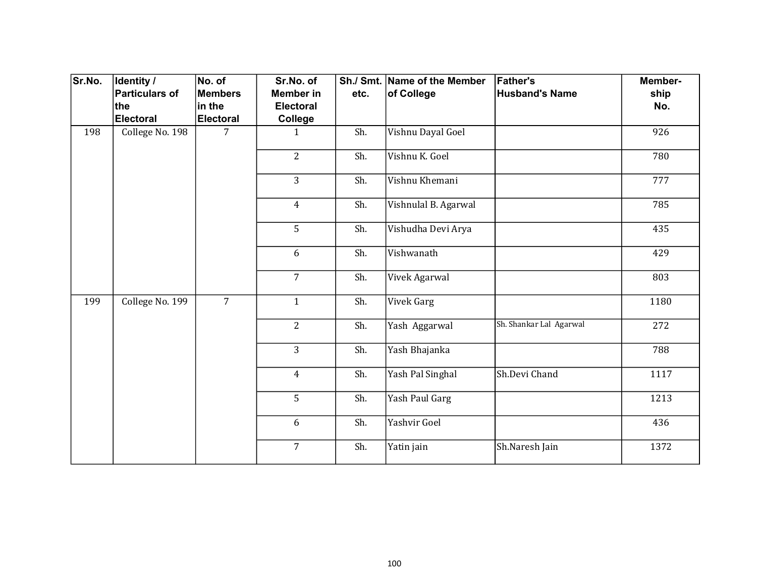| Sr.No. | Identity /            | No. of           | Sr.No. of        |                | Sh./ Smt. Name of the Member | <b>Father's</b>         | Member-       |
|--------|-----------------------|------------------|------------------|----------------|------------------------------|-------------------------|---------------|
|        | <b>Particulars of</b> | Members          | <b>Member in</b> | etc.           | of College                   | <b>Husband's Name</b>   | ship          |
|        | the                   | in the           | <b>Electoral</b> |                |                              |                         | No.           |
|        | <b>Electoral</b>      | <b>Electoral</b> | College          |                |                              |                         |               |
| 198    | College No. 198       | $\overline{7}$   | $\mathbf{1}$     | Sh.            | Vishnu Dayal Goel            |                         | 926           |
|        |                       |                  | $\overline{2}$   | Sh.            | Vishnu K. Goel               |                         | 780           |
|        |                       |                  | 3                | Sh.            | Vishnu Khemani               |                         | 777           |
|        |                       |                  | $\overline{4}$   | Sh.            | Vishnulal B. Agarwal         |                         | 785           |
|        |                       |                  | 5                | Sh.            | Vishudha Devi Arya           |                         | 435           |
|        |                       |                  | 6                | Sh.            | Vishwanath                   |                         | 429           |
|        |                       |                  | $\overline{7}$   | Sh.            | Vivek Agarwal                |                         | 803           |
| 199    | College No. 199       | $\overline{7}$   | $\mathbf{1}$     | Sh.            | Vivek Garg                   |                         | 1180          |
|        |                       |                  | $\overline{2}$   | Sh.            | Yash Aggarwal                | Sh. Shankar Lal Agarwal | 272           |
|        |                       |                  | $\overline{3}$   | Sh.            | Yash Bhajanka                |                         | 788           |
|        |                       |                  |                  | $\overline{4}$ | Sh.                          | Yash Pal Singhal        | Sh.Devi Chand |
|        |                       |                  | 5                | Sh.            | Yash Paul Garg               |                         | 1213          |
|        |                       |                  | 6                | Sh.            | Yashvir Goel                 |                         | 436           |
|        |                       |                  | $\overline{7}$   | Sh.            | Yatin jain                   | Sh.Naresh Jain          | 1372          |